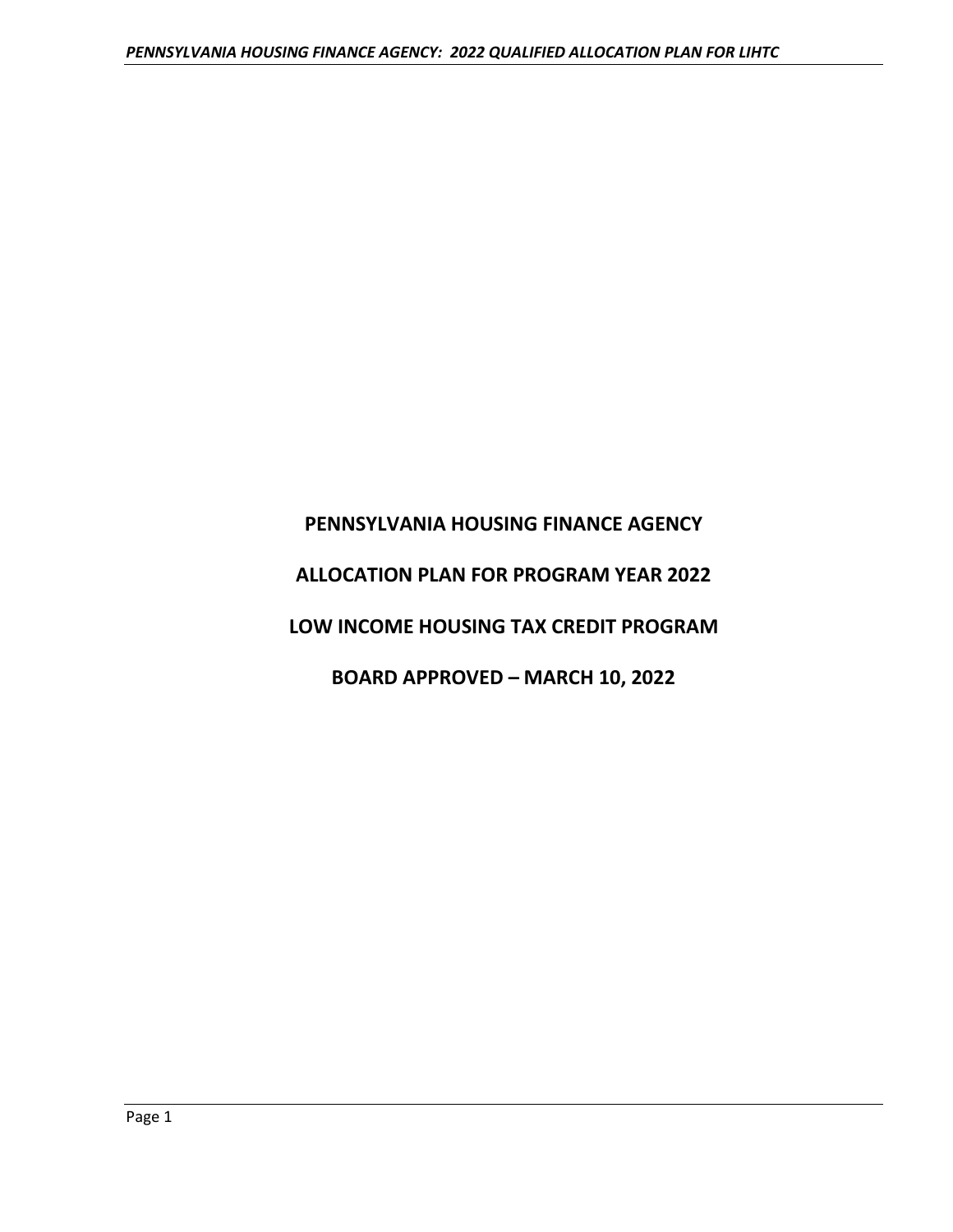# **PENNSYLVANIA HOUSING FINANCE AGENCY ALLOCATION PLAN FOR PROGRAM YEAR 2022**

# **LOW INCOME HOUSING TAX CREDIT PROGRAM**

# **BOARD APPROVED – MARCH 10, 2022**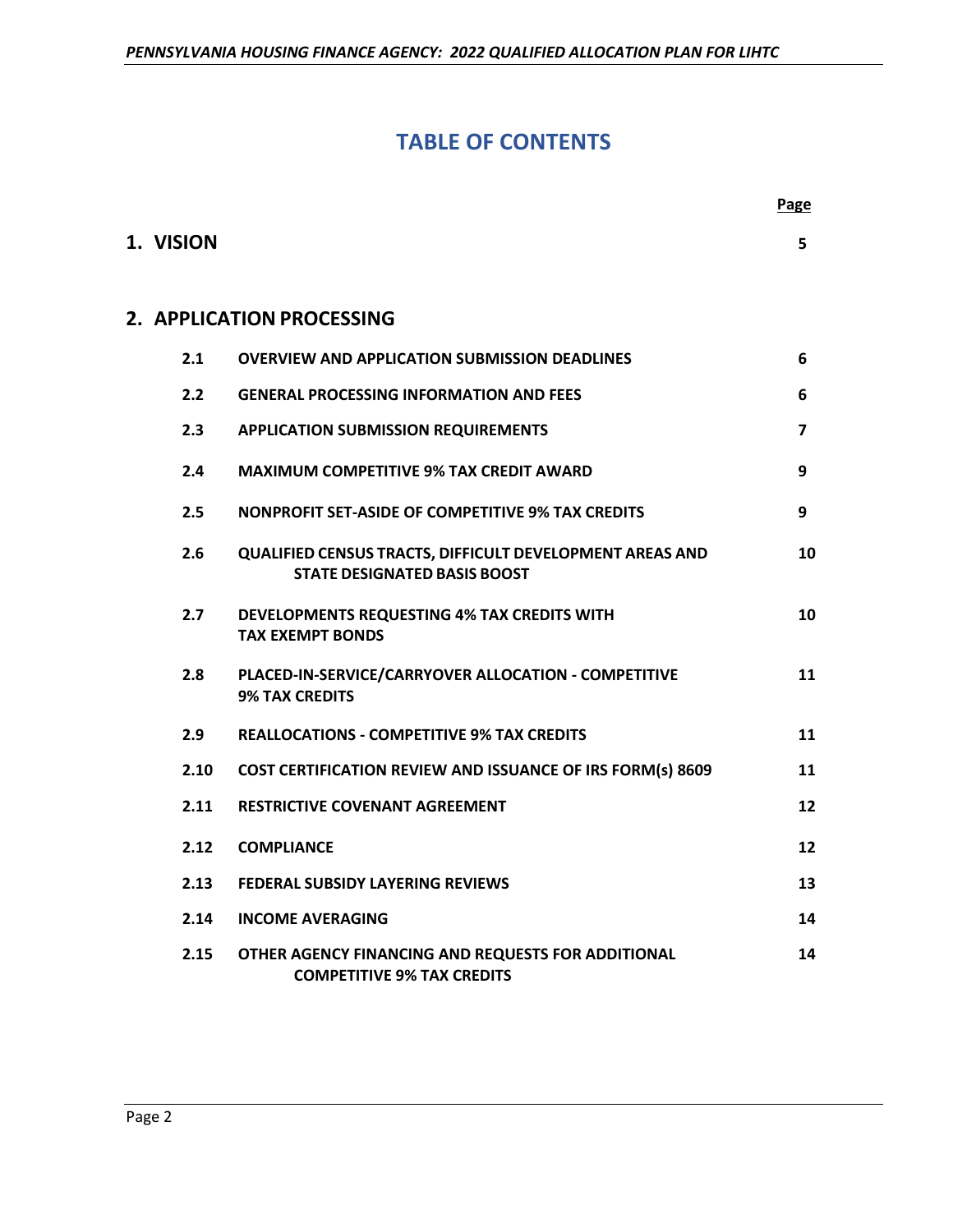# **TABLE OF CONTENTS**

 **Page** 

| 1. VISION |                                                                                                 | 5                       |
|-----------|-------------------------------------------------------------------------------------------------|-------------------------|
|           | 2. APPLICATION PROCESSING                                                                       |                         |
| 2.1       | <b>OVERVIEW AND APPLICATION SUBMISSION DEADLINES</b>                                            | 6                       |
| 2.2       | <b>GENERAL PROCESSING INFORMATION AND FEES</b>                                                  | 6                       |
| 2.3       | <b>APPLICATION SUBMISSION REQUIREMENTS</b>                                                      | $\overline{\mathbf{z}}$ |
| 2.4       | <b>MAXIMUM COMPETITIVE 9% TAX CREDIT AWARD</b>                                                  | 9                       |
| 2.5       | <b>NONPROFIT SET-ASIDE OF COMPETITIVE 9% TAX CREDITS</b>                                        | 9                       |
| 2.6       | QUALIFIED CENSUS TRACTS, DIFFICULT DEVELOPMENT AREAS AND<br><b>STATE DESIGNATED BASIS BOOST</b> | 10                      |
| 2.7       | DEVELOPMENTS REQUESTING 4% TAX CREDITS WITH<br><b>TAX EXEMPT BONDS</b>                          | 10                      |
| 2.8       | PLACED-IN-SERVICE/CARRYOVER ALLOCATION - COMPETITIVE<br><b>9% TAX CREDITS</b>                   | 11                      |
| 2.9       | <b>REALLOCATIONS - COMPETITIVE 9% TAX CREDITS</b>                                               | 11                      |
| 2.10      | COST CERTIFICATION REVIEW AND ISSUANCE OF IRS FORM(s) 8609                                      | 11                      |
| 2.11      | <b>RESTRICTIVE COVENANT AGREEMENT</b>                                                           | 12                      |
| 2.12      | <b>COMPLIANCE</b>                                                                               | 12                      |
| 2.13      | <b>FEDERAL SUBSIDY LAYERING REVIEWS</b>                                                         | 13                      |
| 2.14      | <b>INCOME AVERAGING</b>                                                                         | 14                      |
| 2.15      | OTHER AGENCY FINANCING AND REQUESTS FOR ADDITIONAL<br><b>COMPETITIVE 9% TAX CREDITS</b>         | 14                      |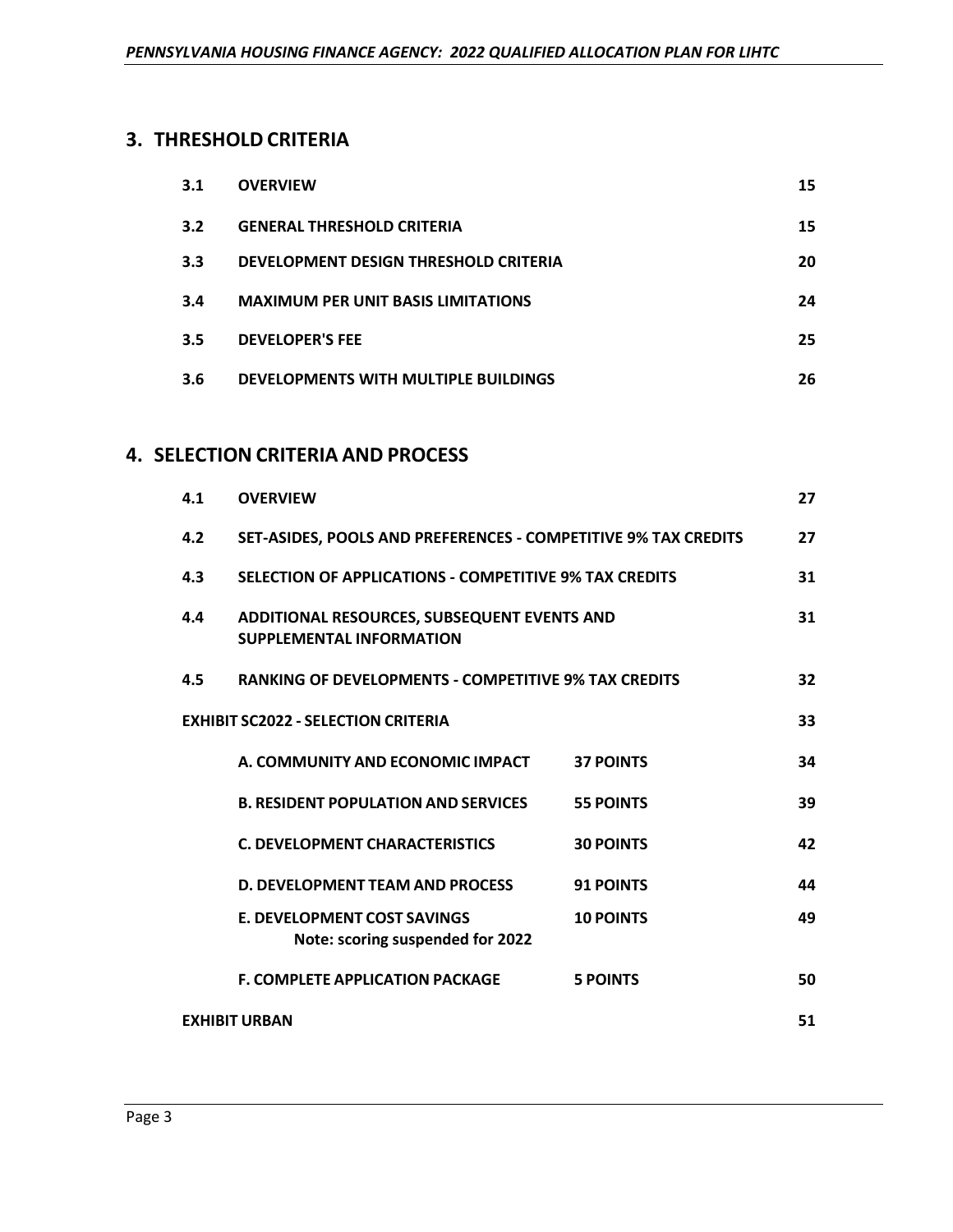# **3. THRESHOLD CRITERIA**

| 3.1 | <b>OVERVIEW</b>                           | 15 |
|-----|-------------------------------------------|----|
| 3.2 | <b>GENERAL THRESHOLD CRITERIA</b>         | 15 |
| 3.3 | DEVELOPMENT DESIGN THRESHOLD CRITERIA     | 20 |
| 3.4 | <b>MAXIMUM PER UNIT BASIS LIMITATIONS</b> | 24 |
| 3.5 | <b>DEVELOPER'S FEE</b>                    | 25 |
| 3.6 | DEVELOPMENTS WITH MULTIPLE BUILDINGS      | 26 |

# **4. SELECTION CRITERIA AND PROCESS**

| 4.1                        | <b>OVERVIEW</b>                                                                |                  | 27 |
|----------------------------|--------------------------------------------------------------------------------|------------------|----|
| 4.2                        | SET-ASIDES, POOLS AND PREFERENCES - COMPETITIVE 9% TAX CREDITS                 |                  | 27 |
| 4.3                        | SELECTION OF APPLICATIONS - COMPETITIVE 9% TAX CREDITS                         |                  | 31 |
| 4.4                        | ADDITIONAL RESOURCES, SUBSEQUENT EVENTS AND<br><b>SUPPLEMENTAL INFORMATION</b> |                  | 31 |
| 4.5                        | <b>RANKING OF DEVELOPMENTS - COMPETITIVE 9% TAX CREDITS</b>                    |                  | 32 |
|                            | <b>EXHIBIT SC2022 - SELECTION CRITERIA</b>                                     |                  | 33 |
|                            | A. COMMUNITY AND ECONOMIC IMPACT                                               | <b>37 POINTS</b> | 34 |
|                            | <b>B. RESIDENT POPULATION AND SERVICES</b>                                     | <b>55 POINTS</b> | 39 |
|                            | <b>C. DEVELOPMENT CHARACTERISTICS</b>                                          | <b>30 POINTS</b> | 42 |
|                            | <b>D. DEVELOPMENT TEAM AND PROCESS</b>                                         | <b>91 POINTS</b> | 44 |
|                            | <b>E. DEVELOPMENT COST SAVINGS</b><br>Note: scoring suspended for 2022         | <b>10 POINTS</b> | 49 |
|                            | <b>F. COMPLETE APPLICATION PACKAGE</b>                                         | <b>5 POINTS</b>  | 50 |
| 51<br><b>EXHIBIT URBAN</b> |                                                                                |                  |    |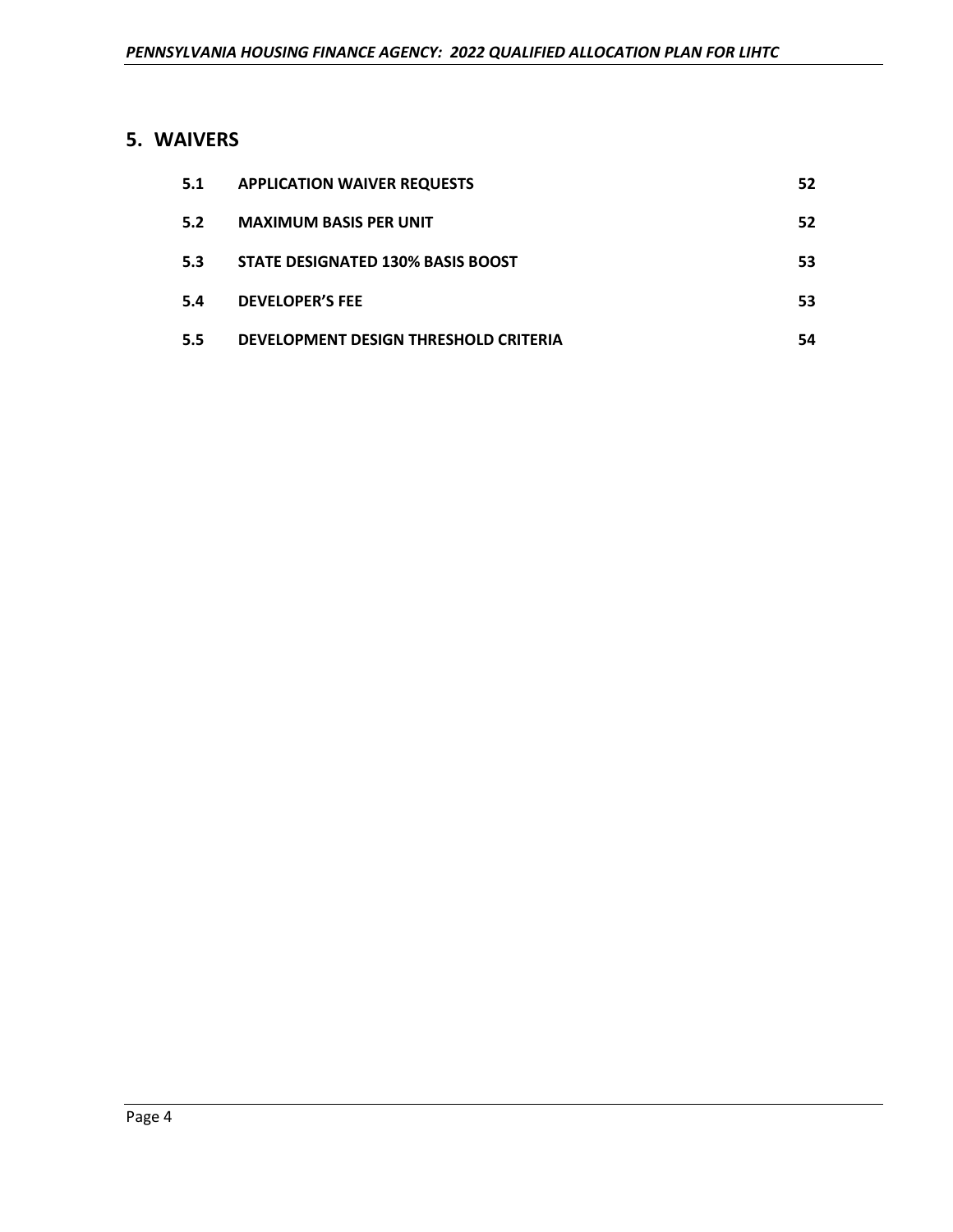# **5. WAIVERS**

| 5.1 | <b>APPLICATION WAIVER REQUESTS</b>    | 52 |
|-----|---------------------------------------|----|
| 5.2 | <b>MAXIMUM BASIS PER UNIT</b>         | 52 |
| 5.3 | STATE DESIGNATED 130% BASIS BOOST     | 53 |
| 5.4 | <b>DEVELOPER'S FEE</b>                | 53 |
| 5.5 | DEVELOPMENT DESIGN THRESHOLD CRITERIA | 54 |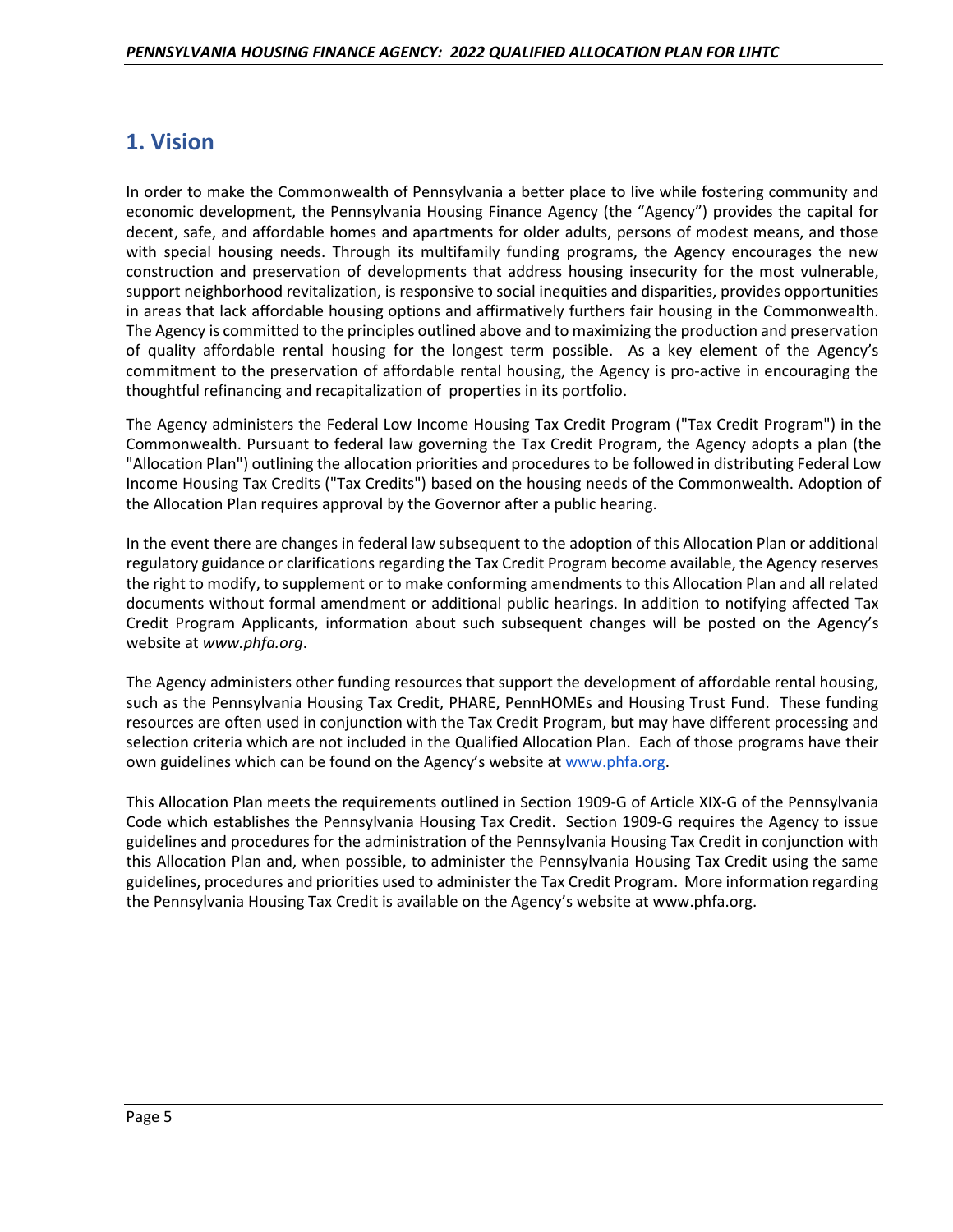# **1. Vision**

In order to make the Commonwealth of Pennsylvania a better place to live while fostering community and economic development, the Pennsylvania Housing Finance Agency (the "Agency") provides the capital for decent, safe, and affordable homes and apartments for older adults, persons of modest means, and those with special housing needs. Through its multifamily funding programs, the Agency encourages the new construction and preservation of developments that address housing insecurity for the most vulnerable, support neighborhood revitalization, is responsive to social inequities and disparities, provides opportunities in areas that lack affordable housing options and affirmatively furthers fair housing in the Commonwealth. The Agency is committed to the principles outlined above and to maximizing the production and preservation of quality affordable rental housing for the longest term possible. As a key element of the Agency's commitment to the preservation of affordable rental housing, the Agency is pro-active in encouraging the thoughtful refinancing and recapitalization of properties in its portfolio.

The Agency administers the Federal Low Income Housing Tax Credit Program ("Tax Credit Program") in the Commonwealth. Pursuant to federal law governing the Tax Credit Program, the Agency adopts a plan (the "Allocation Plan") outlining the allocation priorities and procedures to be followed in distributing Federal Low Income Housing Tax Credits ("Tax Credits") based on the housing needs of the Commonwealth. Adoption of the Allocation Plan requires approval by the Governor after a public hearing.

In the event there are changes in federal law subsequent to the adoption of this Allocation Plan or additional regulatory guidance or clarifications regarding the Tax Credit Program become available, the Agency reserves the right to modify, to supplement or to make conforming amendments to this Allocation Plan and all related documents without formal amendment or additional public hearings. In addition to notifying affected Tax Credit Program Applicants, information about such subsequent changes will be posted on the Agency's website at *www.phfa.org*.

The Agency administers other funding resources that support the development of affordable rental housing, such as the Pennsylvania Housing Tax Credit, PHARE, PennHOMEs and Housing Trust Fund. These funding resources are often used in conjunction with the Tax Credit Program, but may have different processing and selection criteria which are not included in the Qualified Allocation Plan. Each of those programs have their own guidelines which can be found on the Agency's website at [www.phfa.org.](http://www.phfa.org/)

This Allocation Plan meets the requirements outlined in Section 1909-G of Article XIX-G of the Pennsylvania Code which establishes the Pennsylvania Housing Tax Credit. Section 1909-G requires the Agency to issue guidelines and procedures for the administration of the Pennsylvania Housing Tax Credit in conjunction with this Allocation Plan and, when possible, to administer the Pennsylvania Housing Tax Credit using the same guidelines, procedures and priorities used to administer the Tax Credit Program. More information regarding the Pennsylvania Housing Tax Credit is available on the Agency's website at www.phfa.org.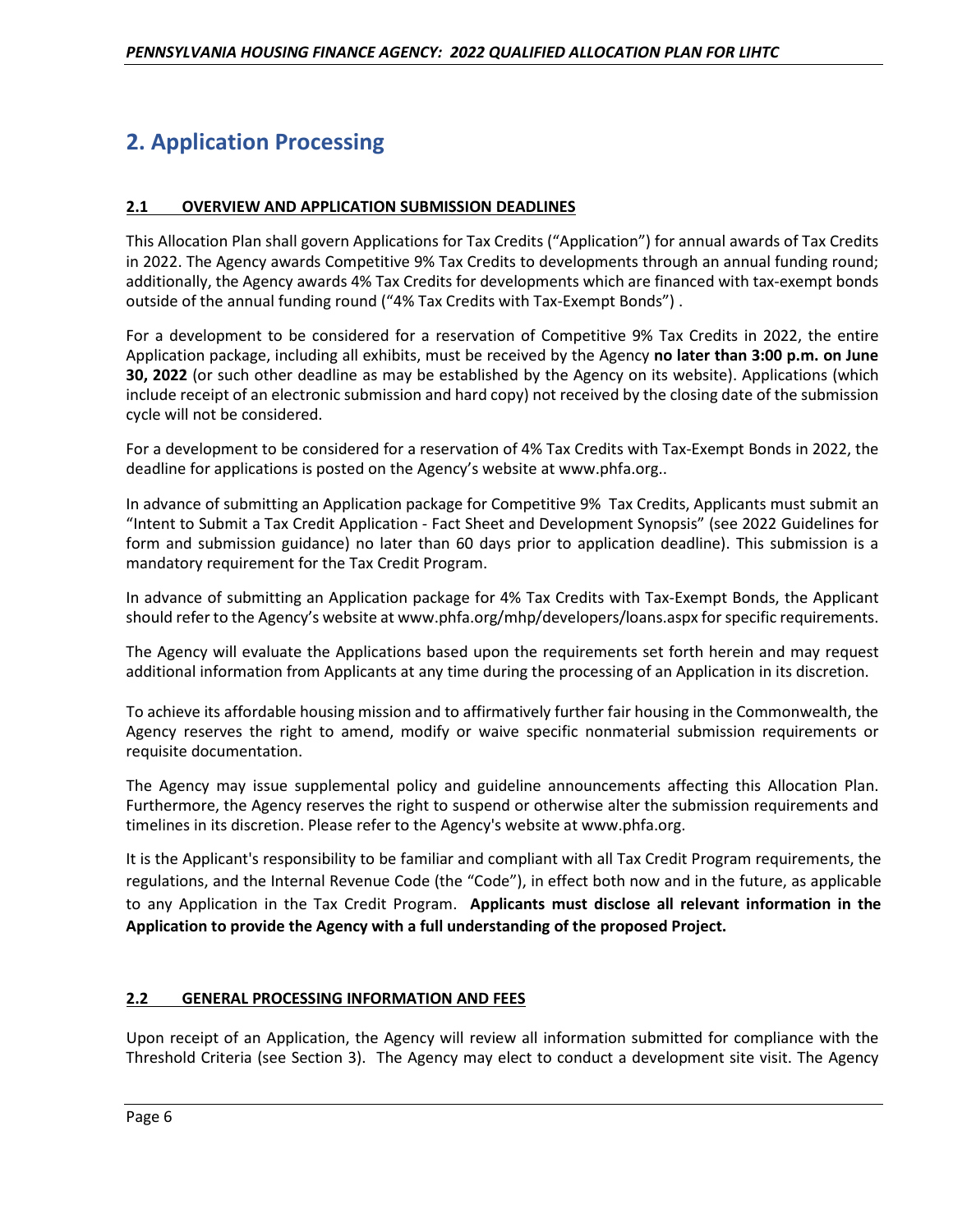# **2. Application Processing**

# **2.1 OVERVIEW AND APPLICATION SUBMISSION DEADLINES**

This Allocation Plan shall govern Applications for Tax Credits ("Application") for annual awards of Tax Credits in 2022. The Agency awards Competitive 9% Tax Credits to developments through an annual funding round; additionally, the Agency awards 4% Tax Credits for developments which are financed with tax-exempt bonds outside of the annual funding round ("4% Tax Credits with Tax-Exempt Bonds") .

For a development to be considered for a reservation of Competitive 9% Tax Credits in 2022, the entire Application package, including all exhibits, must be received by the Agency **no later than 3:00 p.m. on June 30, 2022** (or such other deadline as may be established by the Agency on its website). Applications (which include receipt of an electronic submission and hard copy) not received by the closing date of the submission cycle will not be considered.

For a development to be considered for a reservation of 4% Tax Credits with Tax-Exempt Bonds in 2022, the deadline for applications is posted on the Agency's website at www.phfa.org..

In advance of submitting an Application package for Competitive 9% Tax Credits, Applicants must submit an "Intent to Submit a Tax Credit Application - Fact Sheet and Development Synopsis" (see 2022 Guidelines for form and submission guidance) no later than 60 days prior to application deadline). This submission is a mandatory requirement for the Tax Credit Program.

In advance of submitting an Application package for 4% Tax Credits with Tax-Exempt Bonds, the Applicant should refer to the Agency's website at www.phfa.org/mhp/developers/loans.aspx for specific requirements.

The Agency will evaluate the Applications based upon the requirements set forth herein and may request additional information from Applicants at any time during the processing of an Application in its discretion.

To achieve its affordable housing mission and to affirmatively further fair housing in the Commonwealth, the Agency reserves the right to amend, modify or waive specific nonmaterial submission requirements or requisite documentation.

The Agency may issue supplemental policy and guideline announcements affecting this Allocation Plan. Furthermore, the Agency reserves the right to suspend or otherwise alter the submission requirements and timelines in its discretion. Please refer to the Agency's website at www.phfa.org.

It is the Applicant's responsibility to be familiar and compliant with all Tax Credit Program requirements, the regulations, and the Internal Revenue Code (the "Code"), in effect both now and in the future, as applicable to any Application in the Tax Credit Program. **Applicants must disclose all relevant information in the Application to provide the Agency with a full understanding of the proposed Project.**

#### **2.2 GENERAL PROCESSING INFORMATION AND FEES**

Upon receipt of an Application, the Agency will review all information submitted for compliance with the Threshold Criteria (see Section 3). The Agency may elect to conduct a development site visit. The Agency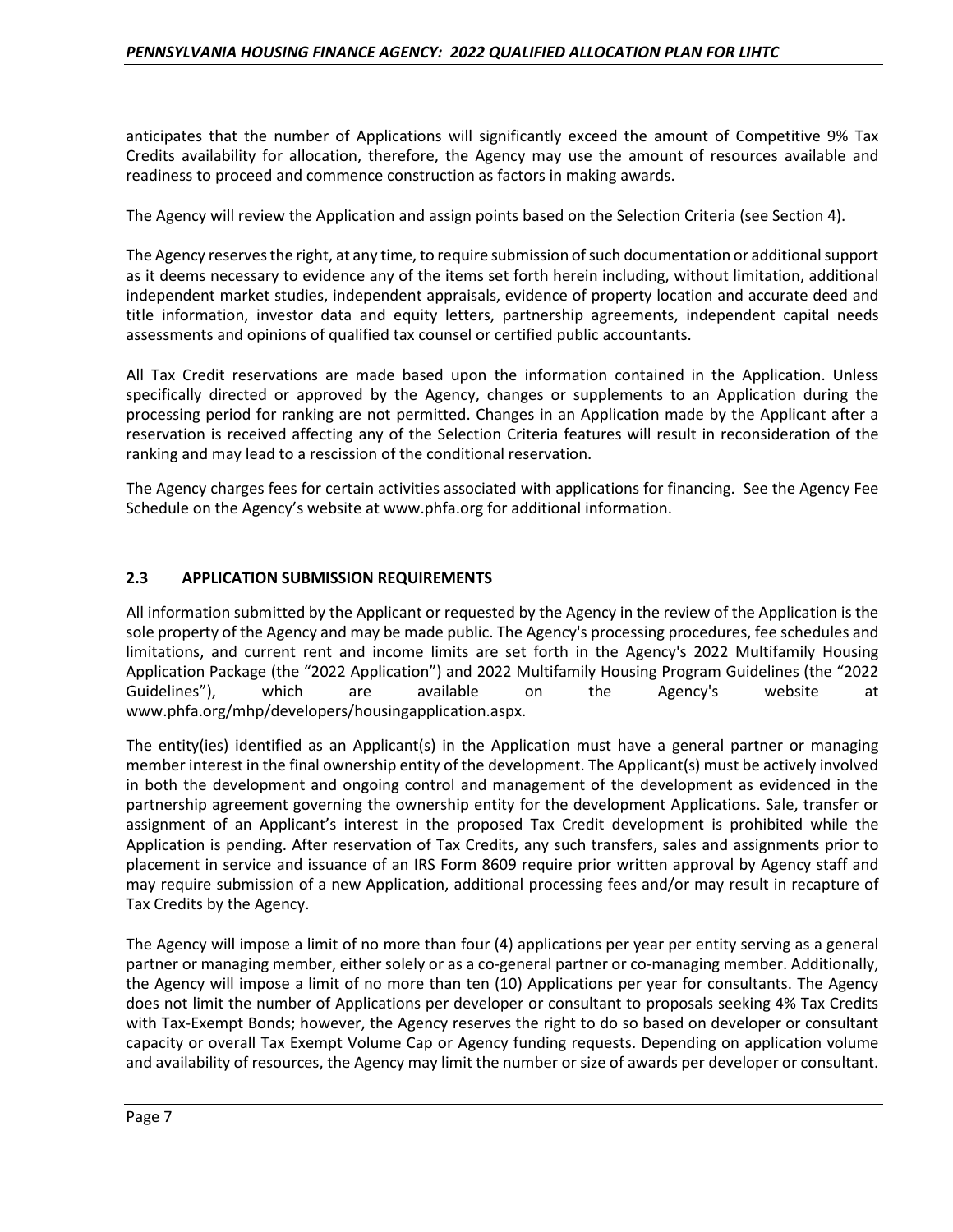anticipates that the number of Applications will significantly exceed the amount of Competitive 9% Tax Credits availability for allocation, therefore, the Agency may use the amount of resources available and readiness to proceed and commence construction as factors in making awards.

The Agency will review the Application and assign points based on the Selection Criteria (see Section 4).

The Agency reserves the right, at any time, to require submission of such documentation or additional support as it deems necessary to evidence any of the items set forth herein including, without limitation, additional independent market studies, independent appraisals, evidence of property location and accurate deed and title information, investor data and equity letters, partnership agreements, independent capital needs assessments and opinions of qualified tax counsel or certified public accountants.

All Tax Credit reservations are made based upon the information contained in the Application. Unless specifically directed or approved by the Agency, changes or supplements to an Application during the processing period for ranking are not permitted. Changes in an Application made by the Applicant after a reservation is received affecting any of the Selection Criteria features will result in reconsideration of the ranking and may lead to a rescission of the conditional reservation.

The Agency charges fees for certain activities associated with applications for financing. See the Agency Fee Schedule on the Agency's website at www.phfa.org for additional information.

# **2.3 APPLICATION SUBMISSION REQUIREMENTS**

All information submitted by the Applicant or requested by the Agency in the review of the Application is the sole property of the Agency and may be made public. The Agency's processing procedures, fee schedules and limitations, and current rent and income limits are set forth in the Agency's 2022 Multifamily Housing Application Package (the "2022 Application") and 2022 Multifamily Housing Program Guidelines (the "2022 Guidelines"), which are available on the Agency's website at www.phfa.org/mhp/developers/housingapplication.aspx.

The entity(ies) identified as an Applicant(s) in the Application must have a general partner or managing member interest in the final ownership entity of the development. The Applicant(s) must be actively involved in both the development and ongoing control and management of the development as evidenced in the partnership agreement governing the ownership entity for the development Applications. Sale, transfer or assignment of an Applicant's interest in the proposed Tax Credit development is prohibited while the Application is pending. After reservation of Tax Credits, any such transfers, sales and assignments prior to placement in service and issuance of an IRS Form 8609 require prior written approval by Agency staff and may require submission of a new Application, additional processing fees and/or may result in recapture of Tax Credits by the Agency.

The Agency will impose a limit of no more than four (4) applications per year per entity serving as a general partner or managing member, either solely or as a co-general partner or co-managing member. Additionally, the Agency will impose a limit of no more than ten (10) Applications per year for consultants. The Agency does not limit the number of Applications per developer or consultant to proposals seeking 4% Tax Credits with Tax-Exempt Bonds; however, the Agency reserves the right to do so based on developer or consultant capacity or overall Tax Exempt Volume Cap or Agency funding requests. Depending on application volume and availability of resources, the Agency may limit the number or size of awards per developer or consultant.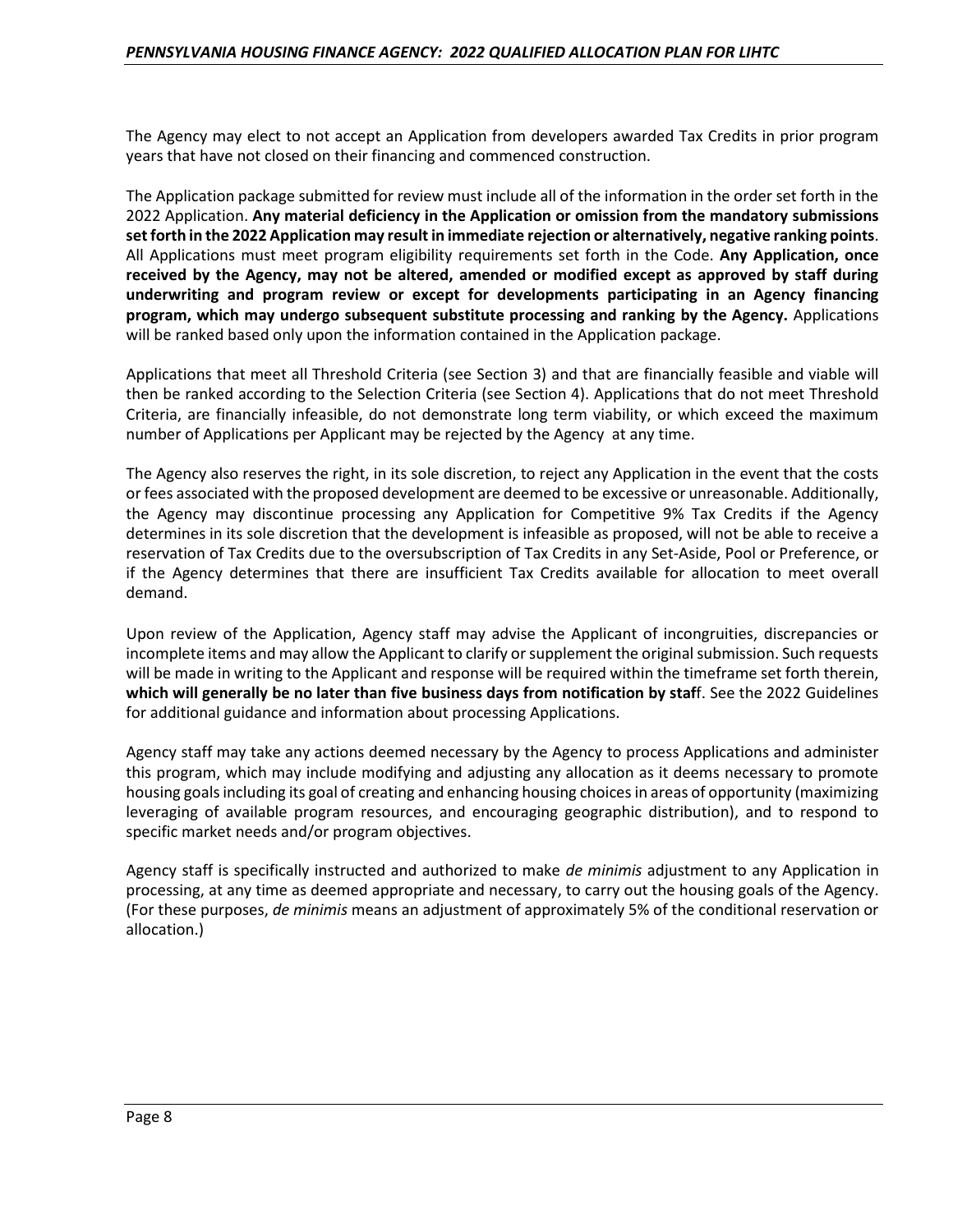The Agency may elect to not accept an Application from developers awarded Tax Credits in prior program years that have not closed on their financing and commenced construction.

The Application package submitted for review must include all of the information in the order set forth in the 2022 Application. **Any material deficiency in the Application or omission from the mandatory submissions set forth in the 2022 Application may result in immediate rejection or alternatively, negative ranking points**. All Applications must meet program eligibility requirements set forth in the Code. **Any Application, once received by the Agency, may not be altered, amended or modified except as approved by staff during underwriting and program review or except for developments participating in an Agency financing program, which may undergo subsequent substitute processing and ranking by the Agency.** Applications will be ranked based only upon the information contained in the Application package.

Applications that meet all Threshold Criteria (see Section 3) and that are financially feasible and viable will then be ranked according to the Selection Criteria (see Section 4). Applications that do not meet Threshold Criteria, are financially infeasible, do not demonstrate long term viability, or which exceed the maximum number of Applications per Applicant may be rejected by the Agency at any time.

The Agency also reserves the right, in its sole discretion, to reject any Application in the event that the costs or fees associated with the proposed development are deemed to be excessive or unreasonable. Additionally, the Agency may discontinue processing any Application for Competitive 9% Tax Credits if the Agency determines in its sole discretion that the development is infeasible as proposed, will not be able to receive a reservation of Tax Credits due to the oversubscription of Tax Credits in any Set-Aside, Pool or Preference, or if the Agency determines that there are insufficient Tax Credits available for allocation to meet overall demand.

Upon review of the Application, Agency staff may advise the Applicant of incongruities, discrepancies or incomplete items and may allow the Applicant to clarify or supplement the original submission. Such requests will be made in writing to the Applicant and response will be required within the timeframe set forth therein, **which will generally be no later than five business days from notification by staf**f. See the 2022 Guidelines for additional guidance and information about processing Applications.

Agency staff may take any actions deemed necessary by the Agency to process Applications and administer this program, which may include modifying and adjusting any allocation as it deems necessary to promote housing goals including its goal of creating and enhancing housing choices in areas of opportunity (maximizing leveraging of available program resources, and encouraging geographic distribution), and to respond to specific market needs and/or program objectives.

Agency staff is specifically instructed and authorized to make *de minimis* adjustment to any Application in processing, at any time as deemed appropriate and necessary, to carry out the housing goals of the Agency. (For these purposes, *de minimis* means an adjustment of approximately 5% of the conditional reservation or allocation.)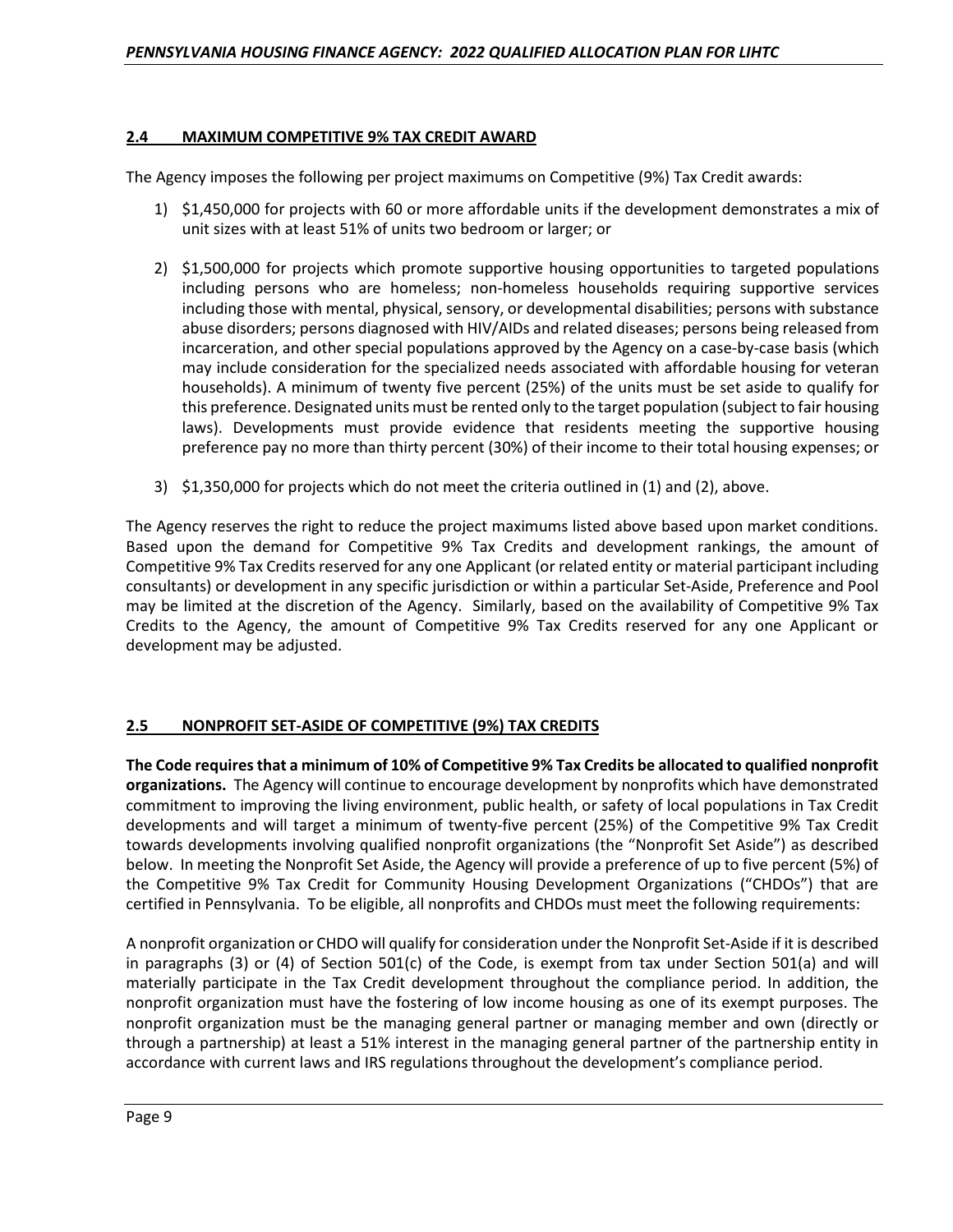## **2.4 MAXIMUM COMPETITIVE 9% TAX CREDIT AWARD**

The Agency imposes the following per project maximums on Competitive (9%) Tax Credit awards:

- 1) \$1,450,000 for projects with 60 or more affordable units if the development demonstrates a mix of unit sizes with at least 51% of units two bedroom or larger; or
- 2) \$1,500,000 for projects which promote supportive housing opportunities to targeted populations including persons who are homeless; non-homeless households requiring supportive services including those with mental, physical, sensory, or developmental disabilities; persons with substance abuse disorders; persons diagnosed with HIV/AIDs and related diseases; persons being released from incarceration, and other special populations approved by the Agency on a case-by-case basis (which may include consideration for the specialized needs associated with affordable housing for veteran households). A minimum of twenty five percent (25%) of the units must be set aside to qualify for this preference. Designated units must be rented only to the target population (subject to fair housing laws). Developments must provide evidence that residents meeting the supportive housing preference pay no more than thirty percent (30%) of their income to their total housing expenses; or
- 3) \$1,350,000 for projects which do not meet the criteria outlined in (1) and (2), above.

The Agency reserves the right to reduce the project maximums listed above based upon market conditions. Based upon the demand for Competitive 9% Tax Credits and development rankings, the amount of Competitive 9% Tax Credits reserved for any one Applicant (or related entity or material participant including consultants) or development in any specific jurisdiction or within a particular Set-Aside, Preference and Pool may be limited at the discretion of the Agency. Similarly, based on the availability of Competitive 9% Tax Credits to the Agency, the amount of Competitive 9% Tax Credits reserved for any one Applicant or development may be adjusted.

# **2.5 NONPROFIT SET-ASIDE OF COMPETITIVE (9%) TAX CREDITS**

**The Code requires that a minimum of 10% of Competitive 9% Tax Credits be allocated to qualified nonprofit organizations.** The Agency will continue to encourage development by nonprofits which have demonstrated commitment to improving the living environment, public health, or safety of local populations in Tax Credit developments and will target a minimum of twenty-five percent (25%) of the Competitive 9% Tax Credit towards developments involving qualified nonprofit organizations (the "Nonprofit Set Aside") as described below. In meeting the Nonprofit Set Aside, the Agency will provide a preference of up to five percent (5%) of the Competitive 9% Tax Credit for Community Housing Development Organizations ("CHDOs") that are certified in Pennsylvania. To be eligible, all nonprofits and CHDOs must meet the following requirements:

A nonprofit organization or CHDO will qualify for consideration under the Nonprofit Set-Aside if it is described in paragraphs (3) or (4) of Section 501(c) of the Code, is exempt from tax under Section 501(a) and will materially participate in the Tax Credit development throughout the compliance period. In addition, the nonprofit organization must have the fostering of low income housing as one of its exempt purposes. The nonprofit organization must be the managing general partner or managing member and own (directly or through a partnership) at least a 51% interest in the managing general partner of the partnership entity in accordance with current laws and IRS regulations throughout the development's compliance period.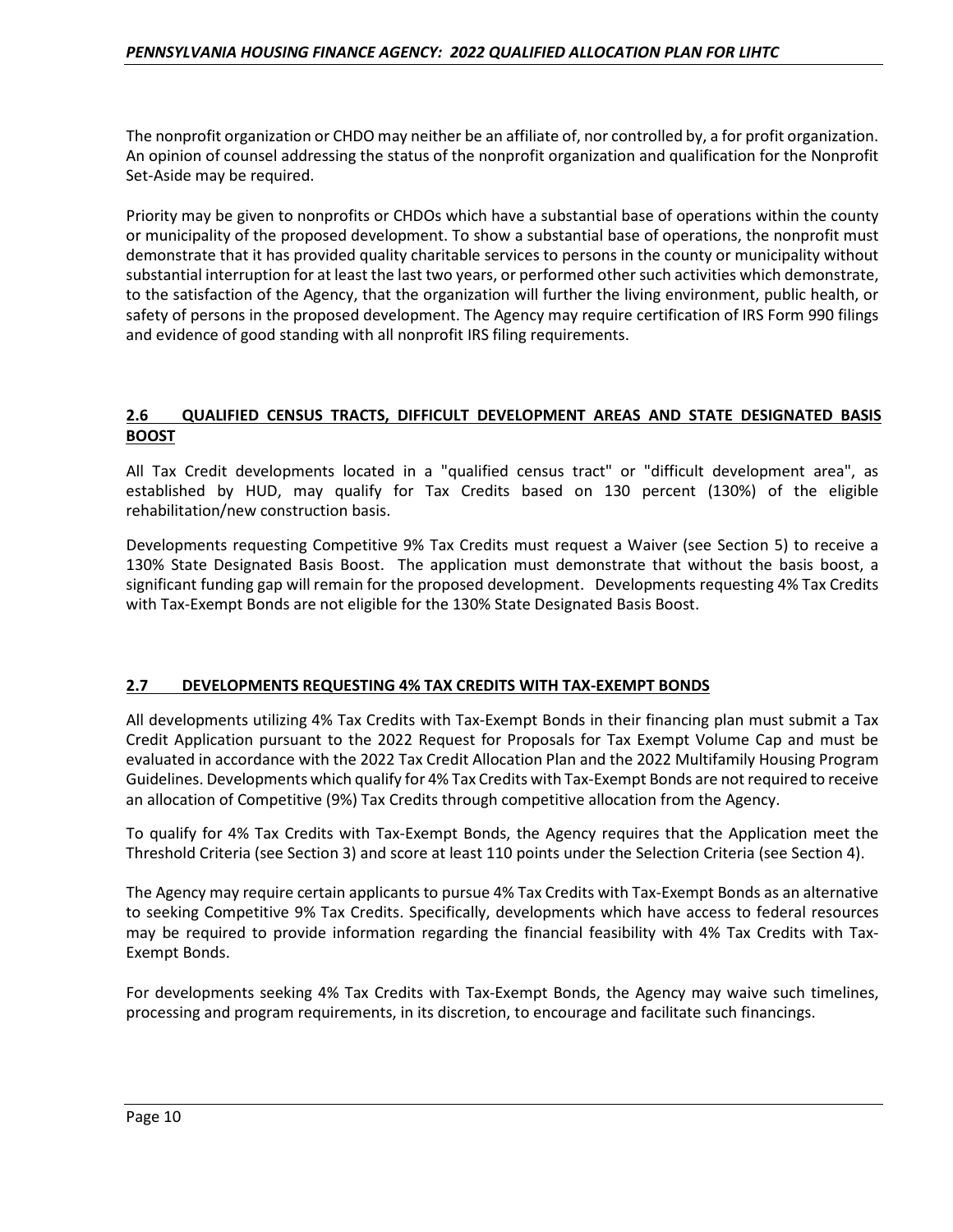The nonprofit organization or CHDO may neither be an affiliate of, nor controlled by, a for profit organization. An opinion of counsel addressing the status of the nonprofit organization and qualification for the Nonprofit Set-Aside may be required.

Priority may be given to nonprofits or CHDOs which have a substantial base of operations within the county or municipality of the proposed development. To show a substantial base of operations, the nonprofit must demonstrate that it has provided quality charitable services to persons in the county or municipality without substantial interruption for at least the last two years, or performed other such activities which demonstrate, to the satisfaction of the Agency, that the organization will further the living environment, public health, or safety of persons in the proposed development. The Agency may require certification of IRS Form 990 filings and evidence of good standing with all nonprofit IRS filing requirements.

## **2.6 QUALIFIED CENSUS TRACTS, DIFFICULT DEVELOPMENT AREAS AND STATE DESIGNATED BASIS BOOST**

All Tax Credit developments located in a "qualified census tract" or "difficult development area", as established by HUD, may qualify for Tax Credits based on 130 percent (130%) of the eligible rehabilitation/new construction basis.

Developments requesting Competitive 9% Tax Credits must request a Waiver (see Section 5) to receive a 130% State Designated Basis Boost. The application must demonstrate that without the basis boost, a significant funding gap will remain for the proposed development. Developments requesting 4% Tax Credits with Tax-Exempt Bonds are not eligible for the 130% State Designated Basis Boost.

#### **2.7 DEVELOPMENTS REQUESTING 4% TAX CREDITS WITH TAX-EXEMPT BONDS**

All developments utilizing 4% Tax Credits with Tax-Exempt Bonds in their financing plan must submit a Tax Credit Application pursuant to the 2022 Request for Proposals for Tax Exempt Volume Cap and must be evaluated in accordance with the 2022 Tax Credit Allocation Plan and the 2022 Multifamily Housing Program Guidelines. Developments which qualify for 4% Tax Credits with Tax-Exempt Bonds are not required to receive an allocation of Competitive (9%) Tax Credits through competitive allocation from the Agency.

To qualify for 4% Tax Credits with Tax-Exempt Bonds, the Agency requires that the Application meet the Threshold Criteria (see Section 3) and score at least 110 points under the Selection Criteria (see Section 4).

The Agency may require certain applicants to pursue 4% Tax Credits with Tax-Exempt Bonds as an alternative to seeking Competitive 9% Tax Credits. Specifically, developments which have access to federal resources may be required to provide information regarding the financial feasibility with 4% Tax Credits with Tax-Exempt Bonds.

For developments seeking 4% Tax Credits with Tax-Exempt Bonds, the Agency may waive such timelines, processing and program requirements, in its discretion, to encourage and facilitate such financings.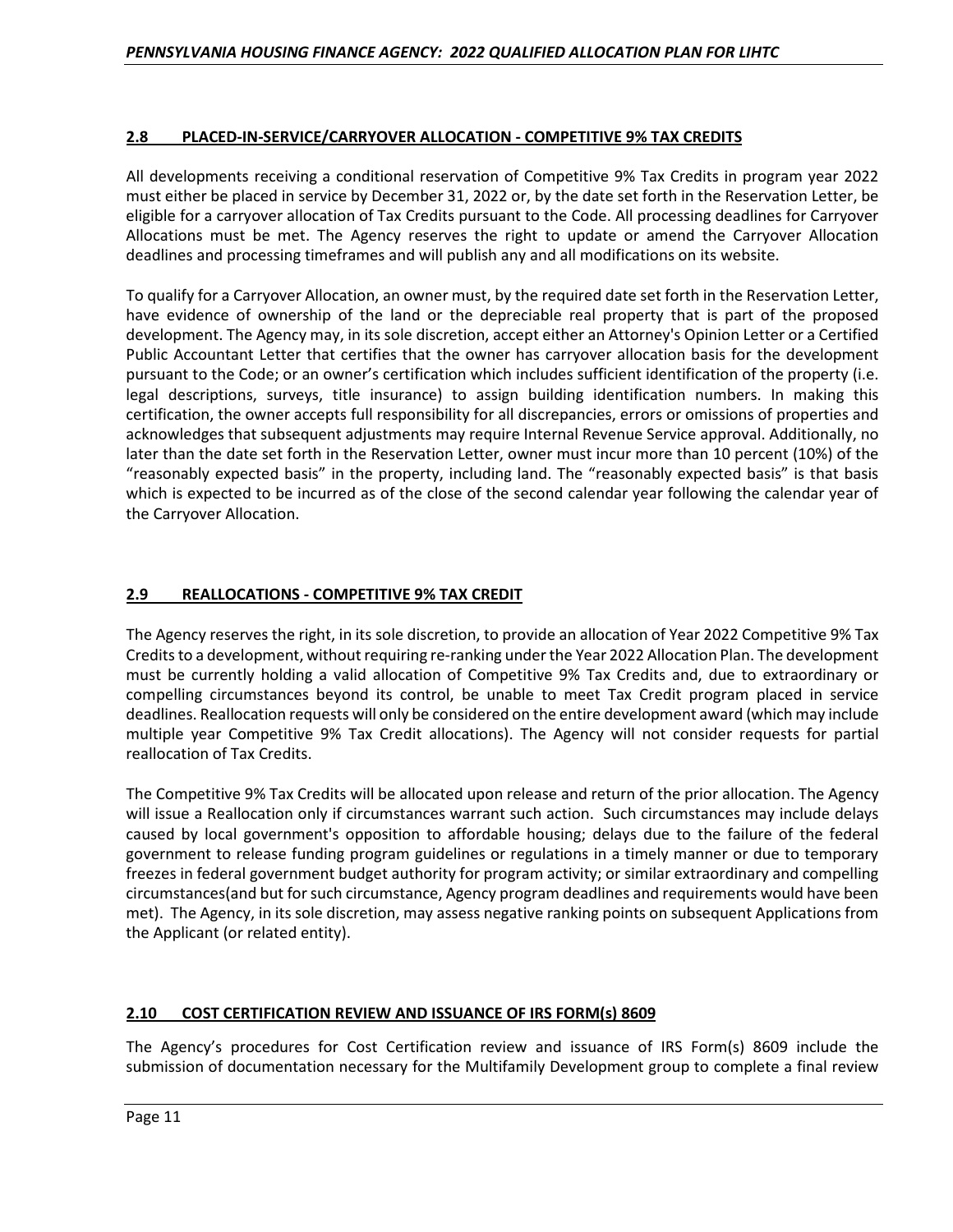# **2.8 PLACED-IN-SERVICE/CARRYOVER ALLOCATION - COMPETITIVE 9% TAX CREDITS**

All developments receiving a conditional reservation of Competitive 9% Tax Credits in program year 2022 must either be placed in service by December 31, 2022 or, by the date set forth in the Reservation Letter, be eligible for a carryover allocation of Tax Credits pursuant to the Code. All processing deadlines for Carryover Allocations must be met. The Agency reserves the right to update or amend the Carryover Allocation deadlines and processing timeframes and will publish any and all modifications on its website.

To qualify for a Carryover Allocation, an owner must, by the required date set forth in the Reservation Letter, have evidence of ownership of the land or the depreciable real property that is part of the proposed development. The Agency may, in its sole discretion, accept either an Attorney's Opinion Letter or a Certified Public Accountant Letter that certifies that the owner has carryover allocation basis for the development pursuant to the Code; or an owner's certification which includes sufficient identification of the property (i.e. legal descriptions, surveys, title insurance) to assign building identification numbers. In making this certification, the owner accepts full responsibility for all discrepancies, errors or omissions of properties and acknowledges that subsequent adjustments may require Internal Revenue Service approval. Additionally, no later than the date set forth in the Reservation Letter, owner must incur more than 10 percent (10%) of the "reasonably expected basis" in the property, including land. The "reasonably expected basis" is that basis which is expected to be incurred as of the close of the second calendar year following the calendar year of the Carryover Allocation.

# **2.9 REALLOCATIONS - COMPETITIVE 9% TAX CREDIT**

The Agency reserves the right, in its sole discretion, to provide an allocation of Year 2022 Competitive 9% Tax Credits to a development, without requiring re-ranking under the Year 2022 Allocation Plan. The development must be currently holding a valid allocation of Competitive 9% Tax Credits and, due to extraordinary or compelling circumstances beyond its control, be unable to meet Tax Credit program placed in service deadlines. Reallocation requests will only be considered on the entire development award (which may include multiple year Competitive 9% Tax Credit allocations). The Agency will not consider requests for partial reallocation of Tax Credits.

The Competitive 9% Tax Credits will be allocated upon release and return of the prior allocation. The Agency will issue a Reallocation only if circumstances warrant such action. Such circumstances may include delays caused by local government's opposition to affordable housing; delays due to the failure of the federal government to release funding program guidelines or regulations in a timely manner or due to temporary freezes in federal government budget authority for program activity; or similar extraordinary and compelling circumstances(and but for such circumstance, Agency program deadlines and requirements would have been met). The Agency, in its sole discretion, may assess negative ranking points on subsequent Applications from the Applicant (or related entity).

# **2.10 COST CERTIFICATION REVIEW AND ISSUANCE OF IRS FORM(s) 8609**

The Agency's procedures for Cost Certification review and issuance of IRS Form(s) 8609 include the submission of documentation necessary for the Multifamily Development group to complete a final review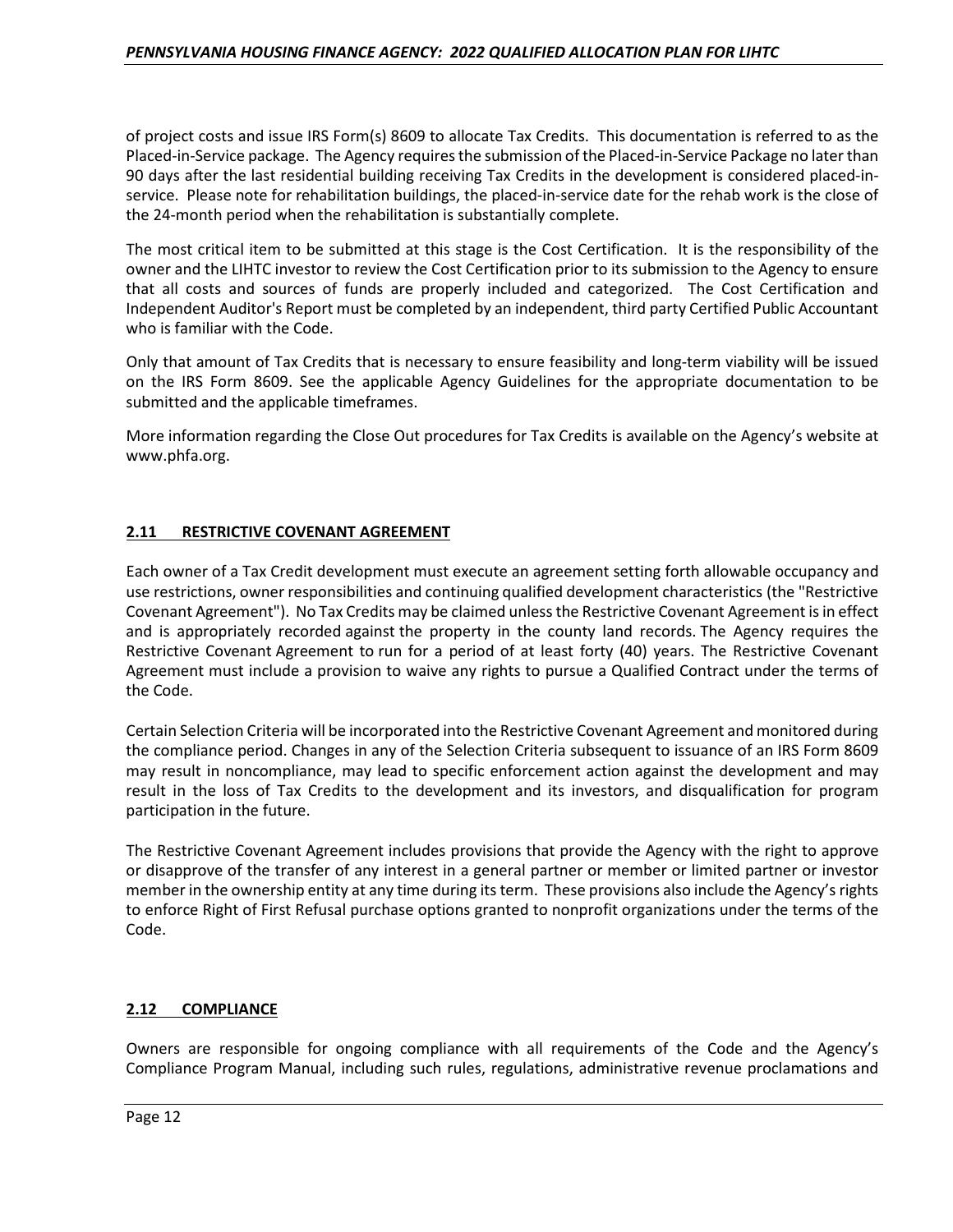of project costs and issue IRS Form(s) 8609 to allocate Tax Credits. This documentation is referred to as the Placed-in-Service package. The Agency requires the submission of the Placed-in-Service Package no later than 90 days after the last residential building receiving Tax Credits in the development is considered placed-inservice. Please note for rehabilitation buildings, the placed-in-service date for the rehab work is the close of the 24-month period when the rehabilitation is substantially complete.

The most critical item to be submitted at this stage is the Cost Certification. It is the responsibility of the owner and the LIHTC investor to review the Cost Certification prior to its submission to the Agency to ensure that all costs and sources of funds are properly included and categorized. The Cost Certification and Independent Auditor's Report must be completed by an independent, third party Certified Public Accountant who is familiar with the Code.

Only that amount of Tax Credits that is necessary to ensure feasibility and long-term viability will be issued on the IRS Form 8609. See the applicable Agency Guidelines for the appropriate documentation to be submitted and the applicable timeframes.

More information regarding the Close Out procedures for Tax Credits is available on the Agency's website at www.phfa.org.

# **2.11 RESTRICTIVE COVENANT AGREEMENT**

Each owner of a Tax Credit development must execute an agreement setting forth allowable occupancy and use restrictions, owner responsibilities and continuing qualified development characteristics (the "Restrictive Covenant Agreement"). No Tax Credits may be claimed unless the Restrictive Covenant Agreement is in effect and is appropriately recorded against the property in the county land records. The Agency requires the Restrictive Covenant Agreement to run for a period of at least forty (40) years. The Restrictive Covenant Agreement must include a provision to waive any rights to pursue a Qualified Contract under the terms of the Code.

Certain Selection Criteria will be incorporated into the Restrictive Covenant Agreement and monitored during the compliance period. Changes in any of the Selection Criteria subsequent to issuance of an IRS Form 8609 may result in noncompliance, may lead to specific enforcement action against the development and may result in the loss of Tax Credits to the development and its investors, and disqualification for program participation in the future.

The Restrictive Covenant Agreement includes provisions that provide the Agency with the right to approve or disapprove of the transfer of any interest in a general partner or member or limited partner or investor member in the ownership entity at any time during its term. These provisions also include the Agency's rights to enforce Right of First Refusal purchase options granted to nonprofit organizations under the terms of the Code.

# **2.12 COMPLIANCE**

Owners are responsible for ongoing compliance with all requirements of the Code and the Agency's Compliance Program Manual, including such rules, regulations, administrative revenue proclamations and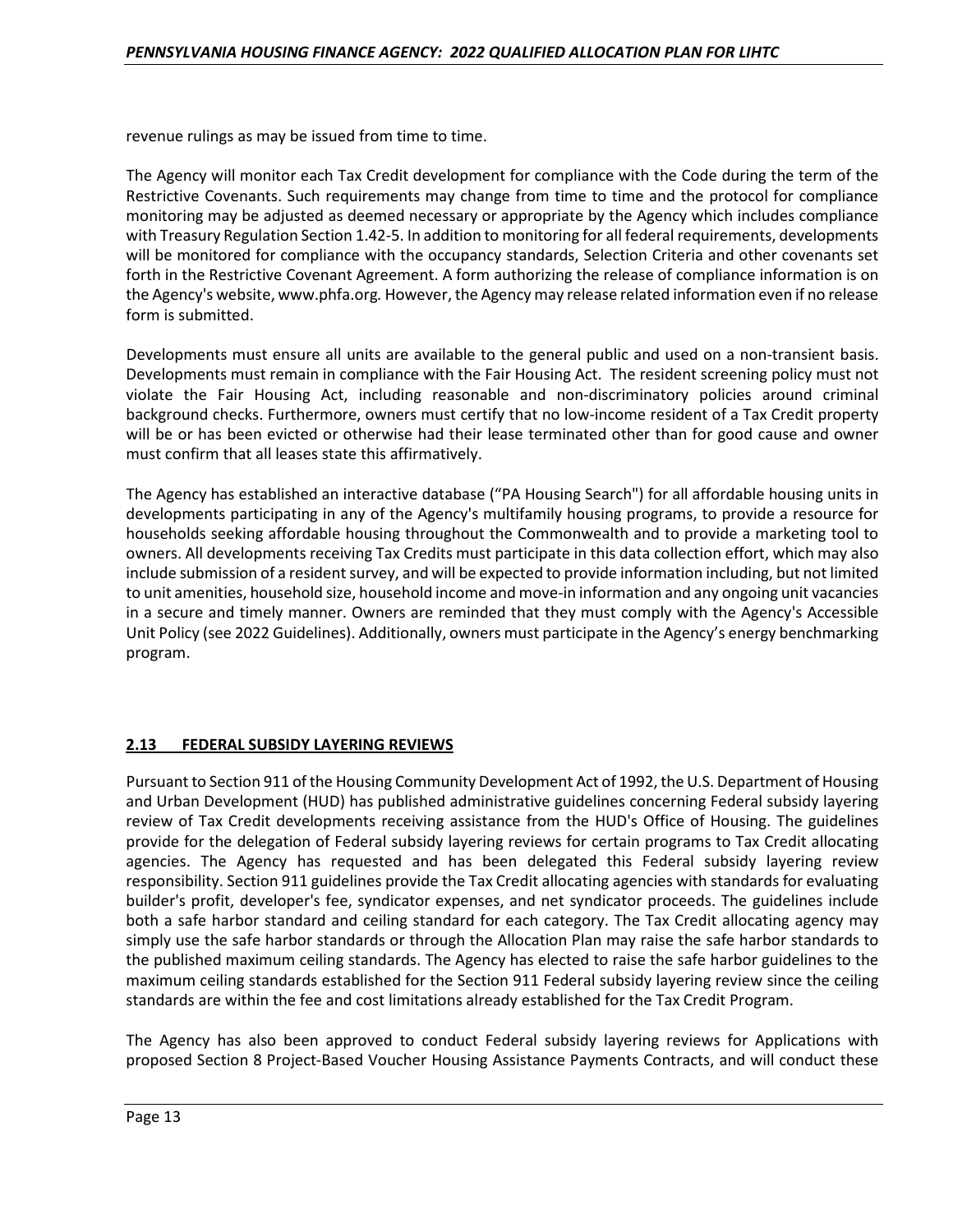revenue rulings as may be issued from time to time.

The Agency will monitor each Tax Credit development for compliance with the Code during the term of the Restrictive Covenants. Such requirements may change from time to time and the protocol for compliance monitoring may be adjusted as deemed necessary or appropriate by the Agency which includes compliance with Treasury Regulation Section 1.42-5. In addition to monitoring for all federal requirements, developments will be monitored for compliance with the occupancy standards, Selection Criteria and other covenants set forth in the Restrictive Covenant Agreement. A form authorizing the release of compliance information is on the Agency's website, www.phfa.org*.* However, the Agency may release related information even if no release form is submitted.

Developments must ensure all units are available to the general public and used on a non-transient basis. Developments must remain in compliance with the Fair Housing Act. The resident screening policy must not violate the Fair Housing Act, including reasonable and non-discriminatory policies around criminal background checks. Furthermore, owners must certify that no low-income resident of a Tax Credit property will be or has been evicted or otherwise had their lease terminated other than for good cause and owner must confirm that all leases state this affirmatively.

The Agency has established an interactive database ("PA Housing Search") for all affordable housing units in developments participating in any of the Agency's multifamily housing programs, to provide a resource for households seeking affordable housing throughout the Commonwealth and to provide a marketing tool to owners. All developments receiving Tax Credits must participate in this data collection effort, which may also include submission of a resident survey, and will be expected to provide information including, but not limited to unit amenities, household size, household income and move-in information and any ongoing unit vacancies in a secure and timely manner. Owners are reminded that they must comply with the Agency's Accessible Unit Policy (see 2022 Guidelines). Additionally, owners must participate in the Agency's energy benchmarking program.

#### **2.13 FEDERAL SUBSIDY LAYERING REVIEWS**

Pursuant to Section 911 of the Housing Community Development Act of 1992, the U.S. Department of Housing and Urban Development (HUD) has published administrative guidelines concerning Federal subsidy layering review of Tax Credit developments receiving assistance from the HUD's Office of Housing. The guidelines provide for the delegation of Federal subsidy layering reviews for certain programs to Tax Credit allocating agencies. The Agency has requested and has been delegated this Federal subsidy layering review responsibility. Section 911 guidelines provide the Tax Credit allocating agencies with standards for evaluating builder's profit, developer's fee, syndicator expenses, and net syndicator proceeds. The guidelines include both a safe harbor standard and ceiling standard for each category. The Tax Credit allocating agency may simply use the safe harbor standards or through the Allocation Plan may raise the safe harbor standards to the published maximum ceiling standards. The Agency has elected to raise the safe harbor guidelines to the maximum ceiling standards established for the Section 911 Federal subsidy layering review since the ceiling standards are within the fee and cost limitations already established for the Tax Credit Program.

The Agency has also been approved to conduct Federal subsidy layering reviews for Applications with proposed Section 8 Project-Based Voucher Housing Assistance Payments Contracts, and will conduct these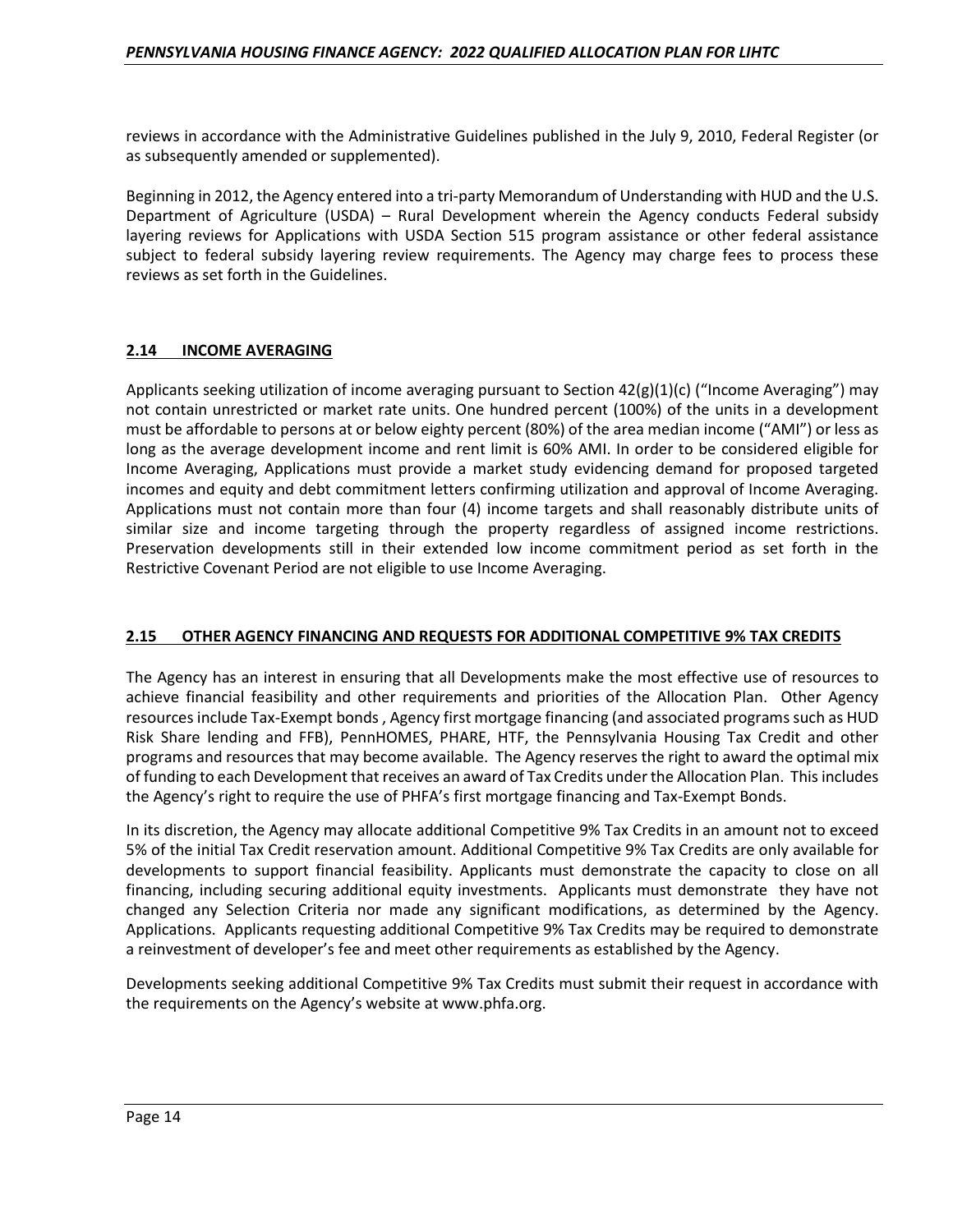reviews in accordance with the Administrative Guidelines published in the July 9, 2010, Federal Register (or as subsequently amended or supplemented).

Beginning in 2012, the Agency entered into a tri-party Memorandum of Understanding with HUD and the U.S. Department of Agriculture (USDA) – Rural Development wherein the Agency conducts Federal subsidy layering reviews for Applications with USDA Section 515 program assistance or other federal assistance subject to federal subsidy layering review requirements. The Agency may charge fees to process these reviews as set forth in the Guidelines.

# **2.14 INCOME AVERAGING**

Applicants seeking utilization of income averaging pursuant to Section  $42(g)(1)(c)$  ("Income Averaging") may not contain unrestricted or market rate units. One hundred percent (100%) of the units in a development must be affordable to persons at or below eighty percent (80%) of the area median income ("AMI") or less as long as the average development income and rent limit is 60% AMI. In order to be considered eligible for Income Averaging, Applications must provide a market study evidencing demand for proposed targeted incomes and equity and debt commitment letters confirming utilization and approval of Income Averaging. Applications must not contain more than four (4) income targets and shall reasonably distribute units of similar size and income targeting through the property regardless of assigned income restrictions. Preservation developments still in their extended low income commitment period as set forth in the Restrictive Covenant Period are not eligible to use Income Averaging.

#### **2.15 OTHER AGENCY FINANCING AND REQUESTS FOR ADDITIONAL COMPETITIVE 9% TAX CREDITS**

The Agency has an interest in ensuring that all Developments make the most effective use of resources to achieve financial feasibility and other requirements and priorities of the Allocation Plan. Other Agency resources include Tax-Exempt bonds , Agency first mortgage financing (and associated programs such as HUD Risk Share lending and FFB), PennHOMES, PHARE, HTF, the Pennsylvania Housing Tax Credit and other programs and resources that may become available. The Agency reserves the right to award the optimal mix of funding to each Development that receives an award of Tax Credits under the Allocation Plan. This includes the Agency's right to require the use of PHFA's first mortgage financing and Tax-Exempt Bonds.

In its discretion, the Agency may allocate additional Competitive 9% Tax Credits in an amount not to exceed 5% of the initial Tax Credit reservation amount. Additional Competitive 9% Tax Credits are only available for developments to support financial feasibility. Applicants must demonstrate the capacity to close on all financing, including securing additional equity investments. Applicants must demonstrate they have not changed any Selection Criteria nor made any significant modifications, as determined by the Agency. Applications. Applicants requesting additional Competitive 9% Tax Credits may be required to demonstrate a reinvestment of developer's fee and meet other requirements as established by the Agency.

Developments seeking additional Competitive 9% Tax Credits must submit their request in accordance with the requirements on the Agency's website at www.phfa.org.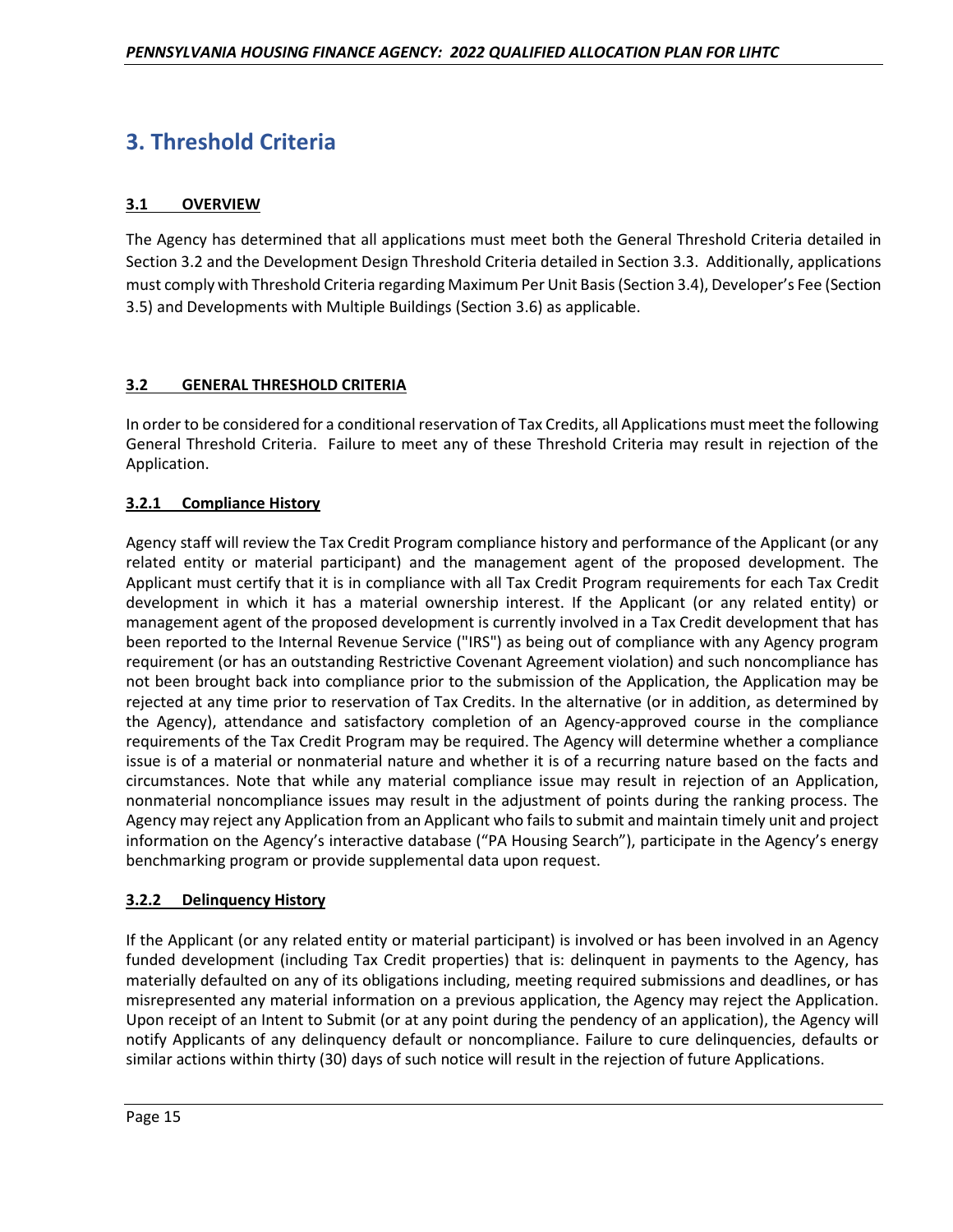# **3. Threshold Criteria**

# **3.1 OVERVIEW**

The Agency has determined that all applications must meet both the General Threshold Criteria detailed in Section 3.2 and the Development Design Threshold Criteria detailed in Section 3.3. Additionally, applications must comply with Threshold Criteria regarding Maximum Per Unit Basis (Section 3.4), Developer's Fee (Section 3.5) and Developments with Multiple Buildings (Section 3.6) as applicable.

# **3.2 GENERAL THRESHOLD CRITERIA**

In order to be considered for a conditional reservation of Tax Credits, all Applications must meet the following General Threshold Criteria. Failure to meet any of these Threshold Criteria may result in rejection of the Application.

# **3.2.1 Compliance History**

Agency staff will review the Tax Credit Program compliance history and performance of the Applicant (or any related entity or material participant) and the management agent of the proposed development. The Applicant must certify that it is in compliance with all Tax Credit Program requirements for each Tax Credit development in which it has a material ownership interest. If the Applicant (or any related entity) or management agent of the proposed development is currently involved in a Tax Credit development that has been reported to the Internal Revenue Service ("IRS") as being out of compliance with any Agency program requirement (or has an outstanding Restrictive Covenant Agreement violation) and such noncompliance has not been brought back into compliance prior to the submission of the Application, the Application may be rejected at any time prior to reservation of Tax Credits. In the alternative (or in addition, as determined by the Agency), attendance and satisfactory completion of an Agency-approved course in the compliance requirements of the Tax Credit Program may be required. The Agency will determine whether a compliance issue is of a material or nonmaterial nature and whether it is of a recurring nature based on the facts and circumstances. Note that while any material compliance issue may result in rejection of an Application, nonmaterial noncompliance issues may result in the adjustment of points during the ranking process. The Agency may reject any Application from an Applicant who fails to submit and maintain timely unit and project information on the Agency's interactive database ("PA Housing Search"), participate in the Agency's energy benchmarking program or provide supplemental data upon request.

# **3.2.2 Delinquency History**

If the Applicant (or any related entity or material participant) is involved or has been involved in an Agency funded development (including Tax Credit properties) that is: delinquent in payments to the Agency, has materially defaulted on any of its obligations including, meeting required submissions and deadlines, or has misrepresented any material information on a previous application, the Agency may reject the Application. Upon receipt of an Intent to Submit (or at any point during the pendency of an application), the Agency will notify Applicants of any delinquency default or noncompliance. Failure to cure delinquencies, defaults or similar actions within thirty (30) days of such notice will result in the rejection of future Applications.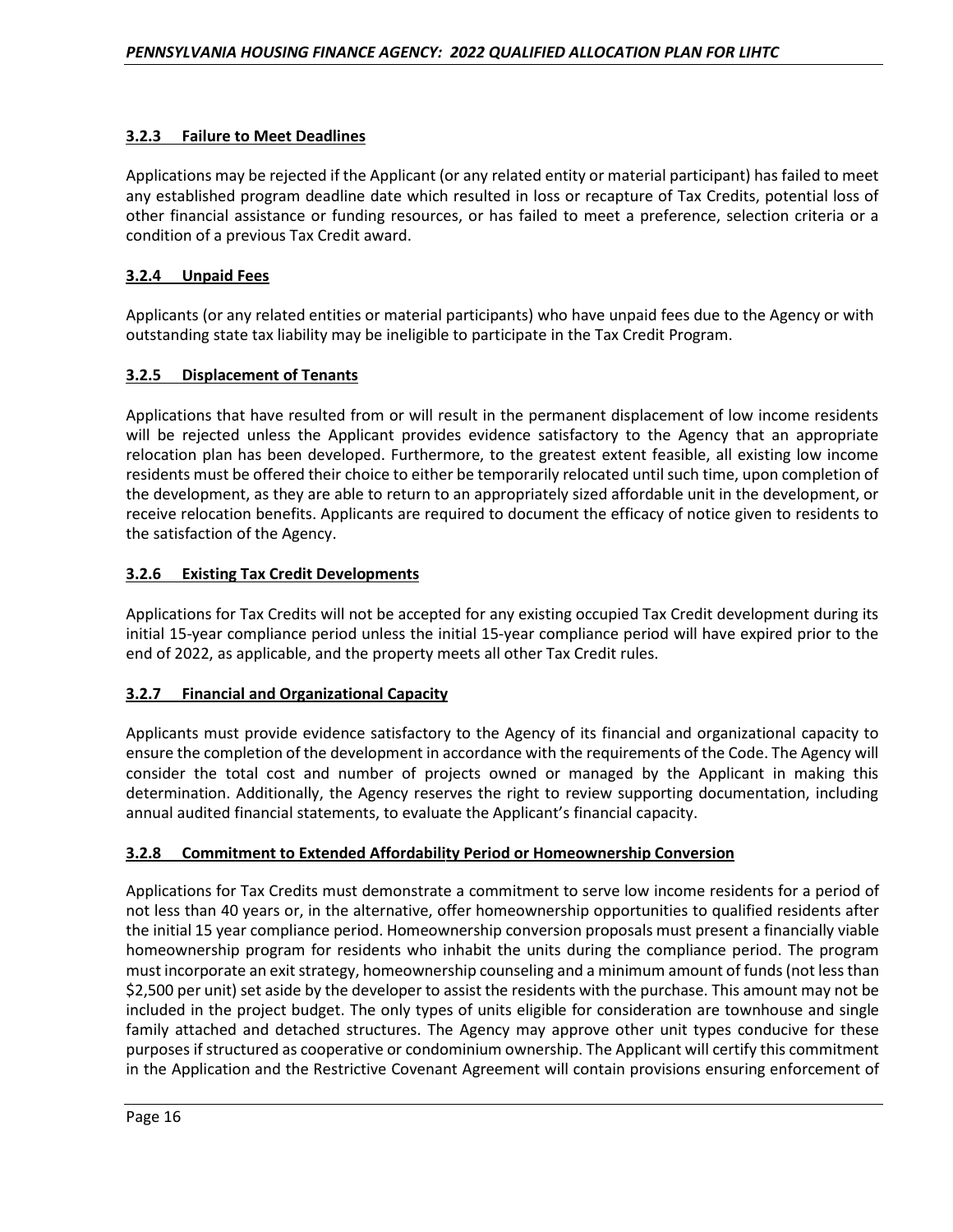# **3.2.3 Failure to Meet Deadlines**

Applications may be rejected if the Applicant (or any related entity or material participant) has failed to meet any established program deadline date which resulted in loss or recapture of Tax Credits, potential loss of other financial assistance or funding resources, or has failed to meet a preference, selection criteria or a condition of a previous Tax Credit award.

## **3.2.4 Unpaid Fees**

Applicants (or any related entities or material participants) who have unpaid fees due to the Agency or with outstanding state tax liability may be ineligible to participate in the Tax Credit Program.

# **3.2.5 Displacement of Tenants**

Applications that have resulted from or will result in the permanent displacement of low income residents will be rejected unless the Applicant provides evidence satisfactory to the Agency that an appropriate relocation plan has been developed. Furthermore, to the greatest extent feasible, all existing low income residents must be offered their choice to either be temporarily relocated until such time, upon completion of the development, as they are able to return to an appropriately sized affordable unit in the development, or receive relocation benefits. Applicants are required to document the efficacy of notice given to residents to the satisfaction of the Agency.

# **3.2.6 Existing Tax Credit Developments**

Applications for Tax Credits will not be accepted for any existing occupied Tax Credit development during its initial 15-year compliance period unless the initial 15-year compliance period will have expired prior to the end of 2022, as applicable, and the property meets all other Tax Credit rules.

# **3.2.7 Financial and Organizational Capacity**

Applicants must provide evidence satisfactory to the Agency of its financial and organizational capacity to ensure the completion of the development in accordance with the requirements of the Code. The Agency will consider the total cost and number of projects owned or managed by the Applicant in making this determination. Additionally, the Agency reserves the right to review supporting documentation, including annual audited financial statements, to evaluate the Applicant's financial capacity.

#### **3.2.8 Commitment to Extended Affordability Period or Homeownership Conversion**

Applications for Tax Credits must demonstrate a commitment to serve low income residents for a period of not less than 40 years or, in the alternative, offer homeownership opportunities to qualified residents after the initial 15 year compliance period. Homeownership conversion proposals must present a financially viable homeownership program for residents who inhabit the units during the compliance period. The program must incorporate an exit strategy, homeownership counseling and a minimum amount of funds (not less than \$2,500 per unit) set aside by the developer to assist the residents with the purchase. This amount may not be included in the project budget. The only types of units eligible for consideration are townhouse and single family attached and detached structures. The Agency may approve other unit types conducive for these purposes if structured as cooperative or condominium ownership. The Applicant will certify this commitment in the Application and the Restrictive Covenant Agreement will contain provisions ensuring enforcement of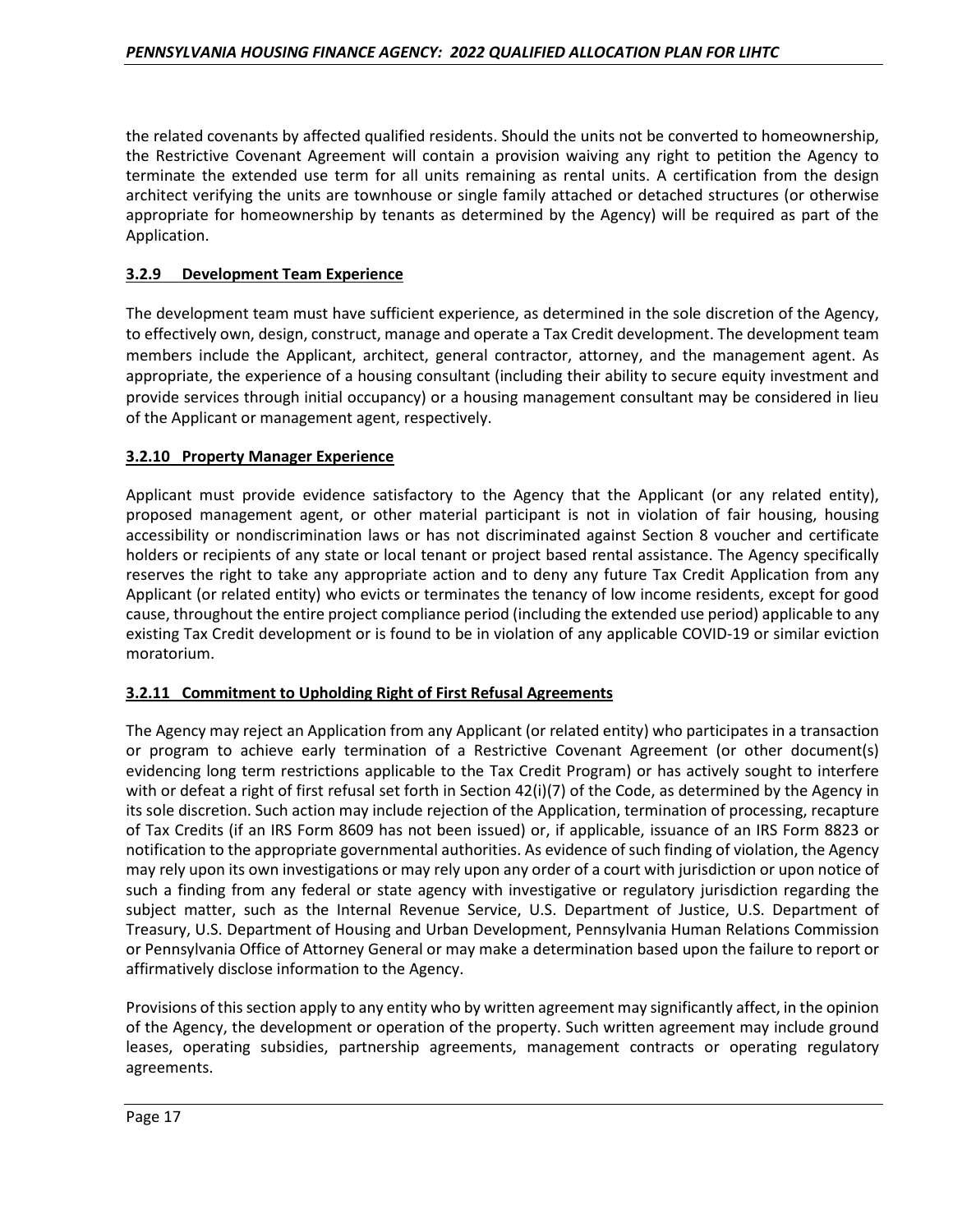the related covenants by affected qualified residents. Should the units not be converted to homeownership, the Restrictive Covenant Agreement will contain a provision waiving any right to petition the Agency to terminate the extended use term for all units remaining as rental units. A certification from the design architect verifying the units are townhouse or single family attached or detached structures (or otherwise appropriate for homeownership by tenants as determined by the Agency) will be required as part of the Application.

# **3.2.9 Development Team Experience**

The development team must have sufficient experience, as determined in the sole discretion of the Agency, to effectively own, design, construct, manage and operate a Tax Credit development. The development team members include the Applicant, architect, general contractor, attorney, and the management agent. As appropriate, the experience of a housing consultant (including their ability to secure equity investment and provide services through initial occupancy) or a housing management consultant may be considered in lieu of the Applicant or management agent, respectively.

# **3.2.10 Property Manager Experience**

Applicant must provide evidence satisfactory to the Agency that the Applicant (or any related entity), proposed management agent, or other material participant is not in violation of fair housing, housing accessibility or nondiscrimination laws or has not discriminated against Section 8 voucher and certificate holders or recipients of any state or local tenant or project based rental assistance. The Agency specifically reserves the right to take any appropriate action and to deny any future Tax Credit Application from any Applicant (or related entity) who evicts or terminates the tenancy of low income residents, except for good cause, throughout the entire project compliance period (including the extended use period) applicable to any existing Tax Credit development or is found to be in violation of any applicable COVID-19 or similar eviction moratorium.

#### **3.2.11 Commitment to Upholding Right of First Refusal Agreements**

The Agency may reject an Application from any Applicant (or related entity) who participates in a transaction or program to achieve early termination of a Restrictive Covenant Agreement (or other document(s) evidencing long term restrictions applicable to the Tax Credit Program) or has actively sought to interfere with or defeat a right of first refusal set forth in Section 42(i)(7) of the Code, as determined by the Agency in its sole discretion. Such action may include rejection of the Application, termination of processing, recapture of Tax Credits (if an IRS Form 8609 has not been issued) or, if applicable, issuance of an IRS Form 8823 or notification to the appropriate governmental authorities. As evidence of such finding of violation, the Agency may rely upon its own investigations or may rely upon any order of a court with jurisdiction or upon notice of such a finding from any federal or state agency with investigative or regulatory jurisdiction regarding the subject matter, such as the Internal Revenue Service, U.S. Department of Justice, U.S. Department of Treasury, U.S. Department of Housing and Urban Development, Pennsylvania Human Relations Commission or Pennsylvania Office of Attorney General or may make a determination based upon the failure to report or affirmatively disclose information to the Agency.

Provisions of this section apply to any entity who by written agreement may significantly affect, in the opinion of the Agency, the development or operation of the property. Such written agreement may include ground leases, operating subsidies, partnership agreements, management contracts or operating regulatory agreements.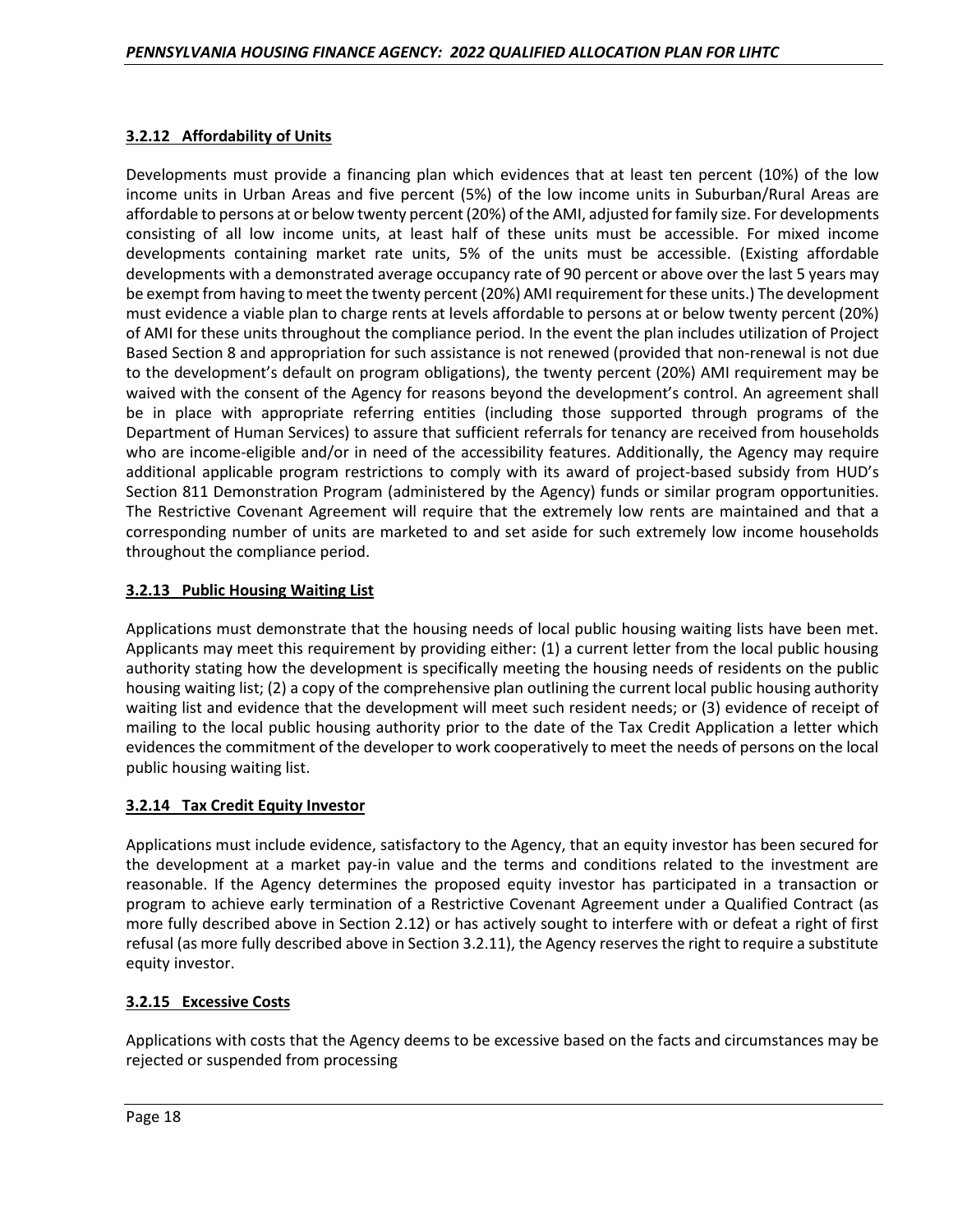# **3.2.12 Affordability of Units**

Developments must provide a financing plan which evidences that at least ten percent (10%) of the low income units in Urban Areas and five percent (5%) of the low income units in Suburban/Rural Areas are affordable to persons at or below twenty percent (20%) of the AMI, adjusted for family size. For developments consisting of all low income units, at least half of these units must be accessible. For mixed income developments containing market rate units, 5% of the units must be accessible. (Existing affordable developments with a demonstrated average occupancy rate of 90 percent or above over the last 5 years may be exempt from having to meet the twenty percent (20%) AMI requirement for these units.) The development must evidence a viable plan to charge rents at levels affordable to persons at or below twenty percent (20%) of AMI for these units throughout the compliance period. In the event the plan includes utilization of Project Based Section 8 and appropriation for such assistance is not renewed (provided that non-renewal is not due to the development's default on program obligations), the twenty percent (20%) AMI requirement may be waived with the consent of the Agency for reasons beyond the development's control. An agreement shall be in place with appropriate referring entities (including those supported through programs of the Department of Human Services) to assure that sufficient referrals for tenancy are received from households who are income-eligible and/or in need of the accessibility features. Additionally, the Agency may require additional applicable program restrictions to comply with its award of project-based subsidy from HUD's Section 811 Demonstration Program (administered by the Agency) funds or similar program opportunities. The Restrictive Covenant Agreement will require that the extremely low rents are maintained and that a corresponding number of units are marketed to and set aside for such extremely low income households throughout the compliance period.

# **3.2.13 Public Housing Waiting List**

Applications must demonstrate that the housing needs of local public housing waiting lists have been met. Applicants may meet this requirement by providing either: (1) a current letter from the local public housing authority stating how the development is specifically meeting the housing needs of residents on the public housing waiting list; (2) a copy of the comprehensive plan outlining the current local public housing authority waiting list and evidence that the development will meet such resident needs; or (3) evidence of receipt of mailing to the local public housing authority prior to the date of the Tax Credit Application a letter which evidences the commitment of the developer to work cooperatively to meet the needs of persons on the local public housing waiting list.

# **3.2.14 Tax Credit Equity Investor**

Applications must include evidence, satisfactory to the Agency, that an equity investor has been secured for the development at a market pay-in value and the terms and conditions related to the investment are reasonable. If the Agency determines the proposed equity investor has participated in a transaction or program to achieve early termination of a Restrictive Covenant Agreement under a Qualified Contract (as more fully described above in Section 2.12) or has actively sought to interfere with or defeat a right of first refusal (as more fully described above in Section 3.2.11), the Agency reserves the right to require a substitute equity investor.

# **3.2.15 Excessive Costs**

Applications with costs that the Agency deems to be excessive based on the facts and circumstances may be rejected or suspended from processing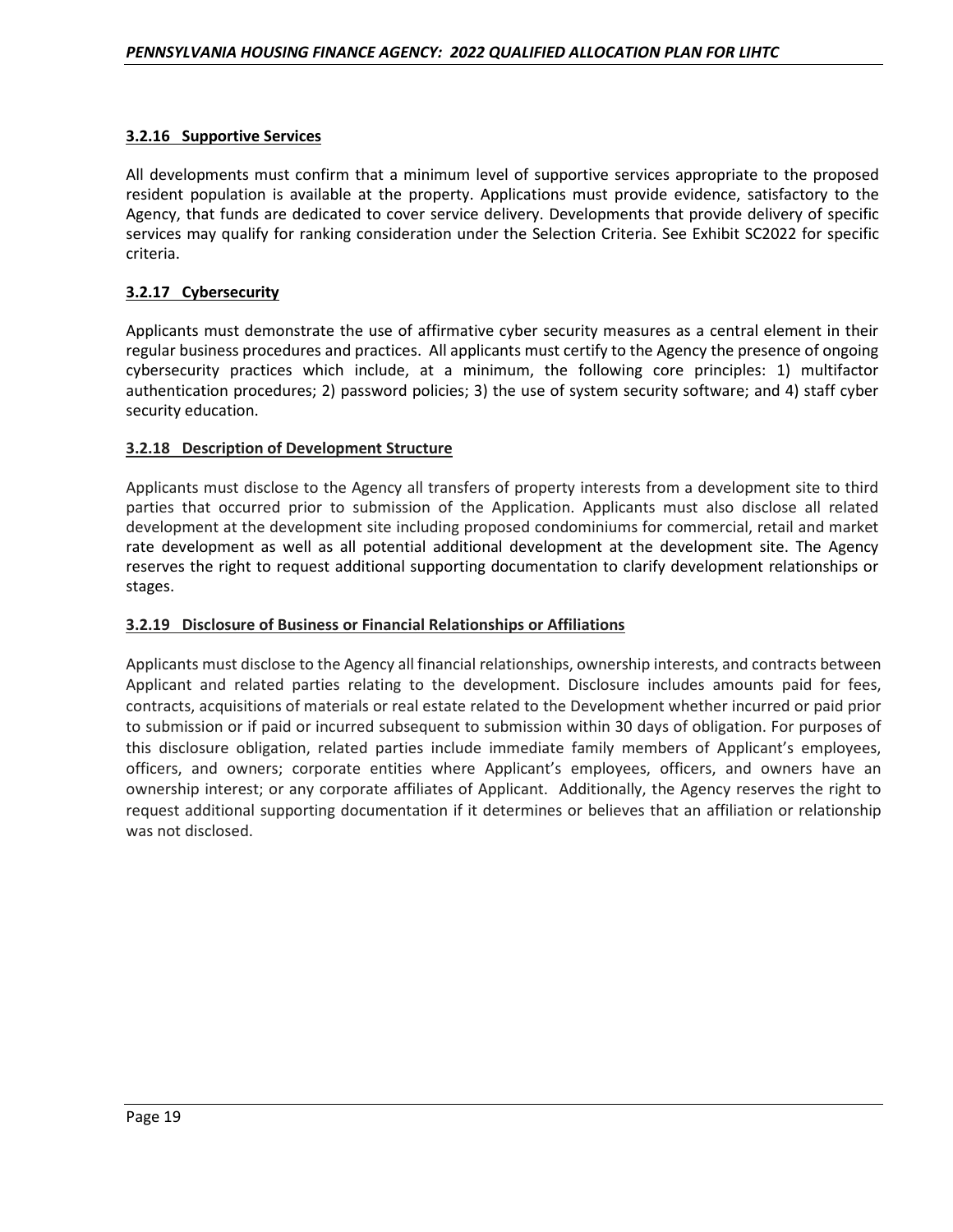# **3.2.16 Supportive Services**

All developments must confirm that a minimum level of supportive services appropriate to the proposed resident population is available at the property. Applications must provide evidence, satisfactory to the Agency, that funds are dedicated to cover service delivery. Developments that provide delivery of specific services may qualify for ranking consideration under the Selection Criteria. See Exhibit SC2022 for specific criteria.

# **3.2.17 Cybersecurity**

Applicants must demonstrate the use of affirmative cyber security measures as a central element in their regular business procedures and practices. All applicants must certify to the Agency the presence of ongoing cybersecurity practices which include, at a minimum, the following core principles: 1) multifactor authentication procedures; 2) password policies; 3) the use of system security software; and 4) staff cyber security education.

#### **3.2.18 Description of Development Structure**

Applicants must disclose to the Agency all transfers of property interests from a development site to third parties that occurred prior to submission of the Application. Applicants must also disclose all related development at the development site including proposed condominiums for commercial, retail and market rate development as well as all potential additional development at the development site. The Agency reserves the right to request additional supporting documentation to clarify development relationships or stages.

#### **3.2.19 Disclosure of Business or Financial Relationships or Affiliations**

Applicants must disclose to the Agency all financial relationships, ownership interests, and contracts between Applicant and related parties relating to the development. Disclosure includes amounts paid for fees, contracts, acquisitions of materials or real estate related to the Development whether incurred or paid prior to submission or if paid or incurred subsequent to submission within 30 days of obligation. For purposes of this disclosure obligation, related parties include immediate family members of Applicant's employees, officers, and owners; corporate entities where Applicant's employees, officers, and owners have an ownership interest; or any corporate affiliates of Applicant. Additionally, the Agency reserves the right to request additional supporting documentation if it determines or believes that an affiliation or relationship was not disclosed.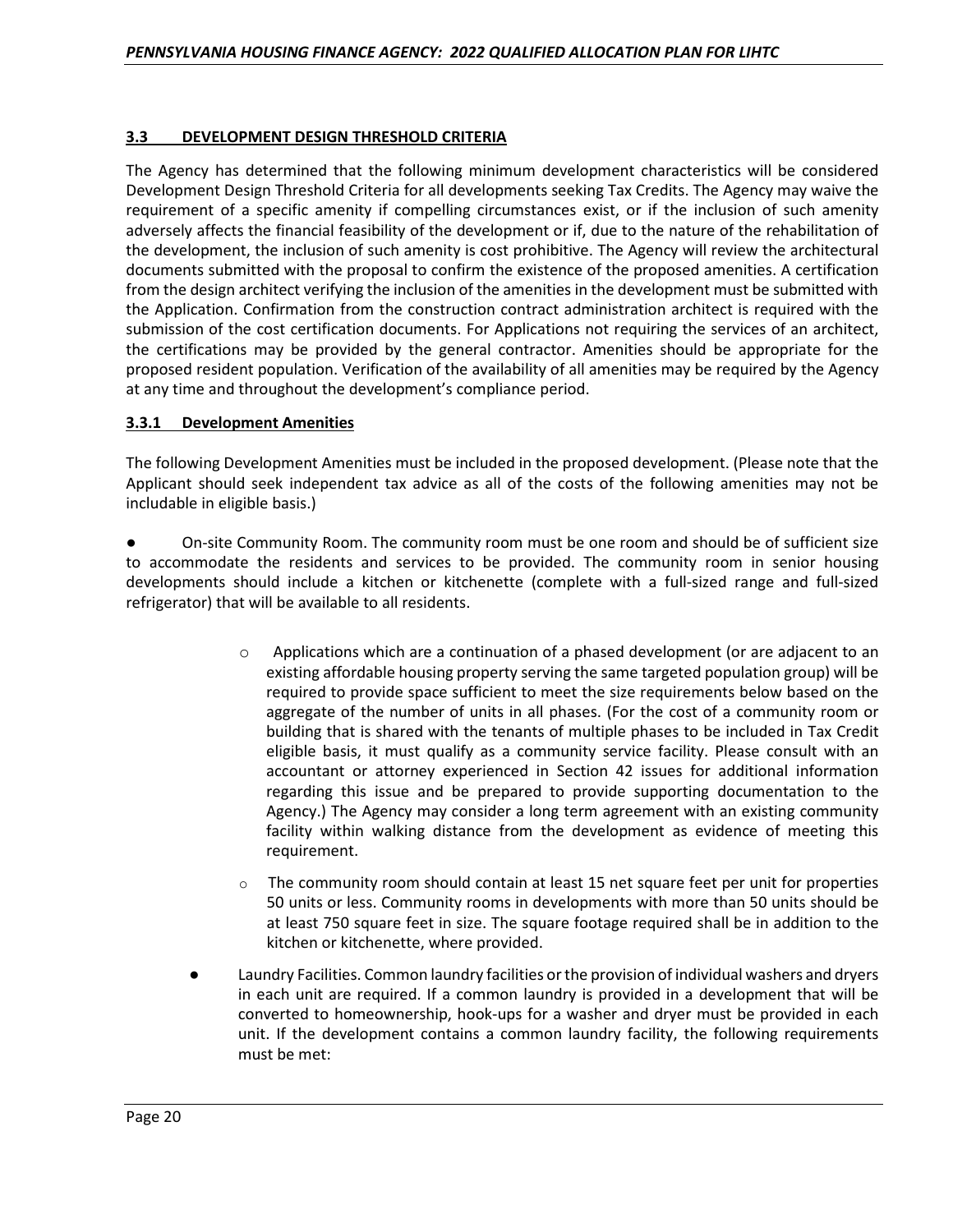# **3.3 DEVELOPMENT DESIGN THRESHOLD CRITERIA**

The Agency has determined that the following minimum development characteristics will be considered Development Design Threshold Criteria for all developments seeking Tax Credits. The Agency may waive the requirement of a specific amenity if compelling circumstances exist, or if the inclusion of such amenity adversely affects the financial feasibility of the development or if, due to the nature of the rehabilitation of the development, the inclusion of such amenity is cost prohibitive. The Agency will review the architectural documents submitted with the proposal to confirm the existence of the proposed amenities. A certification from the design architect verifying the inclusion of the amenities in the development must be submitted with the Application. Confirmation from the construction contract administration architect is required with the submission of the cost certification documents. For Applications not requiring the services of an architect, the certifications may be provided by the general contractor. Amenities should be appropriate for the proposed resident population. Verification of the availability of all amenities may be required by the Agency at any time and throughout the development's compliance period.

# **3.3.1 Development Amenities**

The following Development Amenities must be included in the proposed development. (Please note that the Applicant should seek independent tax advice as all of the costs of the following amenities may not be includable in eligible basis.)

● On-site Community Room. The community room must be one room and should be of sufficient size to accommodate the residents and services to be provided. The community room in senior housing developments should include a kitchen or kitchenette (complete with a full-sized range and full-sized refrigerator) that will be available to all residents.

- Applications which are a continuation of a phased development (or are adjacent to an existing affordable housing property serving the same targeted population group) will be required to provide space sufficient to meet the size requirements below based on the aggregate of the number of units in all phases. (For the cost of a community room or building that is shared with the tenants of multiple phases to be included in Tax Credit eligible basis, it must qualify as a community service facility. Please consult with an accountant or attorney experienced in Section 42 issues for additional information regarding this issue and be prepared to provide supporting documentation to the Agency.) The Agency may consider a long term agreement with an existing community facility within walking distance from the development as evidence of meeting this requirement.
- The community room should contain at least 15 net square feet per unit for properties 50 units or less. Community rooms in developments with more than 50 units should be at least 750 square feet in size. The square footage required shall be in addition to the kitchen or kitchenette, where provided.
- Laundry Facilities. Common laundry facilities or the provision of individual washers and dryers in each unit are required. If a common laundry is provided in a development that will be converted to homeownership, hook-ups for a washer and dryer must be provided in each unit. If the development contains a common laundry facility, the following requirements must be met: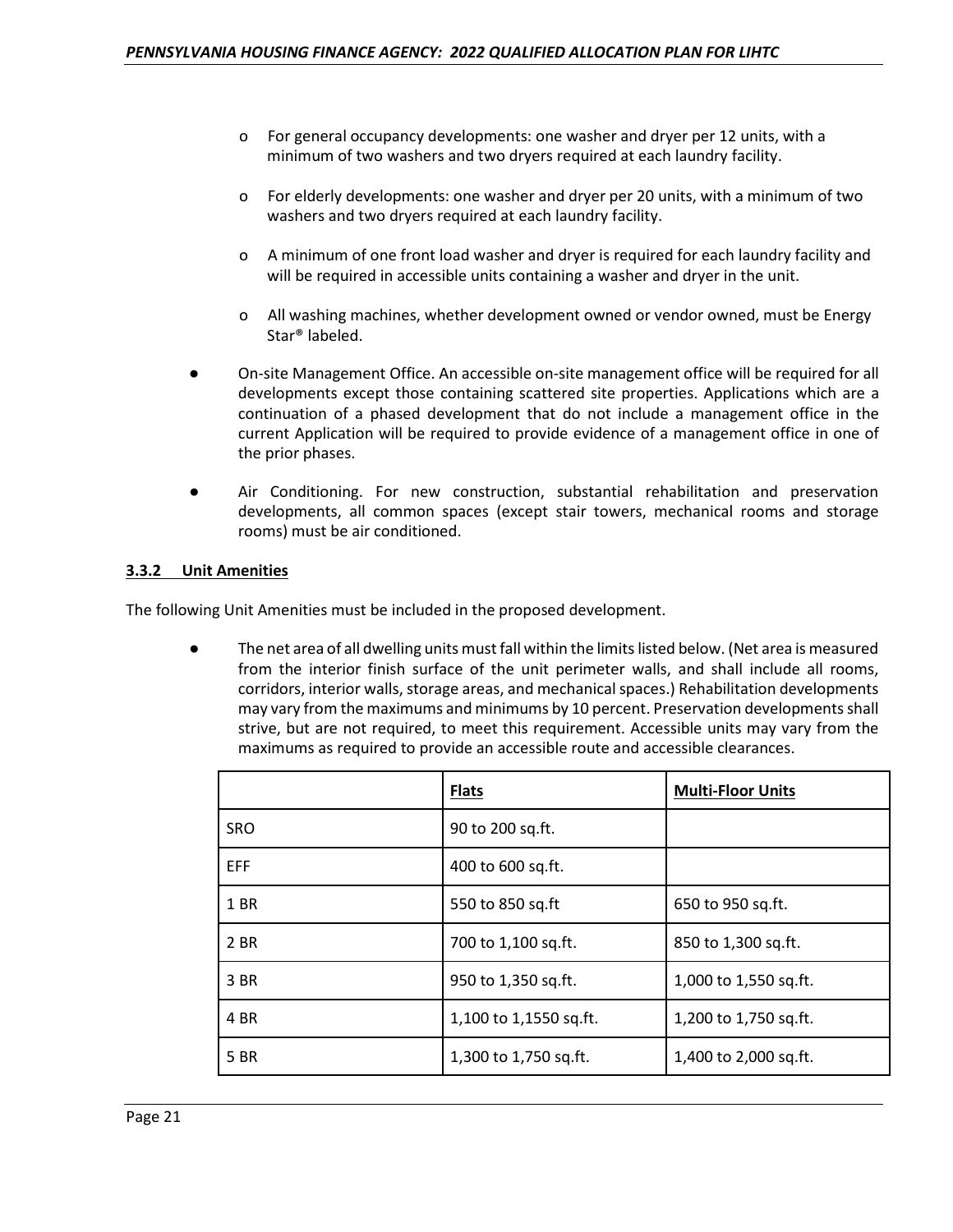- o For general occupancy developments: one washer and dryer per 12 units, with a minimum of two washers and two dryers required at each laundry facility.
- o For elderly developments: one washer and dryer per 20 units, with a minimum of two washers and two dryers required at each laundry facility.
- o A minimum of one front load washer and dryer is required for each laundry facility and will be required in accessible units containing a washer and dryer in the unit.
- o All washing machines, whether development owned or vendor owned, must be Energy Star® labeled.
- On-site Management Office. An accessible on-site management office will be required for all developments except those containing scattered site properties. Applications which are a continuation of a phased development that do not include a management office in the current Application will be required to provide evidence of a management office in one of the prior phases.
- Air Conditioning. For new construction, substantial rehabilitation and preservation developments, all common spaces (except stair towers, mechanical rooms and storage rooms) must be air conditioned.

# **3.3.2 Unit Amenities**

The following Unit Amenities must be included in the proposed development.

The net area of all dwelling units must fall within the limits listed below. (Net area is measured from the interior finish surface of the unit perimeter walls, and shall include all rooms, corridors, interior walls, storage areas, and mechanical spaces.) Rehabilitation developments may vary from the maximums and minimums by 10 percent. Preservation developments shall strive, but are not required, to meet this requirement. Accessible units may vary from the maximums as required to provide an accessible route and accessible clearances.

|            | <b>Flats</b>           | <b>Multi-Floor Units</b> |
|------------|------------------------|--------------------------|
| <b>SRO</b> | 90 to 200 sq.ft.       |                          |
| <b>EFF</b> | 400 to 600 sq.ft.      |                          |
| 1 BR       | 550 to 850 sq.ft       | 650 to 950 sq.ft.        |
| 2 BR       | 700 to 1,100 sq.ft.    | 850 to 1,300 sq.ft.      |
| 3 BR       | 950 to 1,350 sq.ft.    | 1,000 to 1,550 sq.ft.    |
| 4 BR       | 1,100 to 1,1550 sq.ft. | 1,200 to 1,750 sq.ft.    |
| 5 BR       | 1,300 to 1,750 sq.ft.  | 1,400 to 2,000 sq.ft.    |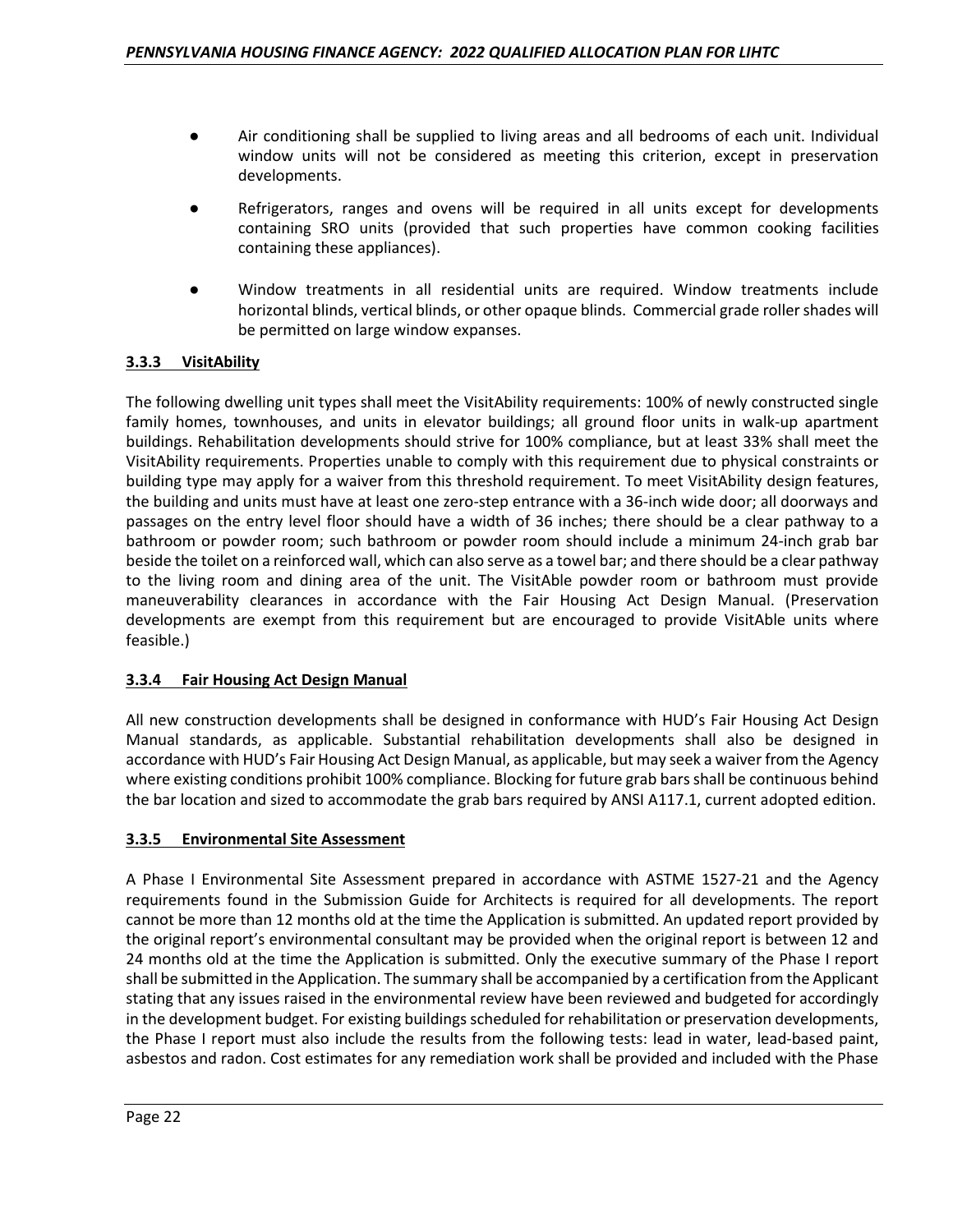- Air conditioning shall be supplied to living areas and all bedrooms of each unit. Individual window units will not be considered as meeting this criterion, except in preservation developments.
- Refrigerators, ranges and ovens will be required in all units except for developments containing SRO units (provided that such properties have common cooking facilities containing these appliances).
- Window treatments in all residential units are required. Window treatments include horizontal blinds, vertical blinds, or other opaque blinds. Commercial grade roller shades will be permitted on large window expanses.

# **3.3.3 VisitAbility**

The following dwelling unit types shall meet the VisitAbility requirements: 100% of newly constructed single family homes, townhouses, and units in elevator buildings; all ground floor units in walk-up apartment buildings. Rehabilitation developments should strive for 100% compliance, but at least 33% shall meet the VisitAbility requirements. Properties unable to comply with this requirement due to physical constraints or building type may apply for a waiver from this threshold requirement. To meet VisitAbility design features, the building and units must have at least one zero-step entrance with a 36-inch wide door; all doorways and passages on the entry level floor should have a width of 36 inches; there should be a clear pathway to a bathroom or powder room; such bathroom or powder room should include a minimum 24-inch grab bar beside the toilet on a reinforced wall, which can also serve as a towel bar; and there should be a clear pathway to the living room and dining area of the unit. The VisitAble powder room or bathroom must provide maneuverability clearances in accordance with the Fair Housing Act Design Manual. (Preservation developments are exempt from this requirement but are encouraged to provide VisitAble units where feasible.)

# **3.3.4 Fair Housing Act Design Manual**

All new construction developments shall be designed in conformance with HUD's Fair Housing Act Design Manual standards, as applicable. Substantial rehabilitation developments shall also be designed in accordance with HUD's Fair Housing Act Design Manual, as applicable, but may seek a waiver from the Agency where existing conditions prohibit 100% compliance. Blocking for future grab bars shall be continuous behind the bar location and sized to accommodate the grab bars required by ANSI A117.1, current adopted edition.

# **3.3.5 Environmental Site Assessment**

A Phase I Environmental Site Assessment prepared in accordance with ASTME 1527-21 and the Agency requirements found in the Submission Guide for Architects is required for all developments. The report cannot be more than 12 months old at the time the Application is submitted. An updated report provided by the original report's environmental consultant may be provided when the original report is between 12 and 24 months old at the time the Application is submitted. Only the executive summary of the Phase I report shall be submitted in the Application. The summary shall be accompanied by a certification from the Applicant stating that any issues raised in the environmental review have been reviewed and budgeted for accordingly in the development budget. For existing buildings scheduled for rehabilitation or preservation developments, the Phase I report must also include the results from the following tests: lead in water, lead-based paint, asbestos and radon. Cost estimates for any remediation work shall be provided and included with the Phase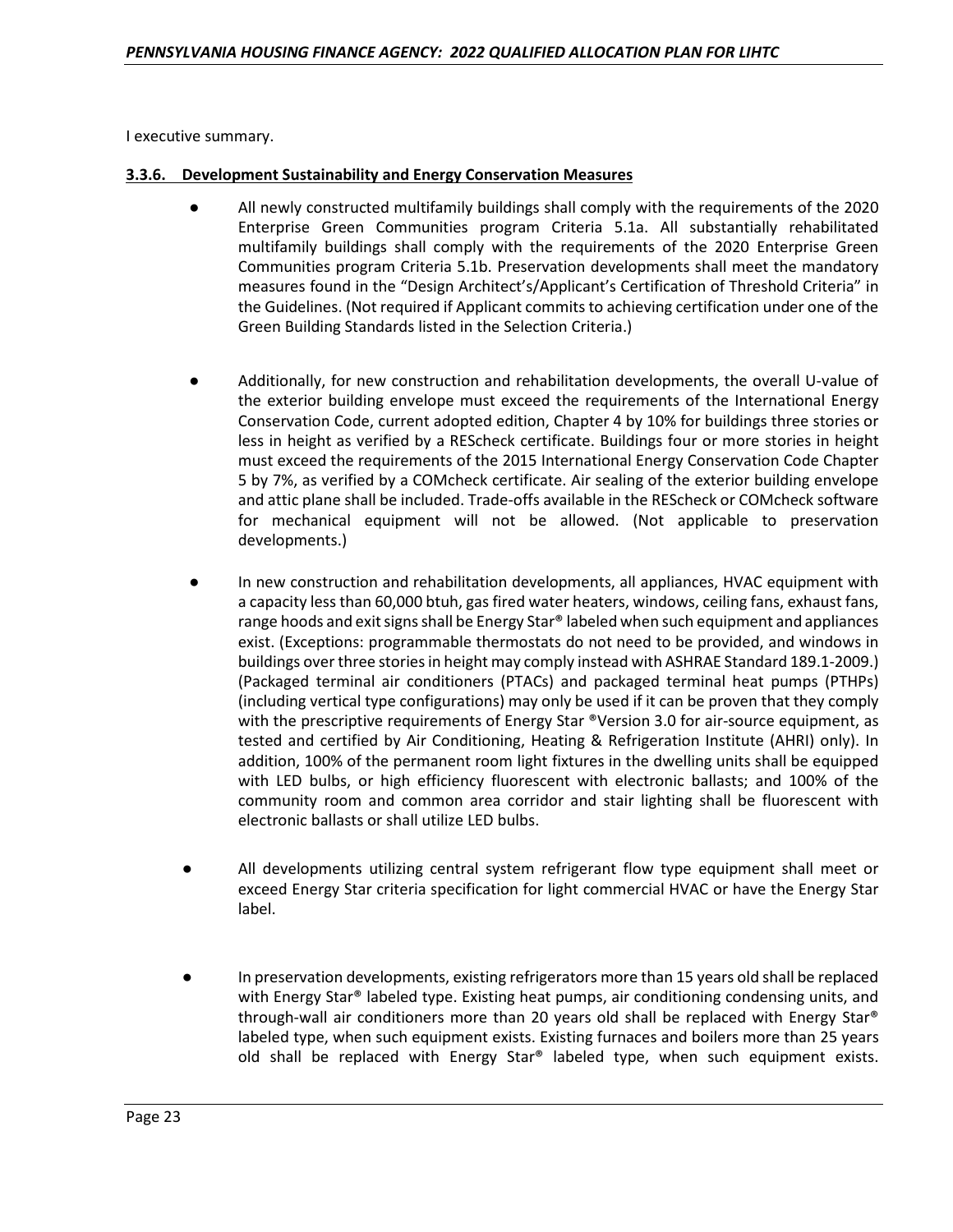I executive summary.

#### **3.3.6. Development Sustainability and Energy Conservation Measures**

- All newly constructed multifamily buildings shall comply with the requirements of the 2020 Enterprise Green Communities program Criteria 5.1a. All substantially rehabilitated multifamily buildings shall comply with the requirements of the 2020 Enterprise Green Communities program Criteria 5.1b. Preservation developments shall meet the mandatory measures found in the "Design Architect's/Applicant's Certification of Threshold Criteria" in the Guidelines. (Not required if Applicant commits to achieving certification under one of the Green Building Standards listed in the Selection Criteria.)
- Additionally, for new construction and rehabilitation developments, the overall U-value of the exterior building envelope must exceed the requirements of the International Energy Conservation Code, current adopted edition, Chapter 4 by 10% for buildings three stories or less in height as verified by a REScheck certificate. Buildings four or more stories in height must exceed the requirements of the 2015 International Energy Conservation Code Chapter 5 by 7%, as verified by a COMcheck certificate. Air sealing of the exterior building envelope and attic plane shall be included. Trade-offs available in the REScheck or COMcheck software for mechanical equipment will not be allowed. (Not applicable to preservation developments.)
- In new construction and rehabilitation developments, all appliances, HVAC equipment with a capacity less than 60,000 btuh, gas fired water heaters, windows, ceiling fans, exhaust fans, range hoods and exit signs shall be Energy Star® labeled when such equipment and appliances exist. (Exceptions: programmable thermostats do not need to be provided, and windows in buildings over three stories in height may comply instead with ASHRAE Standard 189.1-2009.) (Packaged terminal air conditioners (PTACs) and packaged terminal heat pumps (PTHPs) (including vertical type configurations) may only be used if it can be proven that they comply with the prescriptive requirements of Energy Star  $\Phi$ Version 3.0 for air-source equipment, as tested and certified by Air Conditioning, Heating & Refrigeration Institute (AHRI) only). In addition, 100% of the permanent room light fixtures in the dwelling units shall be equipped with LED bulbs, or high efficiency fluorescent with electronic ballasts; and 100% of the community room and common area corridor and stair lighting shall be fluorescent with electronic ballasts or shall utilize LED bulbs.
- All developments utilizing central system refrigerant flow type equipment shall meet or exceed Energy Star criteria specification for light commercial HVAC or have the Energy Star label.
- In preservation developments, existing refrigerators more than 15 years old shall be replaced with Energy Star® labeled type. Existing heat pumps, air conditioning condensing units, and through-wall air conditioners more than 20 years old shall be replaced with Energy Star® labeled type, when such equipment exists. Existing furnaces and boilers more than 25 years old shall be replaced with Energy Star® labeled type, when such equipment exists.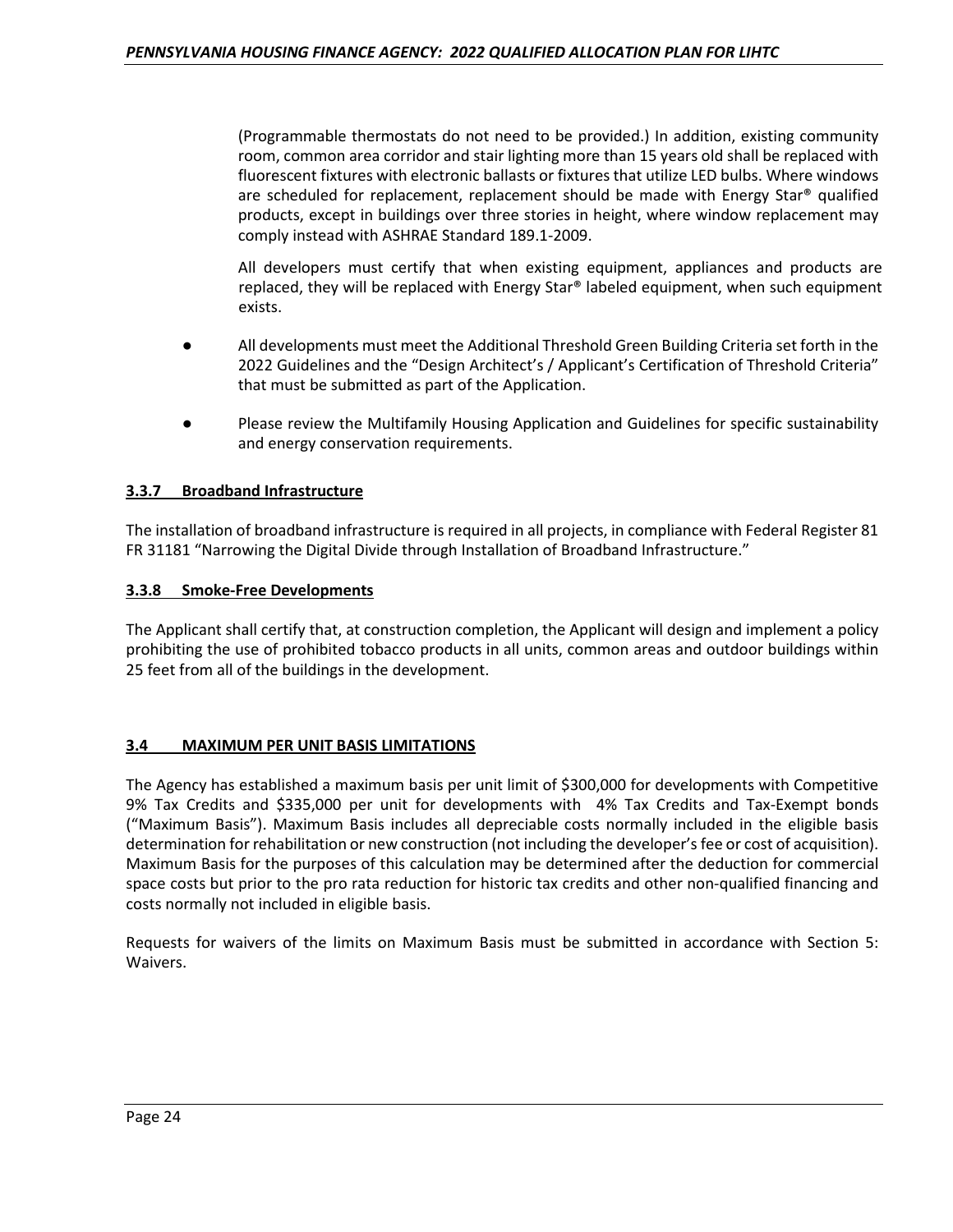(Programmable thermostats do not need to be provided.) In addition, existing community room, common area corridor and stair lighting more than 15 years old shall be replaced with fluorescent fixtures with electronic ballasts or fixtures that utilize LED bulbs. Where windows are scheduled for replacement, replacement should be made with Energy Star® qualified products, except in buildings over three stories in height, where window replacement may comply instead with ASHRAE Standard 189.1-2009.

All developers must certify that when existing equipment, appliances and products are replaced, they will be replaced with Energy Star® labeled equipment, when such equipment exists.

- All developments must meet the Additional Threshold Green Building Criteria set forth in the 2022 Guidelines and the "Design Architect's / Applicant's Certification of Threshold Criteria" that must be submitted as part of the Application.
- Please review the Multifamily Housing Application and Guidelines for specific sustainability and energy conservation requirements.

# **3.3.7 Broadband Infrastructure**

The installation of broadband infrastructure is required in all projects, in compliance with Federal Register 81 FR 31181 "Narrowing the Digital Divide through Installation of Broadband Infrastructure."

#### **3.3.8 Smoke-Free Developments**

The Applicant shall certify that, at construction completion, the Applicant will design and implement a policy prohibiting the use of prohibited tobacco products in all units, common areas and outdoor buildings within 25 feet from all of the buildings in the development.

#### **3.4 MAXIMUM PER UNIT BASIS LIMITATIONS**

The Agency has established a maximum basis per unit limit of \$300,000 for developments with Competitive 9% Tax Credits and \$335,000 per unit for developments with 4% Tax Credits and Tax-Exempt bonds ("Maximum Basis"). Maximum Basis includes all depreciable costs normally included in the eligible basis determination for rehabilitation or new construction (not including the developer's fee or cost of acquisition). Maximum Basis for the purposes of this calculation may be determined after the deduction for commercial space costs but prior to the pro rata reduction for historic tax credits and other non-qualified financing and costs normally not included in eligible basis.

Requests for waivers of the limits on Maximum Basis must be submitted in accordance with Section 5: Waivers.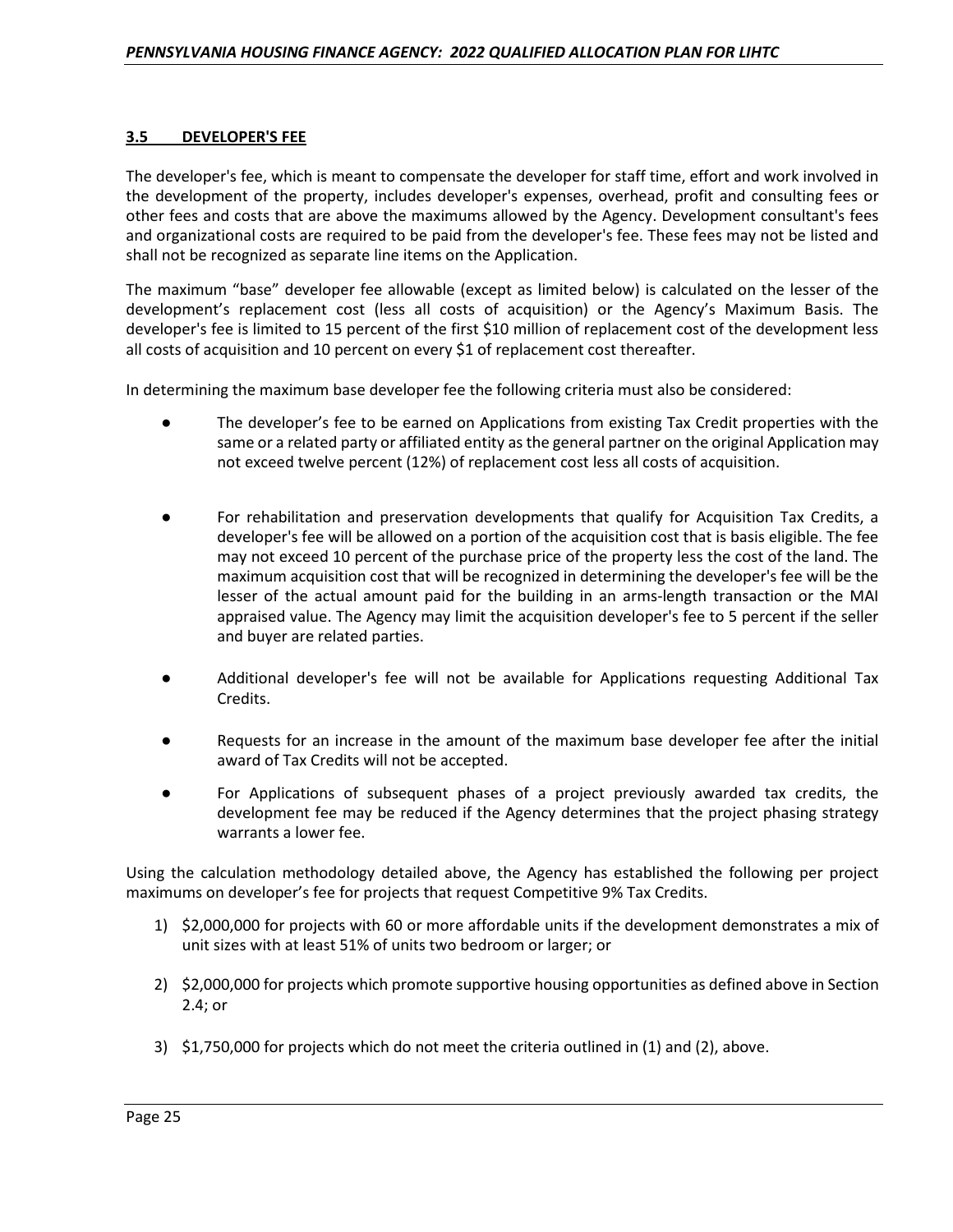## **3.5 DEVELOPER'S FEE**

The developer's fee, which is meant to compensate the developer for staff time, effort and work involved in the development of the property, includes developer's expenses, overhead, profit and consulting fees or other fees and costs that are above the maximums allowed by the Agency. Development consultant's fees and organizational costs are required to be paid from the developer's fee. These fees may not be listed and shall not be recognized as separate line items on the Application.

The maximum "base" developer fee allowable (except as limited below) is calculated on the lesser of the development's replacement cost (less all costs of acquisition) or the Agency's Maximum Basis. The developer's fee is limited to 15 percent of the first \$10 million of replacement cost of the development less all costs of acquisition and 10 percent on every \$1 of replacement cost thereafter.

In determining the maximum base developer fee the following criteria must also be considered:

- The developer's fee to be earned on Applications from existing Tax Credit properties with the same or a related party or affiliated entity as the general partner on the original Application may not exceed twelve percent (12%) of replacement cost less all costs of acquisition.
- For rehabilitation and preservation developments that qualify for Acquisition Tax Credits, a developer's fee will be allowed on a portion of the acquisition cost that is basis eligible. The fee may not exceed 10 percent of the purchase price of the property less the cost of the land. The maximum acquisition cost that will be recognized in determining the developer's fee will be the lesser of the actual amount paid for the building in an arms-length transaction or the MAI appraised value. The Agency may limit the acquisition developer's fee to 5 percent if the seller and buyer are related parties.
- Additional developer's fee will not be available for Applications requesting Additional Tax Credits.
- Requests for an increase in the amount of the maximum base developer fee after the initial award of Tax Credits will not be accepted.
- For Applications of subsequent phases of a project previously awarded tax credits, the development fee may be reduced if the Agency determines that the project phasing strategy warrants a lower fee.

Using the calculation methodology detailed above, the Agency has established the following per project maximums on developer's fee for projects that request Competitive 9% Tax Credits.

- 1) \$2,000,000 for projects with 60 or more affordable units if the development demonstrates a mix of unit sizes with at least 51% of units two bedroom or larger; or
- 2) \$2,000,000 for projects which promote supportive housing opportunities as defined above in Section 2.4; or
- 3) \$1,750,000 for projects which do not meet the criteria outlined in (1) and (2), above.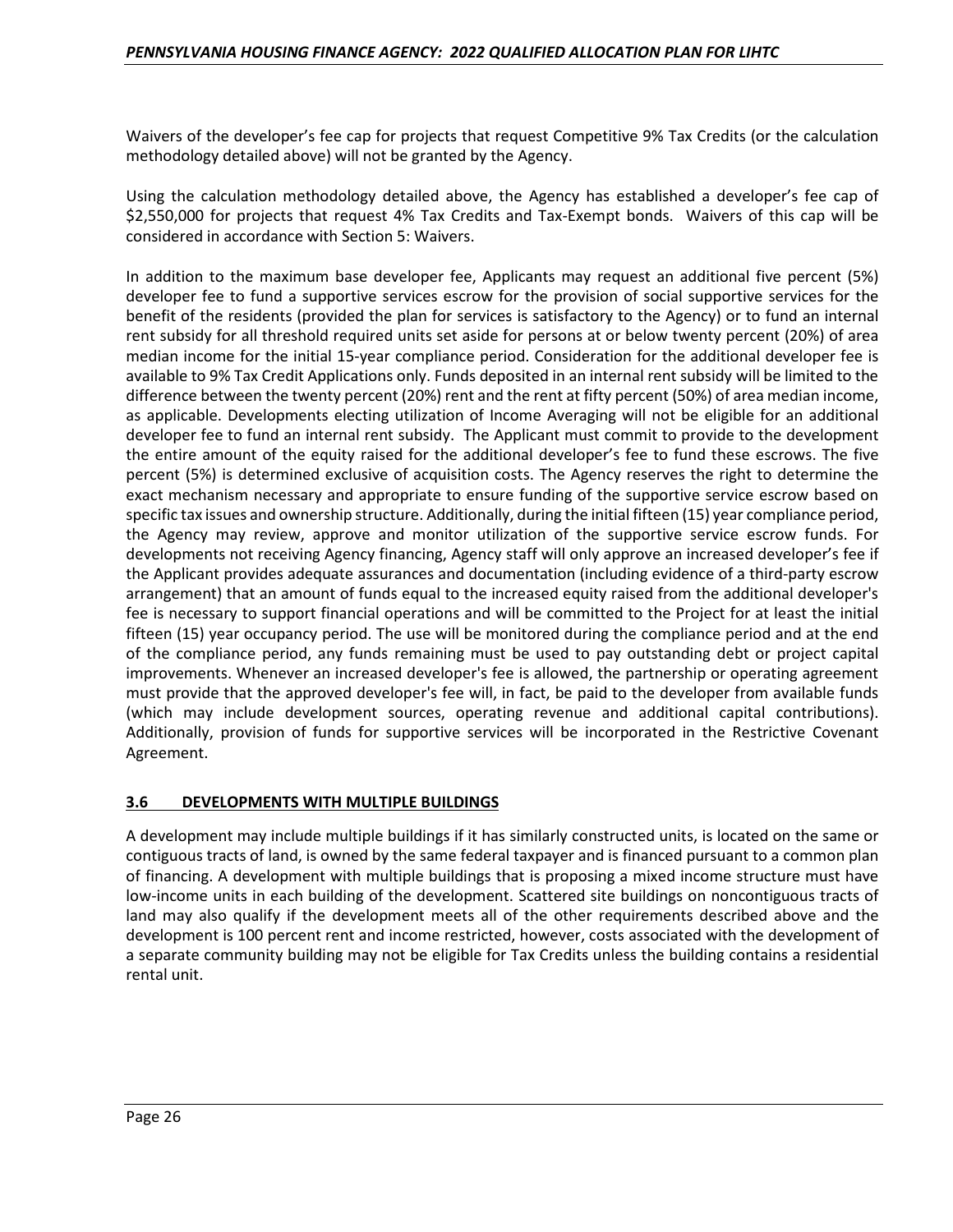Waivers of the developer's fee cap for projects that request Competitive 9% Tax Credits (or the calculation methodology detailed above) will not be granted by the Agency.

Using the calculation methodology detailed above, the Agency has established a developer's fee cap of \$2,550,000 for projects that request 4% Tax Credits and Tax-Exempt bonds. Waivers of this cap will be considered in accordance with Section 5: Waivers.

In addition to the maximum base developer fee, Applicants may request an additional five percent (5%) developer fee to fund a supportive services escrow for the provision of social supportive services for the benefit of the residents (provided the plan for services is satisfactory to the Agency) or to fund an internal rent subsidy for all threshold required units set aside for persons at or below twenty percent (20%) of area median income for the initial 15-year compliance period. Consideration for the additional developer fee is available to 9% Tax Credit Applications only. Funds deposited in an internal rent subsidy will be limited to the difference between the twenty percent (20%) rent and the rent at fifty percent (50%) of area median income, as applicable. Developments electing utilization of Income Averaging will not be eligible for an additional developer fee to fund an internal rent subsidy. The Applicant must commit to provide to the development the entire amount of the equity raised for the additional developer's fee to fund these escrows. The five percent (5%) is determined exclusive of acquisition costs. The Agency reserves the right to determine the exact mechanism necessary and appropriate to ensure funding of the supportive service escrow based on specific tax issues and ownership structure. Additionally, during the initial fifteen (15) year compliance period, the Agency may review, approve and monitor utilization of the supportive service escrow funds. For developments not receiving Agency financing, Agency staff will only approve an increased developer's fee if the Applicant provides adequate assurances and documentation (including evidence of a third-party escrow arrangement) that an amount of funds equal to the increased equity raised from the additional developer's fee is necessary to support financial operations and will be committed to the Project for at least the initial fifteen (15) year occupancy period. The use will be monitored during the compliance period and at the end of the compliance period, any funds remaining must be used to pay outstanding debt or project capital improvements. Whenever an increased developer's fee is allowed, the partnership or operating agreement must provide that the approved developer's fee will, in fact, be paid to the developer from available funds (which may include development sources, operating revenue and additional capital contributions). Additionally, provision of funds for supportive services will be incorporated in the Restrictive Covenant Agreement.

#### **3.6 DEVELOPMENTS WITH MULTIPLE BUILDINGS**

A development may include multiple buildings if it has similarly constructed units, is located on the same or contiguous tracts of land, is owned by the same federal taxpayer and is financed pursuant to a common plan of financing. A development with multiple buildings that is proposing a mixed income structure must have low-income units in each building of the development. Scattered site buildings on noncontiguous tracts of land may also qualify if the development meets all of the other requirements described above and the development is 100 percent rent and income restricted, however, costs associated with the development of a separate community building may not be eligible for Tax Credits unless the building contains a residential rental unit.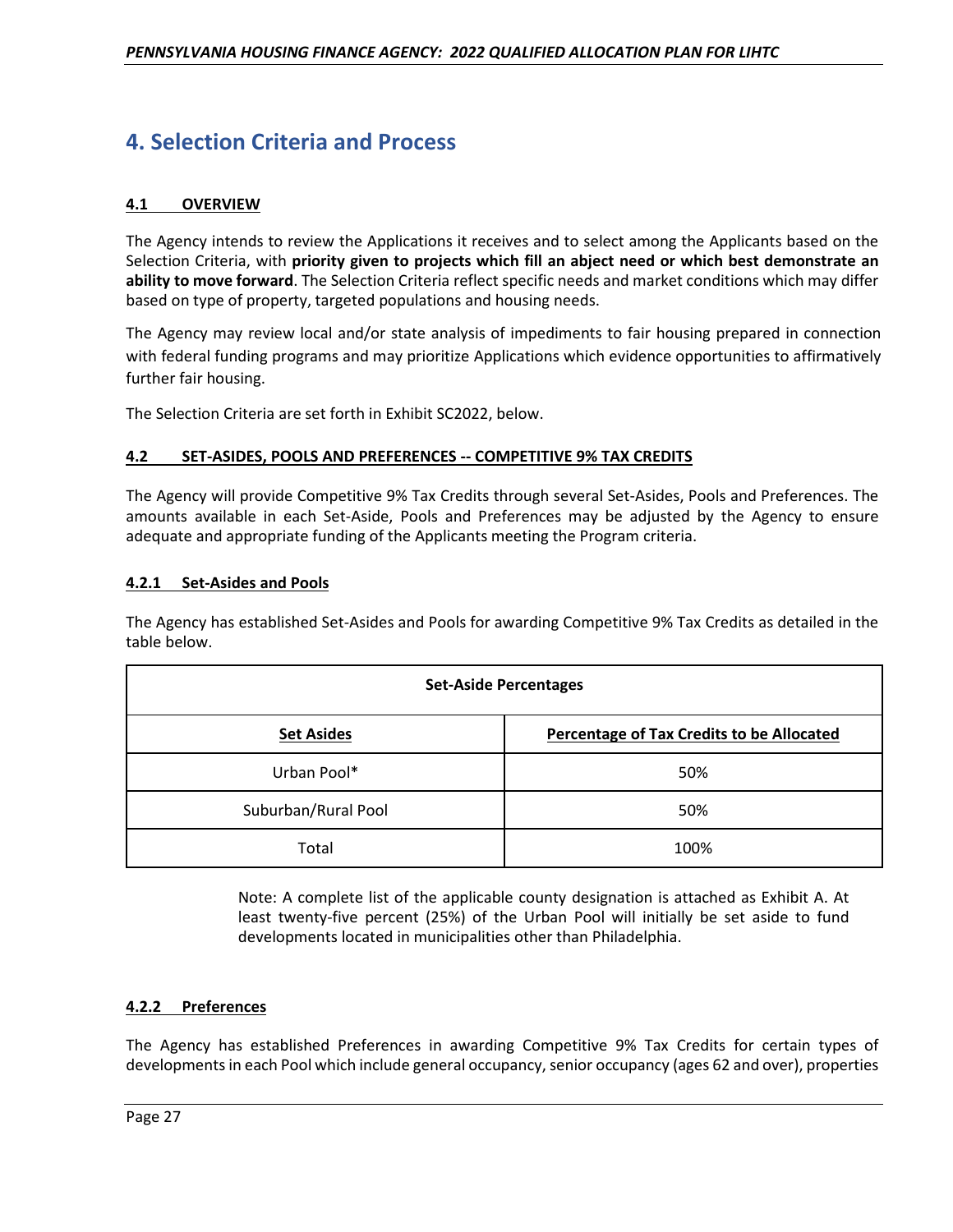# **4. Selection Criteria and Process**

# **4.1 OVERVIEW**

The Agency intends to review the Applications it receives and to select among the Applicants based on the Selection Criteria, with **priority given to projects which fill an abject need or which best demonstrate an ability to move forward**. The Selection Criteria reflect specific needs and market conditions which may differ based on type of property, targeted populations and housing needs.

The Agency may review local and/or state analysis of impediments to fair housing prepared in connection with federal funding programs and may prioritize Applications which evidence opportunities to affirmatively further fair housing.

The Selection Criteria are set forth in Exhibit SC2022, below.

# **4.2 SET-ASIDES, POOLS AND PREFERENCES -- COMPETITIVE 9% TAX CREDITS**

The Agency will provide Competitive 9% Tax Credits through several Set-Asides, Pools and Preferences. The amounts available in each Set-Aside, Pools and Preferences may be adjusted by the Agency to ensure adequate and appropriate funding of the Applicants meeting the Program criteria.

# **4.2.1 Set-Asides and Pools**

The Agency has established Set-Asides and Pools for awarding Competitive 9% Tax Credits as detailed in the table below.

| <b>Set-Aside Percentages</b> |                                                  |  |
|------------------------------|--------------------------------------------------|--|
| <b>Set Asides</b>            | <b>Percentage of Tax Credits to be Allocated</b> |  |
| Urban Pool*                  | 50%                                              |  |
| Suburban/Rural Pool          | 50%                                              |  |
| Total                        | 100%                                             |  |

Note: A complete list of the applicable county designation is attached as Exhibit A. At least twenty-five percent (25%) of the Urban Pool will initially be set aside to fund developments located in municipalities other than Philadelphia.

# **4.2.2 Preferences**

The Agency has established Preferences in awarding Competitive 9% Tax Credits for certain types of developments in each Pool which include general occupancy, senior occupancy (ages 62 and over), properties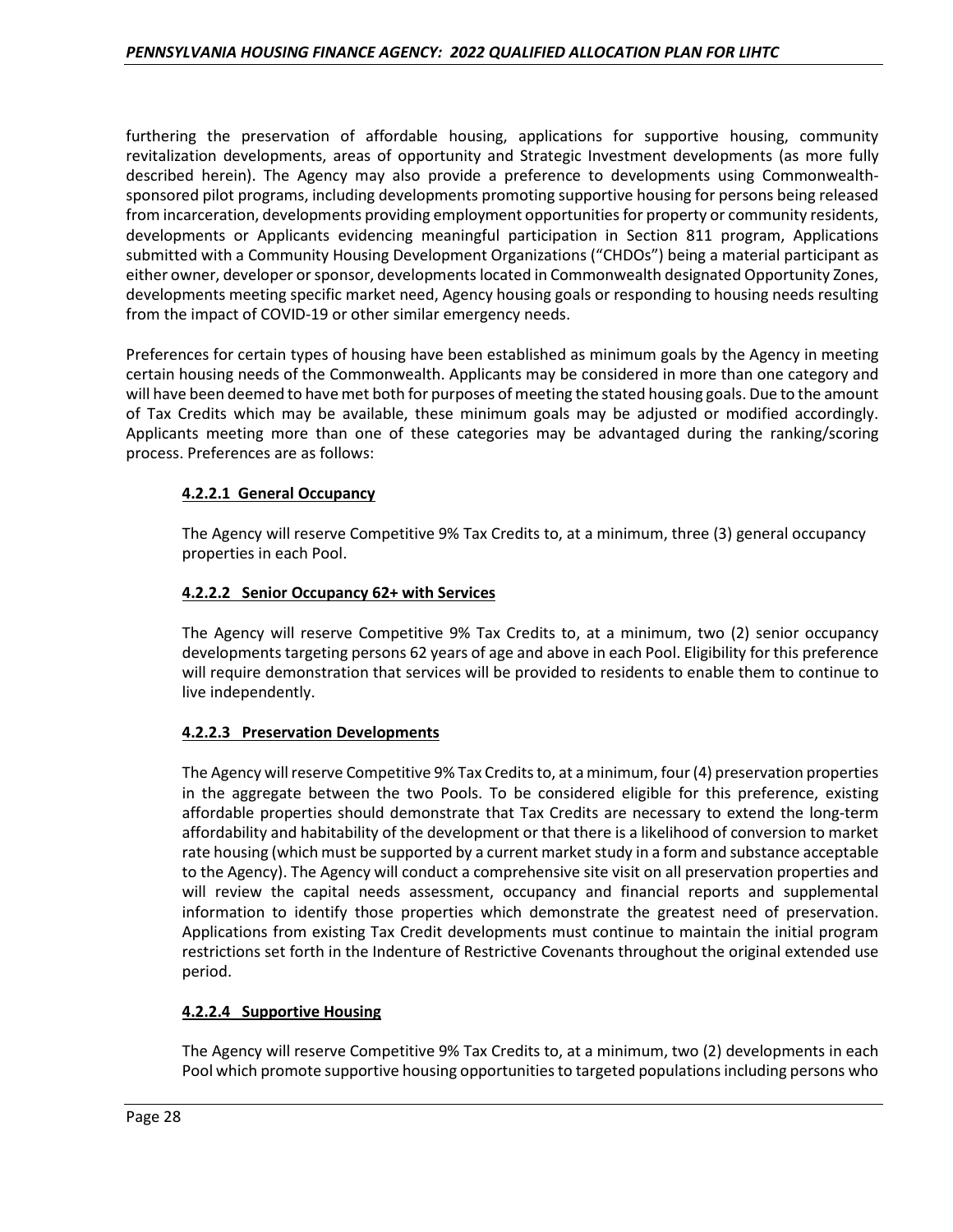furthering the preservation of affordable housing, applications for supportive housing, community revitalization developments, areas of opportunity and Strategic Investment developments (as more fully described herein). The Agency may also provide a preference to developments using Commonwealthsponsored pilot programs, including developments promoting supportive housing for persons being released from incarceration, developments providing employment opportunities for property or community residents, developments or Applicants evidencing meaningful participation in Section 811 program, Applications submitted with a Community Housing Development Organizations ("CHDOs") being a material participant as either owner, developer or sponsor, developments located in Commonwealth designated Opportunity Zones, developments meeting specific market need, Agency housing goals or responding to housing needs resulting from the impact of COVID-19 or other similar emergency needs.

Preferences for certain types of housing have been established as minimum goals by the Agency in meeting certain housing needs of the Commonwealth. Applicants may be considered in more than one category and will have been deemed to have met both for purposes of meeting the stated housing goals. Due to the amount of Tax Credits which may be available, these minimum goals may be adjusted or modified accordingly. Applicants meeting more than one of these categories may be advantaged during the ranking/scoring process. Preferences are as follows:

# **4.2.2.1 General Occupancy**

The Agency will reserve Competitive 9% Tax Credits to, at a minimum, three (3) general occupancy properties in each Pool.

# **4.2.2.2 Senior Occupancy 62+ with Services**

The Agency will reserve Competitive 9% Tax Credits to, at a minimum, two (2) senior occupancy developments targeting persons 62 years of age and above in each Pool. Eligibility for this preference will require demonstration that services will be provided to residents to enable them to continue to live independently.

#### **4.2.2.3 Preservation Developments**

The Agency will reserve Competitive 9% Tax Credits to, at a minimum, four (4) preservation properties in the aggregate between the two Pools. To be considered eligible for this preference, existing affordable properties should demonstrate that Tax Credits are necessary to extend the long-term affordability and habitability of the development or that there is a likelihood of conversion to market rate housing (which must be supported by a current market study in a form and substance acceptable to the Agency). The Agency will conduct a comprehensive site visit on all preservation properties and will review the capital needs assessment, occupancy and financial reports and supplemental information to identify those properties which demonstrate the greatest need of preservation. Applications from existing Tax Credit developments must continue to maintain the initial program restrictions set forth in the Indenture of Restrictive Covenants throughout the original extended use period.

# **4.2.2.4 Supportive Housing**

The Agency will reserve Competitive 9% Tax Credits to, at a minimum, two (2) developments in each Pool which promote supportive housing opportunities to targeted populations including persons who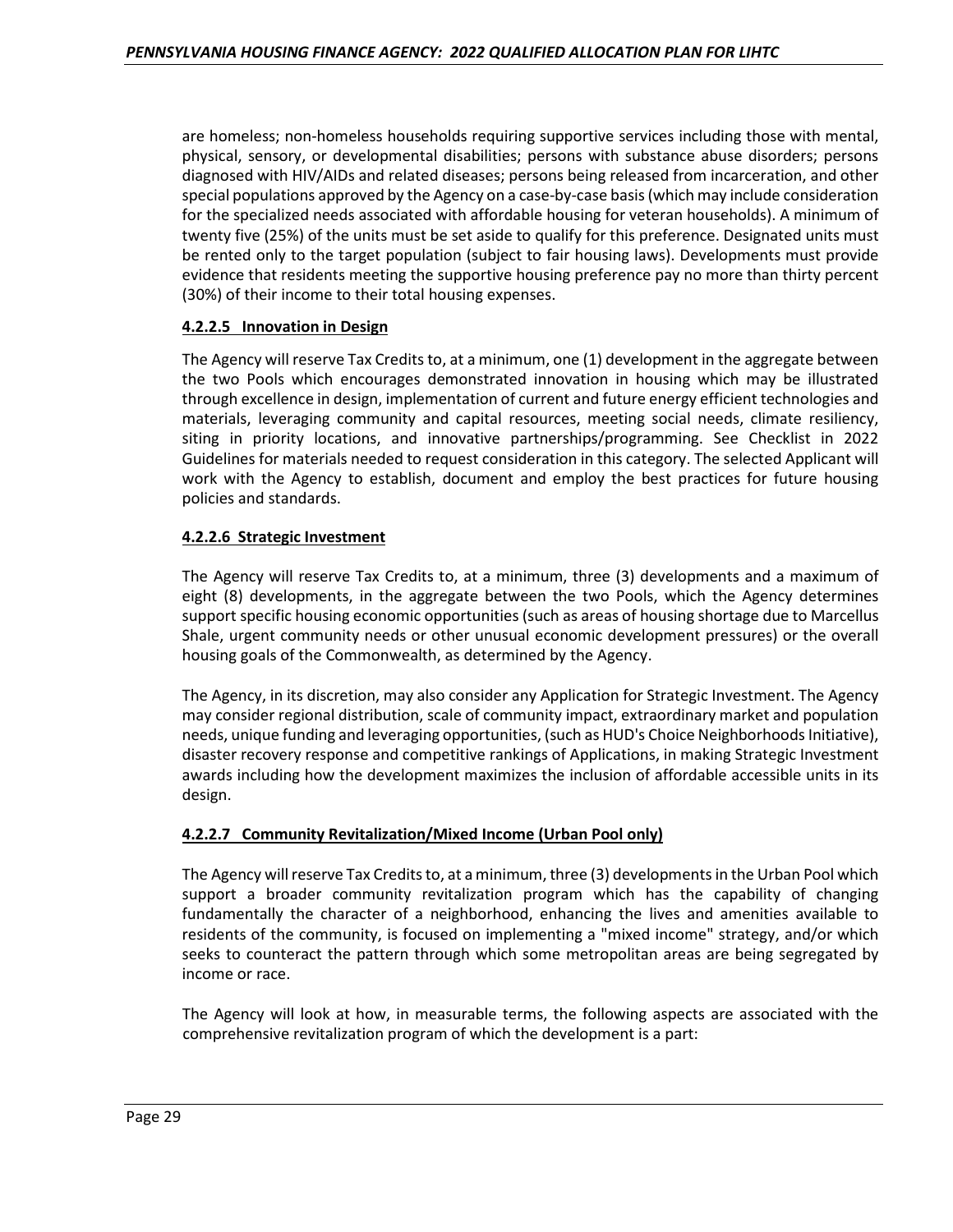are homeless; non-homeless households requiring supportive services including those with mental, physical, sensory, or developmental disabilities; persons with substance abuse disorders; persons diagnosed with HIV/AIDs and related diseases; persons being released from incarceration, and other special populations approved by the Agency on a case-by-case basis (which may include consideration for the specialized needs associated with affordable housing for veteran households). A minimum of twenty five (25%) of the units must be set aside to qualify for this preference. Designated units must be rented only to the target population (subject to fair housing laws). Developments must provide evidence that residents meeting the supportive housing preference pay no more than thirty percent (30%) of their income to their total housing expenses.

# **4.2.2.5 Innovation in Design**

The Agency will reserve Tax Credits to, at a minimum, one (1) development in the aggregate between the two Pools which encourages demonstrated innovation in housing which may be illustrated through excellence in design, implementation of current and future energy efficient technologies and materials, leveraging community and capital resources, meeting social needs, climate resiliency, siting in priority locations, and innovative partnerships/programming. See Checklist in 2022 Guidelines for materials needed to request consideration in this category. The selected Applicant will work with the Agency to establish, document and employ the best practices for future housing policies and standards.

# **4.2.2.6 Strategic Investment**

The Agency will reserve Tax Credits to, at a minimum, three (3) developments and a maximum of eight (8) developments, in the aggregate between the two Pools, which the Agency determines support specific housing economic opportunities (such as areas of housing shortage due to Marcellus Shale, urgent community needs or other unusual economic development pressures) or the overall housing goals of the Commonwealth, as determined by the Agency.

The Agency, in its discretion, may also consider any Application for Strategic Investment. The Agency may consider regional distribution, scale of community impact, extraordinary market and population needs, unique funding and leveraging opportunities, (such as HUD's Choice Neighborhoods Initiative), disaster recovery response and competitive rankings of Applications, in making Strategic Investment awards including how the development maximizes the inclusion of affordable accessible units in its design.

# **4.2.2.7 Community Revitalization/Mixed Income (Urban Pool only)**

The Agency will reserve Tax Credits to, at a minimum, three (3) developments in the Urban Pool which support a broader community revitalization program which has the capability of changing fundamentally the character of a neighborhood, enhancing the lives and amenities available to residents of the community, is focused on implementing a "mixed income" strategy, and/or which seeks to counteract the pattern through which some metropolitan areas are being segregated by income or race.

The Agency will look at how, in measurable terms, the following aspects are associated with the comprehensive revitalization program of which the development is a part: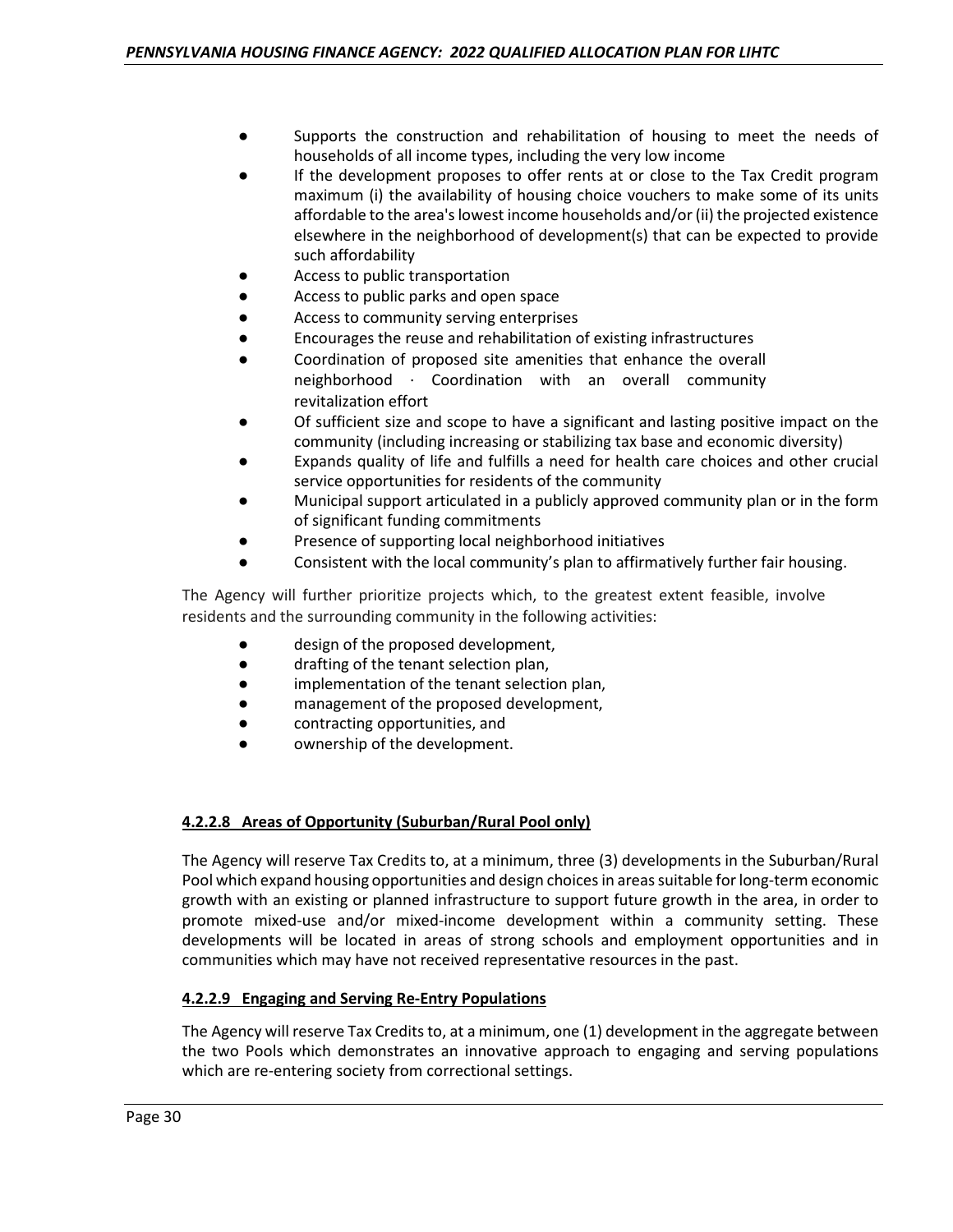- Supports the construction and rehabilitation of housing to meet the needs of households of all income types, including the very low income
- If the development proposes to offer rents at or close to the Tax Credit program maximum (i) the availability of housing choice vouchers to make some of its units affordable to the area's lowest income households and/or (ii) the projected existence elsewhere in the neighborhood of development(s) that can be expected to provide such affordability
- Access to public transportation
- Access to public parks and open space
- Access to community serving enterprises
- Encourages the reuse and rehabilitation of existing infrastructures
- Coordination of proposed site amenities that enhance the overall neighborhood ∙ Coordination with an overall community revitalization effort
- Of sufficient size and scope to have a significant and lasting positive impact on the community (including increasing or stabilizing tax base and economic diversity)
- Expands quality of life and fulfills a need for health care choices and other crucial service opportunities for residents of the community
- Municipal support articulated in a publicly approved community plan or in the form of significant funding commitments
- Presence of supporting local neighborhood initiatives
- Consistent with the local community's plan to affirmatively further fair housing.

The Agency will further prioritize projects which, to the greatest extent feasible, involve residents and the surrounding community in the following activities:

- design of the proposed development,
- drafting of the tenant selection plan,
- implementation of the tenant selection plan,
- management of the proposed development,
- contracting opportunities, and
- ownership of the development.

# **4.2.2.8 Areas of Opportunity (Suburban/Rural Pool only)**

The Agency will reserve Tax Credits to, at a minimum, three (3) developments in the Suburban/Rural Pool which expand housing opportunities and design choices in areas suitable for long-term economic growth with an existing or planned infrastructure to support future growth in the area, in order to promote mixed-use and/or mixed-income development within a community setting. These developments will be located in areas of strong schools and employment opportunities and in communities which may have not received representative resources in the past.

# **4.2.2.9 Engaging and Serving Re-Entry Populations**

The Agency will reserve Tax Credits to, at a minimum, one (1) development in the aggregate between the two Pools which demonstrates an innovative approach to engaging and serving populations which are re-entering society from correctional settings.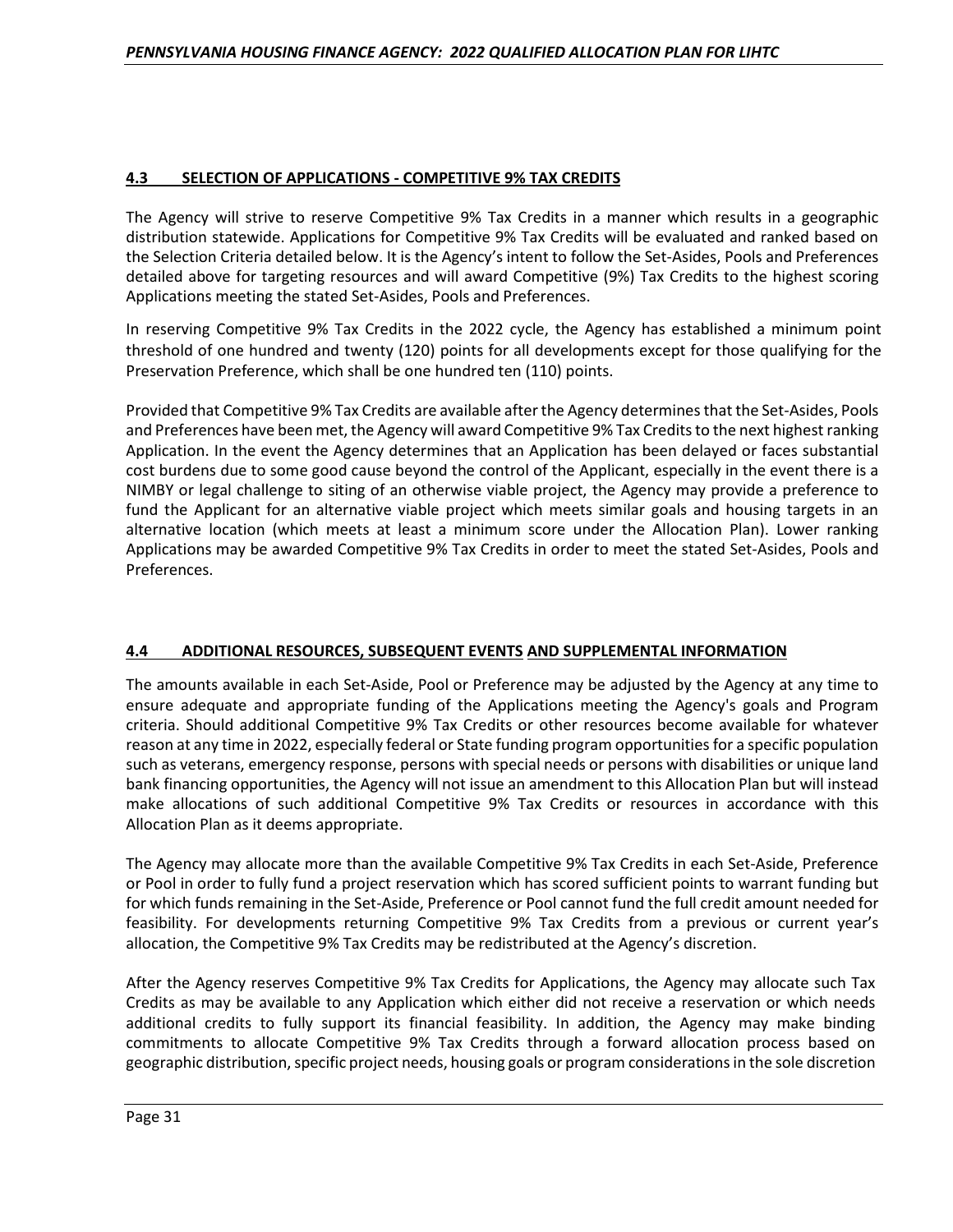# **4.3 SELECTION OF APPLICATIONS - COMPETITIVE 9% TAX CREDITS**

The Agency will strive to reserve Competitive 9% Tax Credits in a manner which results in a geographic distribution statewide. Applications for Competitive 9% Tax Credits will be evaluated and ranked based on the Selection Criteria detailed below. It is the Agency's intent to follow the Set-Asides, Pools and Preferences detailed above for targeting resources and will award Competitive (9%) Tax Credits to the highest scoring Applications meeting the stated Set-Asides, Pools and Preferences.

In reserving Competitive 9% Tax Credits in the 2022 cycle, the Agency has established a minimum point threshold of one hundred and twenty (120) points for all developments except for those qualifying for the Preservation Preference, which shall be one hundred ten (110) points.

Provided that Competitive 9% Tax Credits are available after the Agency determines that the Set-Asides, Pools and Preferences have been met, the Agency will award Competitive 9% Tax Credits to the next highest ranking Application. In the event the Agency determines that an Application has been delayed or faces substantial cost burdens due to some good cause beyond the control of the Applicant, especially in the event there is a NIMBY or legal challenge to siting of an otherwise viable project, the Agency may provide a preference to fund the Applicant for an alternative viable project which meets similar goals and housing targets in an alternative location (which meets at least a minimum score under the Allocation Plan). Lower ranking Applications may be awarded Competitive 9% Tax Credits in order to meet the stated Set-Asides, Pools and Preferences.

# **4.4 ADDITIONAL RESOURCES, SUBSEQUENT EVENTS AND SUPPLEMENTAL INFORMATION**

The amounts available in each Set-Aside, Pool or Preference may be adjusted by the Agency at any time to ensure adequate and appropriate funding of the Applications meeting the Agency's goals and Program criteria. Should additional Competitive 9% Tax Credits or other resources become available for whatever reason at any time in 2022, especially federal or State funding program opportunities for a specific population such as veterans, emergency response, persons with special needs or persons with disabilities or unique land bank financing opportunities, the Agency will not issue an amendment to this Allocation Plan but will instead make allocations of such additional Competitive 9% Tax Credits or resources in accordance with this Allocation Plan as it deems appropriate.

The Agency may allocate more than the available Competitive 9% Tax Credits in each Set-Aside, Preference or Pool in order to fully fund a project reservation which has scored sufficient points to warrant funding but for which funds remaining in the Set-Aside, Preference or Pool cannot fund the full credit amount needed for feasibility. For developments returning Competitive 9% Tax Credits from a previous or current year's allocation, the Competitive 9% Tax Credits may be redistributed at the Agency's discretion.

After the Agency reserves Competitive 9% Tax Credits for Applications, the Agency may allocate such Tax Credits as may be available to any Application which either did not receive a reservation or which needs additional credits to fully support its financial feasibility. In addition, the Agency may make binding commitments to allocate Competitive 9% Tax Credits through a forward allocation process based on geographic distribution, specific project needs, housing goals or program considerations in the sole discretion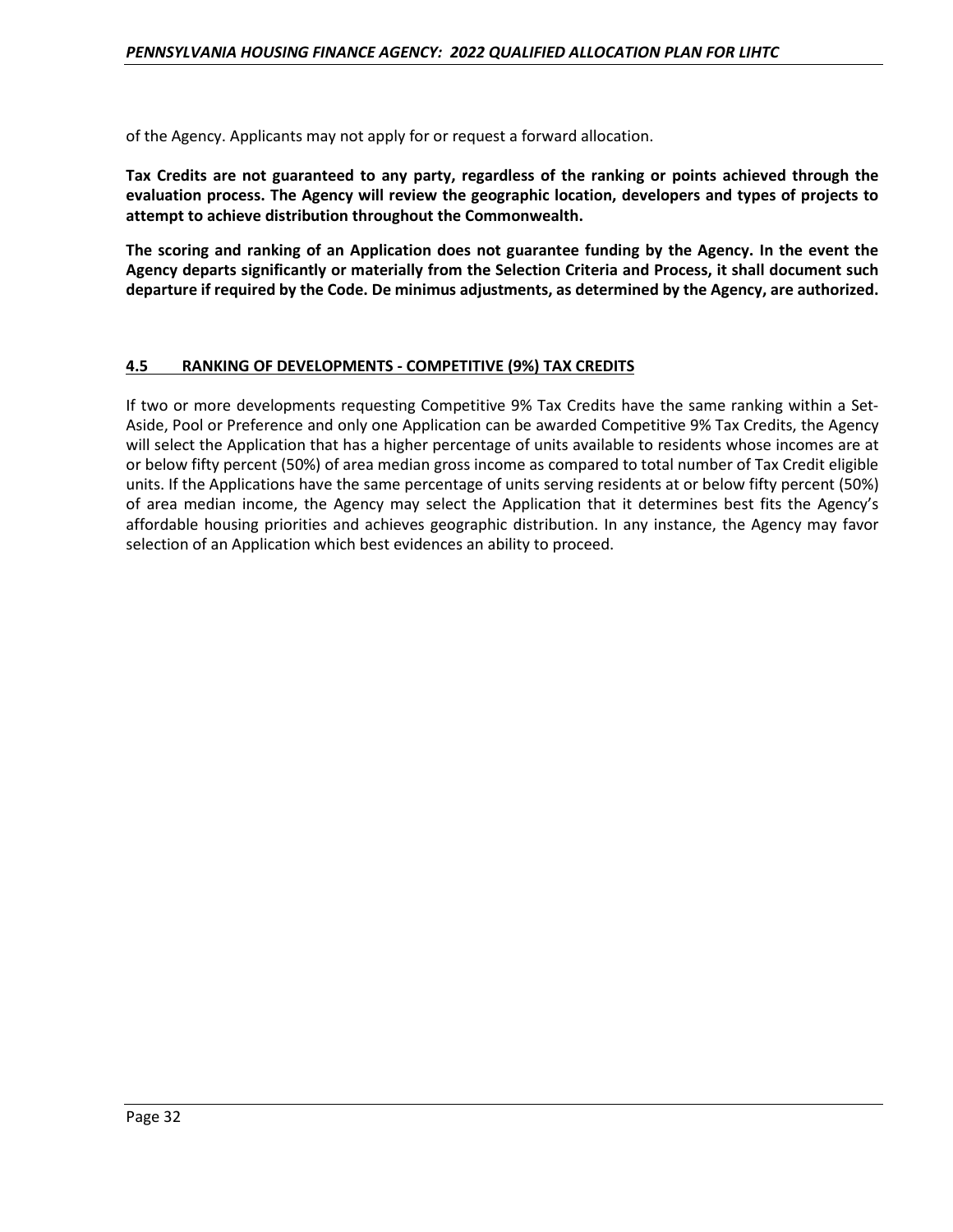of the Agency. Applicants may not apply for or request a forward allocation.

**Tax Credits are not guaranteed to any party, regardless of the ranking or points achieved through the evaluation process. The Agency will review the geographic location, developers and types of projects to attempt to achieve distribution throughout the Commonwealth.** 

**The scoring and ranking of an Application does not guarantee funding by the Agency. In the event the Agency departs significantly or materially from the Selection Criteria and Process, it shall document such departure if required by the Code. De minimus adjustments, as determined by the Agency, are authorized.** 

#### **4.5 RANKING OF DEVELOPMENTS - COMPETITIVE (9%) TAX CREDITS**

If two or more developments requesting Competitive 9% Tax Credits have the same ranking within a Set-Aside, Pool or Preference and only one Application can be awarded Competitive 9% Tax Credits, the Agency will select the Application that has a higher percentage of units available to residents whose incomes are at or below fifty percent (50%) of area median gross income as compared to total number of Tax Credit eligible units. If the Applications have the same percentage of units serving residents at or below fifty percent (50%) of area median income, the Agency may select the Application that it determines best fits the Agency's affordable housing priorities and achieves geographic distribution. In any instance, the Agency may favor selection of an Application which best evidences an ability to proceed.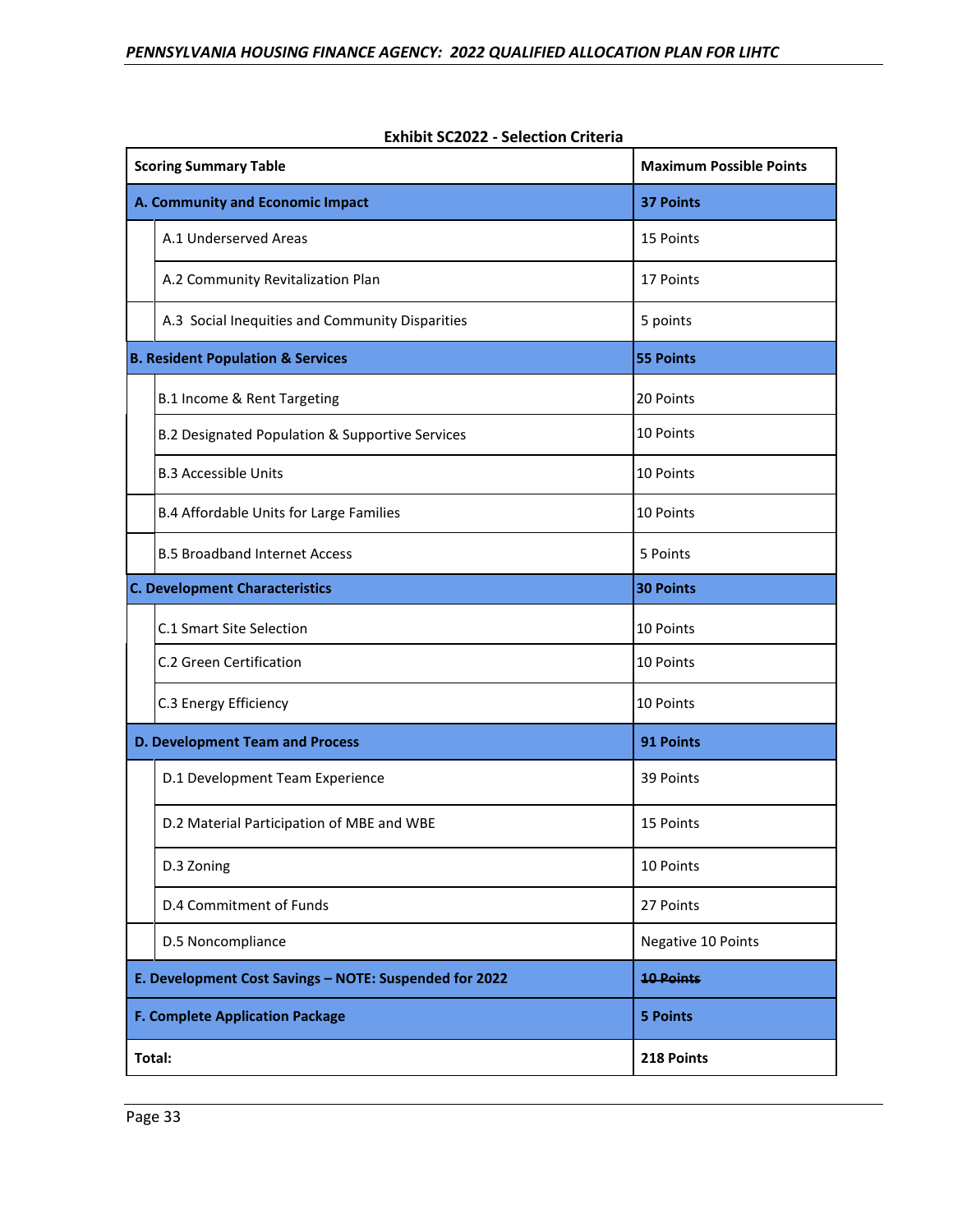|                                        | <b>Scoring Summary Table</b>                           | <b>Maximum Possible Points</b> |
|----------------------------------------|--------------------------------------------------------|--------------------------------|
|                                        | A. Community and Economic Impact                       | <b>37 Points</b>               |
|                                        | A.1 Underserved Areas                                  | 15 Points                      |
|                                        | A.2 Community Revitalization Plan                      | 17 Points                      |
|                                        | A.3 Social Inequities and Community Disparities        | 5 points                       |
|                                        | <b>B. Resident Population &amp; Services</b>           | <b>55 Points</b>               |
|                                        | B.1 Income & Rent Targeting                            | 20 Points                      |
|                                        | B.2 Designated Population & Supportive Services        | 10 Points                      |
|                                        | <b>B.3 Accessible Units</b>                            | 10 Points                      |
|                                        | B.4 Affordable Units for Large Families                | 10 Points                      |
|                                        | <b>B.5 Broadband Internet Access</b>                   | 5 Points                       |
| <b>C. Development Characteristics</b>  |                                                        | <b>30 Points</b>               |
|                                        | C.1 Smart Site Selection                               | 10 Points                      |
|                                        | C.2 Green Certification                                | 10 Points                      |
|                                        | C.3 Energy Efficiency                                  | 10 Points                      |
| <b>D. Development Team and Process</b> |                                                        | 91 Points                      |
|                                        | D.1 Development Team Experience                        | 39 Points                      |
|                                        | D.2 Material Participation of MBE and WBE              | 15 Points                      |
|                                        | D.3 Zoning                                             | 10 Points                      |
|                                        | D.4 Commitment of Funds                                | 27 Points                      |
|                                        | D.5 Noncompliance                                      | Negative 10 Points             |
|                                        | E. Development Cost Savings - NOTE: Suspended for 2022 | <b>10 Points</b>               |
| <b>F. Complete Application Package</b> |                                                        | <b>5 Points</b>                |
| Total:                                 |                                                        | 218 Points                     |

|  | <b>Exhibit SC2022 - Selection Criteria</b> |
|--|--------------------------------------------|
|--|--------------------------------------------|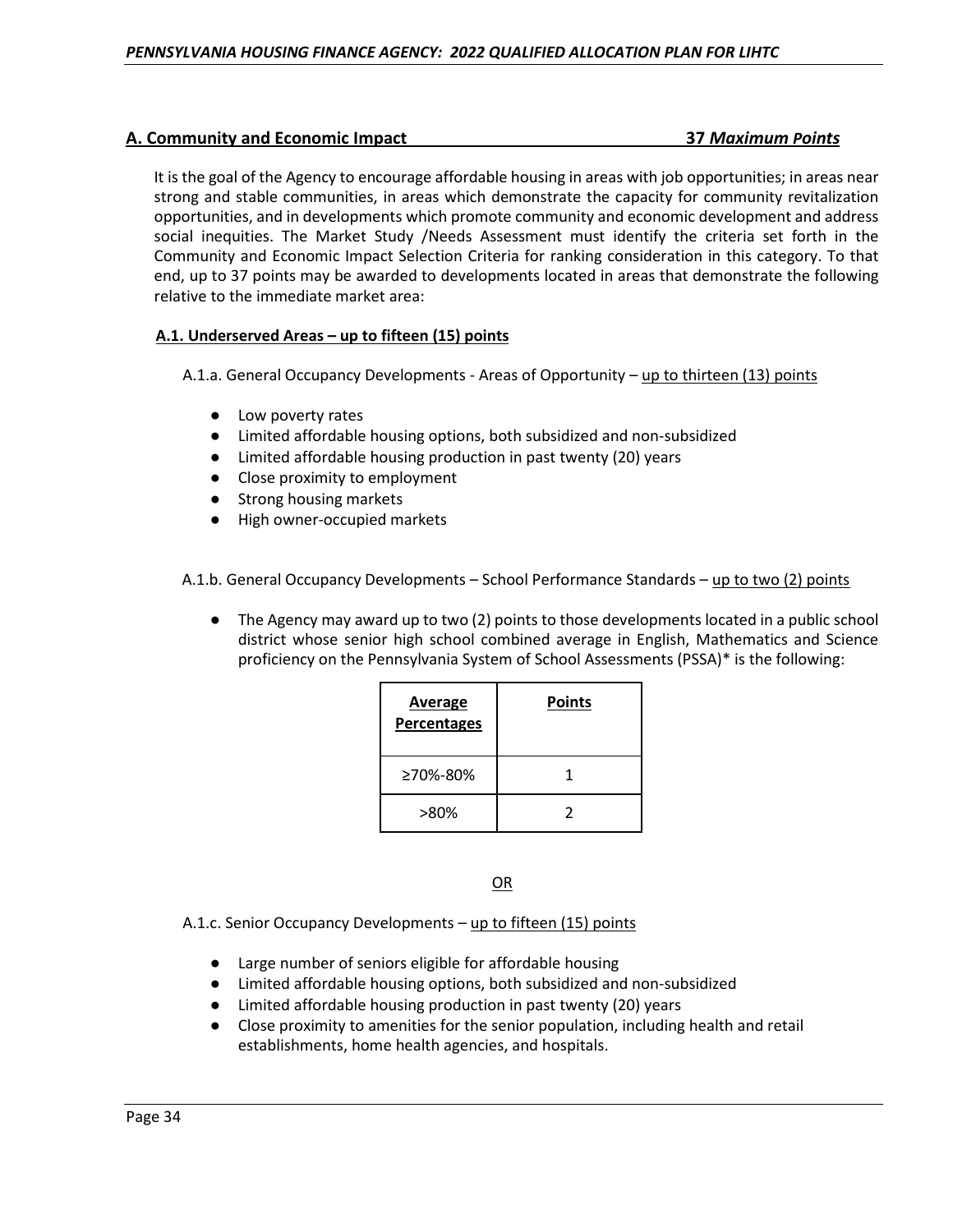# **A. Community and Economic Impact 37** *Maximum Points*

It is the goal of the Agency to encourage affordable housing in areas with job opportunities; in areas near strong and stable communities, in areas which demonstrate the capacity for community revitalization opportunities, and in developments which promote community and economic development and address social inequities. The Market Study /Needs Assessment must identify the criteria set forth in the Community and Economic Impact Selection Criteria for ranking consideration in this category. To that end, up to 37 points may be awarded to developments located in areas that demonstrate the following relative to the immediate market area:

# **A.1. Underserved Areas – up to fifteen (15) points**

A.1.a. General Occupancy Developments - Areas of Opportunity – up to thirteen (13) points

- Low poverty rates
- Limited affordable housing options, both subsidized and non-subsidized
- Limited affordable housing production in past twenty (20) years
- Close proximity to employment
- Strong housing markets
- High owner-occupied markets

A.1.b. General Occupancy Developments – School Performance Standards – up to two (2) points

The Agency may award up to two (2) points to those developments located in a public school district whose senior high school combined average in English, Mathematics and Science proficiency on the Pennsylvania System of School Assessments (PSSA)\* is the following:

| <b>Average</b><br>Percentages | <b>Points</b> |
|-------------------------------|---------------|
| ≥70%-80%                      | 1             |
| >80%                          | 2             |

OR

A.1.c. Senior Occupancy Developments – up to fifteen (15) points

- Large number of seniors eligible for affordable housing
- Limited affordable housing options, both subsidized and non-subsidized
- Limited affordable housing production in past twenty (20) years
- Close proximity to amenities for the senior population, including health and retail establishments, home health agencies, and hospitals.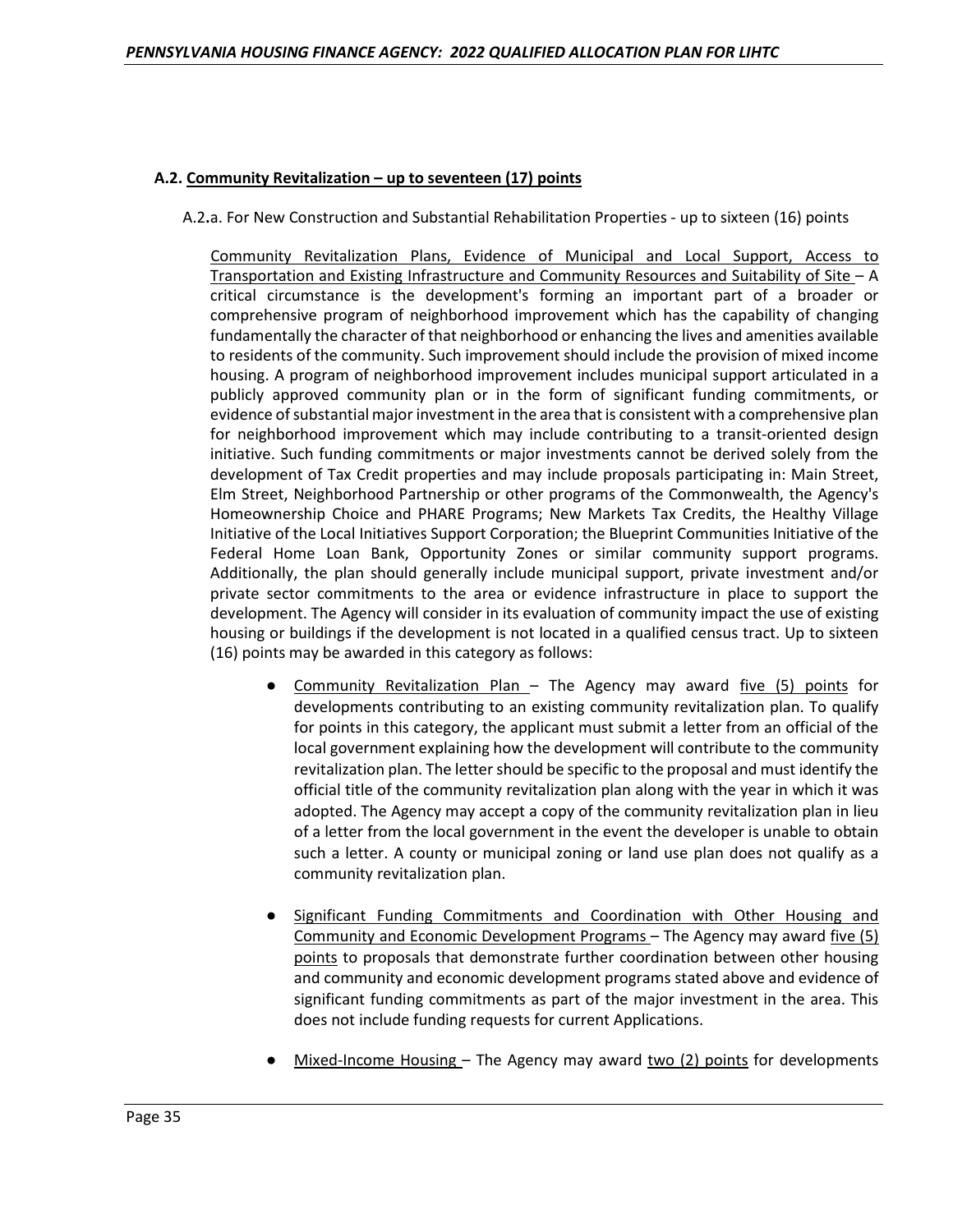#### **A.2. Community Revitalization – up to seventeen (17) points**

A.2**.**a. For New Construction and Substantial Rehabilitation Properties - up to sixteen (16) points

Community Revitalization Plans, Evidence of Municipal and Local Support, Access to Transportation and Existing Infrastructure and Community Resources and Suitability of Site – A critical circumstance is the development's forming an important part of a broader or comprehensive program of neighborhood improvement which has the capability of changing fundamentally the character of that neighborhood or enhancing the lives and amenities available to residents of the community. Such improvement should include the provision of mixed income housing. A program of neighborhood improvement includes municipal support articulated in a publicly approved community plan or in the form of significant funding commitments, or evidence of substantial major investment in the area that is consistent with a comprehensive plan for neighborhood improvement which may include contributing to a transit-oriented design initiative. Such funding commitments or major investments cannot be derived solely from the development of Tax Credit properties and may include proposals participating in: Main Street, Elm Street, Neighborhood Partnership or other programs of the Commonwealth, the Agency's Homeownership Choice and PHARE Programs; New Markets Tax Credits, the Healthy Village Initiative of the Local Initiatives Support Corporation; the Blueprint Communities Initiative of the Federal Home Loan Bank, Opportunity Zones or similar community support programs. Additionally, the plan should generally include municipal support, private investment and/or private sector commitments to the area or evidence infrastructure in place to support the development. The Agency will consider in its evaluation of community impact the use of existing housing or buildings if the development is not located in a qualified census tract. Up to sixteen (16) points may be awarded in this category as follows:

- Community Revitalization Plan The Agency may award five (5) points for developments contributing to an existing community revitalization plan. To qualify for points in this category, the applicant must submit a letter from an official of the local government explaining how the development will contribute to the community revitalization plan. The letter should be specific to the proposal and must identify the official title of the community revitalization plan along with the year in which it was adopted. The Agency may accept a copy of the community revitalization plan in lieu of a letter from the local government in the event the developer is unable to obtain such a letter. A county or municipal zoning or land use plan does not qualify as a community revitalization plan.
- Significant Funding Commitments and Coordination with Other Housing and Community and Economic Development Programs – The Agency may award five (5) points to proposals that demonstrate further coordination between other housing and community and economic development programs stated above and evidence of significant funding commitments as part of the major investment in the area. This does not include funding requests for current Applications.
- Mixed-Income Housing The Agency may award two (2) points for developments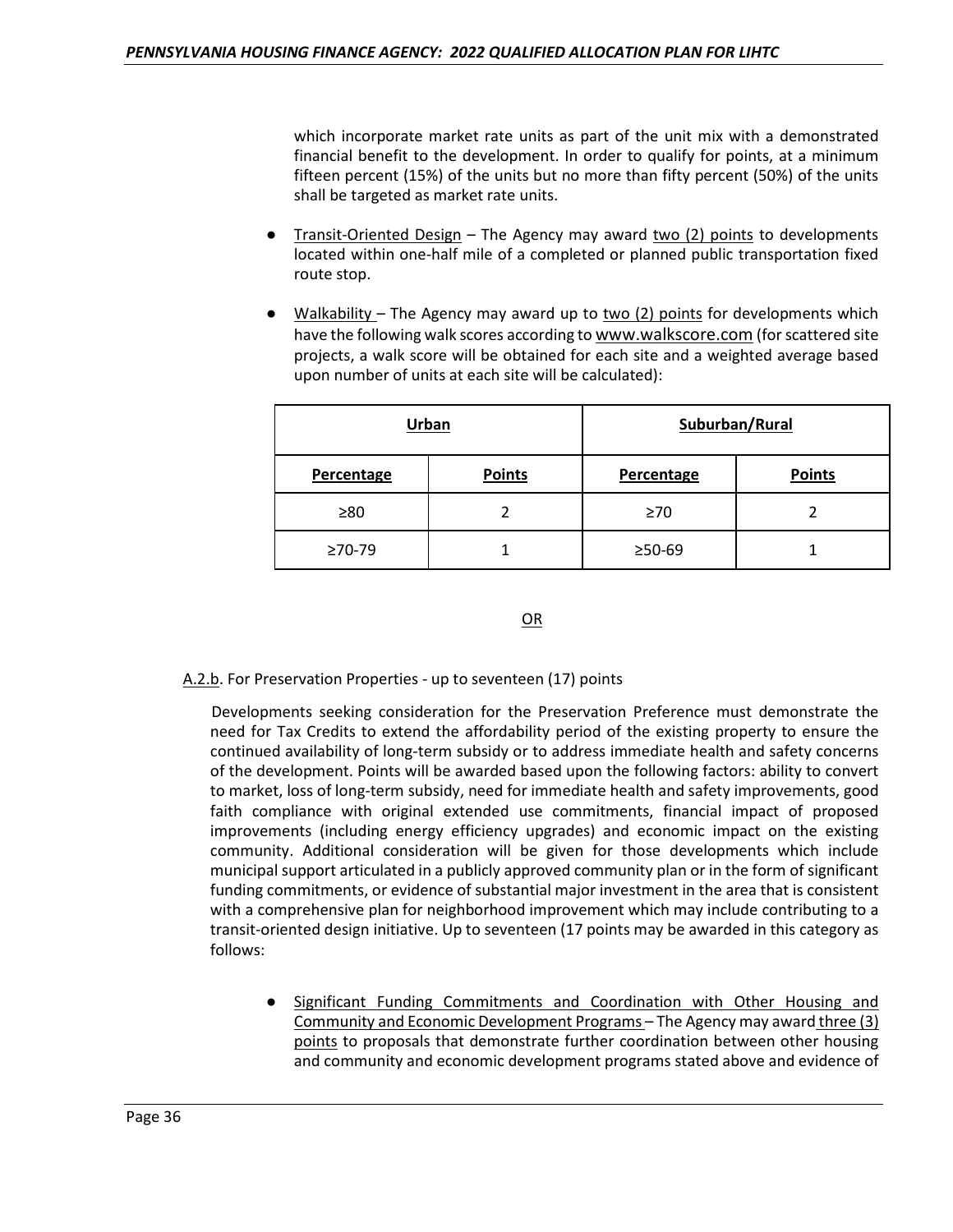which incorporate market rate units as part of the unit mix with a demonstrated financial benefit to the development. In order to qualify for points, at a minimum fifteen percent (15%) of the units but no more than fifty percent (50%) of the units shall be targeted as market rate units.

- **Transit-Oriented Design The Agency may award two (2) points to developments** located within one-half mile of a completed or planned public transportation fixed route stop.
- <u>Walkability</u> The Agency may award up to  $\underline{two}$  (2) points for developments which have the following walk scores according to www.walkscore.com (for scattered site projects, a walk score will be obtained for each site and a weighted average based upon number of units at each site will be calculated):

|                | Urban         |                | Suburban/Rural |
|----------------|---------------|----------------|----------------|
| Percentage     | <b>Points</b> | Percentage     | <b>Points</b>  |
| $\geq 80$      |               | $\geq 70$      |                |
| $\geq 70 - 79$ |               | $\geq 50 - 69$ |                |

OR

A.2.b. For Preservation Properties - up to seventeen (17) points

Developments seeking consideration for the Preservation Preference must demonstrate the need for Tax Credits to extend the affordability period of the existing property to ensure the continued availability of long-term subsidy or to address immediate health and safety concerns of the development. Points will be awarded based upon the following factors: ability to convert to market, loss of long-term subsidy, need for immediate health and safety improvements, good faith compliance with original extended use commitments, financial impact of proposed improvements (including energy efficiency upgrades) and economic impact on the existing community. Additional consideration will be given for those developments which include municipal support articulated in a publicly approved community plan or in the form of significant funding commitments, or evidence of substantial major investment in the area that is consistent with a comprehensive plan for neighborhood improvement which may include contributing to a transit-oriented design initiative. Up to seventeen (17 points may be awarded in this category as follows:

● Significant Funding Commitments and Coordination with Other Housing and Community and Economic Development Programs – The Agency may award three (3) points to proposals that demonstrate further coordination between other housing and community and economic development programs stated above and evidence of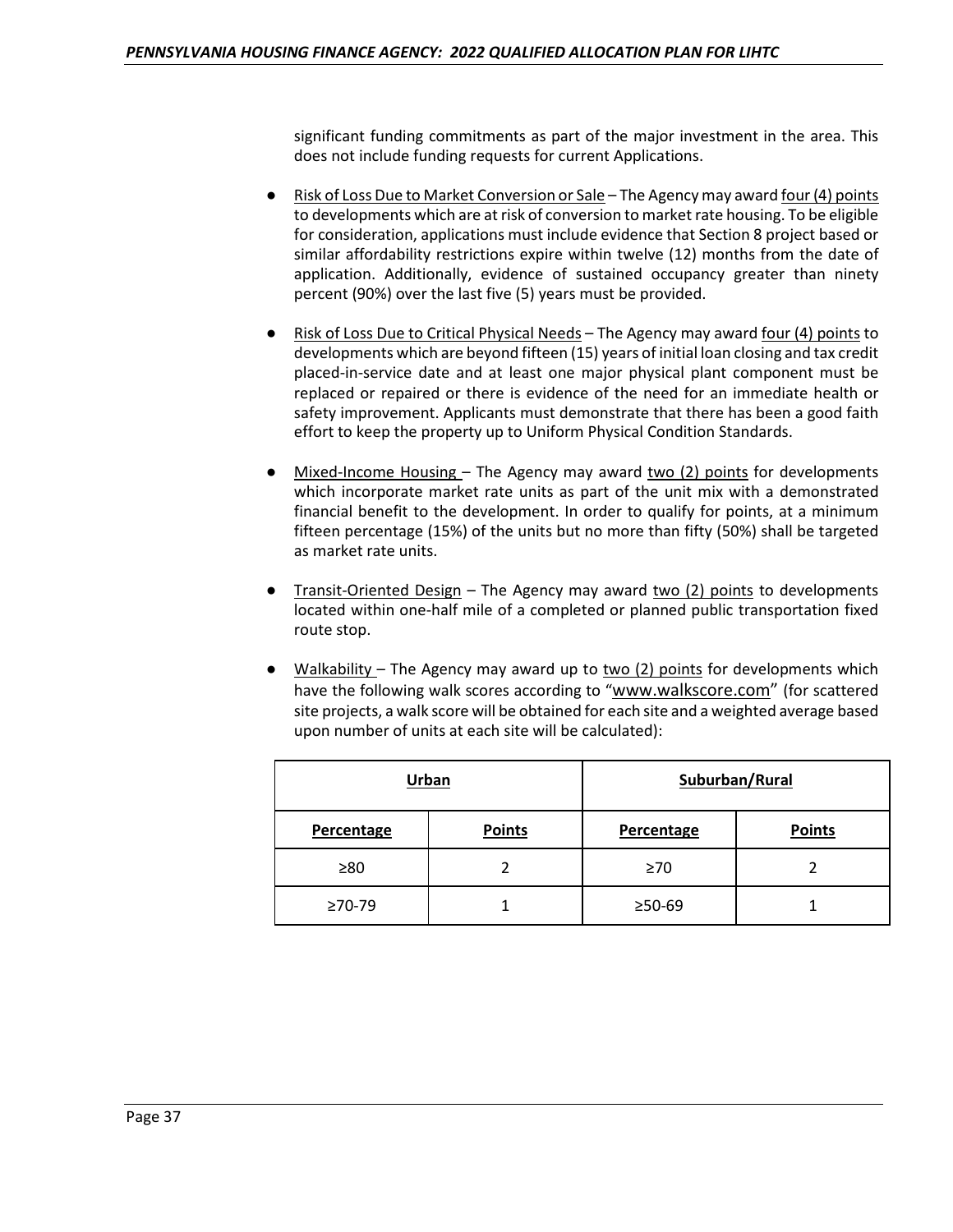significant funding commitments as part of the major investment in the area. This does not include funding requests for current Applications.

- Risk of Loss Due to Market Conversion or Sale The Agency may award four  $(4)$  points to developments which are at risk of conversion to market rate housing. To be eligible for consideration, applications must include evidence that Section 8 project based or similar affordability restrictions expire within twelve (12) months from the date of application. Additionally, evidence of sustained occupancy greater than ninety percent (90%) over the last five (5) years must be provided.
- Risk of Loss Due to Critical Physical Needs The Agency may award four (4) points to developments which are beyond fifteen (15) years of initial loan closing and tax credit placed-in-service date and at least one major physical plant component must be replaced or repaired or there is evidence of the need for an immediate health or safety improvement. Applicants must demonstrate that there has been a good faith effort to keep the property up to Uniform Physical Condition Standards.
- Mixed-Income Housing The Agency may award two  $(2)$  points for developments which incorporate market rate units as part of the unit mix with a demonstrated financial benefit to the development. In order to qualify for points, at a minimum fifteen percentage (15%) of the units but no more than fifty (50%) shall be targeted as market rate units.
- **Transit-Oriented Design The Agency may award two (2) points to developments** located within one-half mile of a completed or planned public transportation fixed route stop.
- Walkability The Agency may award up to two  $(2)$  points for developments which have the following walk scores according to "www.walkscore.com" (for scattered site projects, a walk score will be obtained for each site and a weighted average based upon number of units at each site will be calculated):

|                | Urban         |                | Suburban/Rural |
|----------------|---------------|----------------|----------------|
| Percentage     | <b>Points</b> | Percentage     | <b>Points</b>  |
| ≥80            |               | $\geq 70$      |                |
| $\geq 70 - 79$ |               | $\geq 50 - 69$ |                |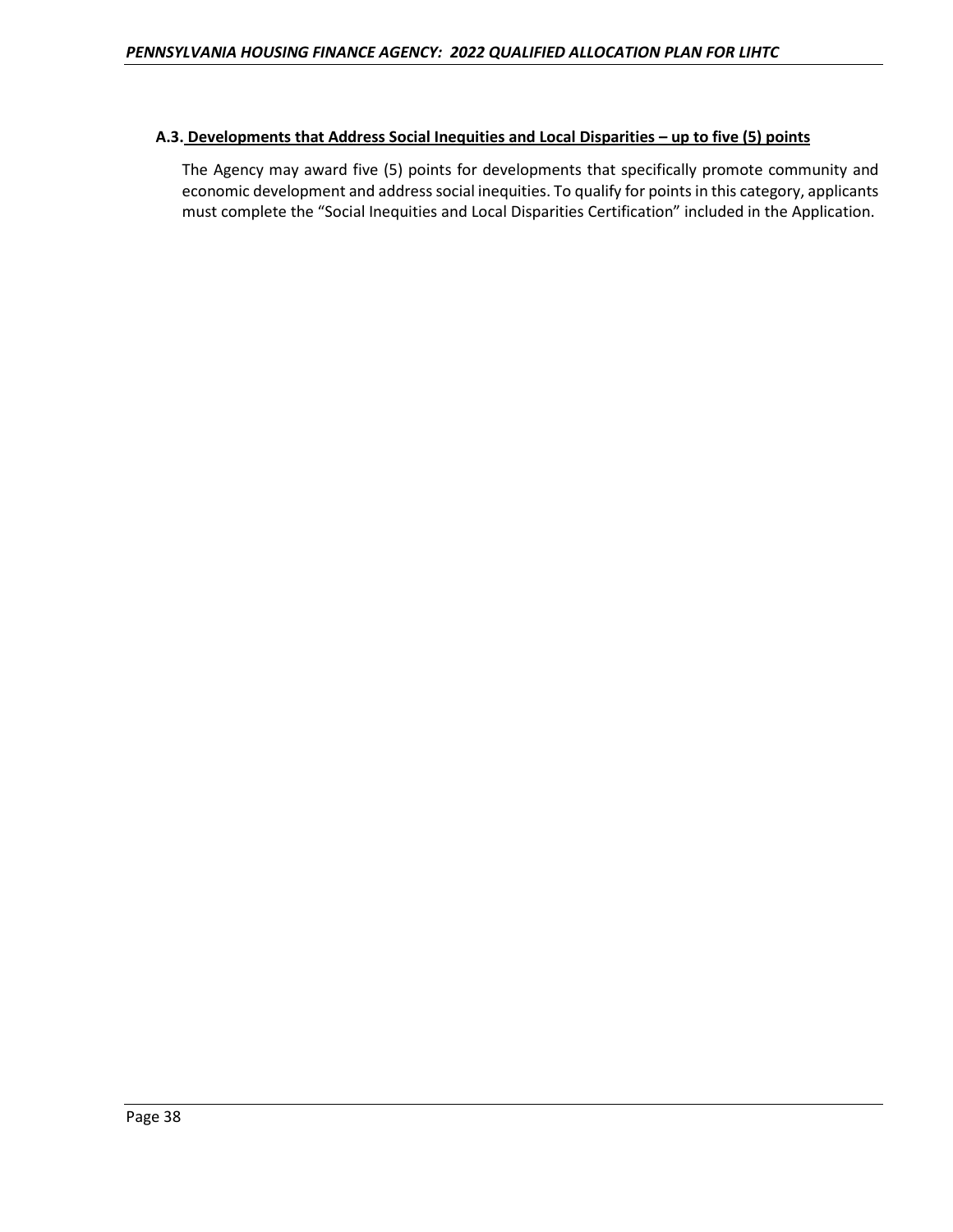# **A.3. Developments that Address Social Inequities and Local Disparities – up to five (5) points**

The Agency may award five (5) points for developments that specifically promote community and economic development and address social inequities. To qualify for points in this category, applicants must complete the "Social Inequities and Local Disparities Certification" included in the Application.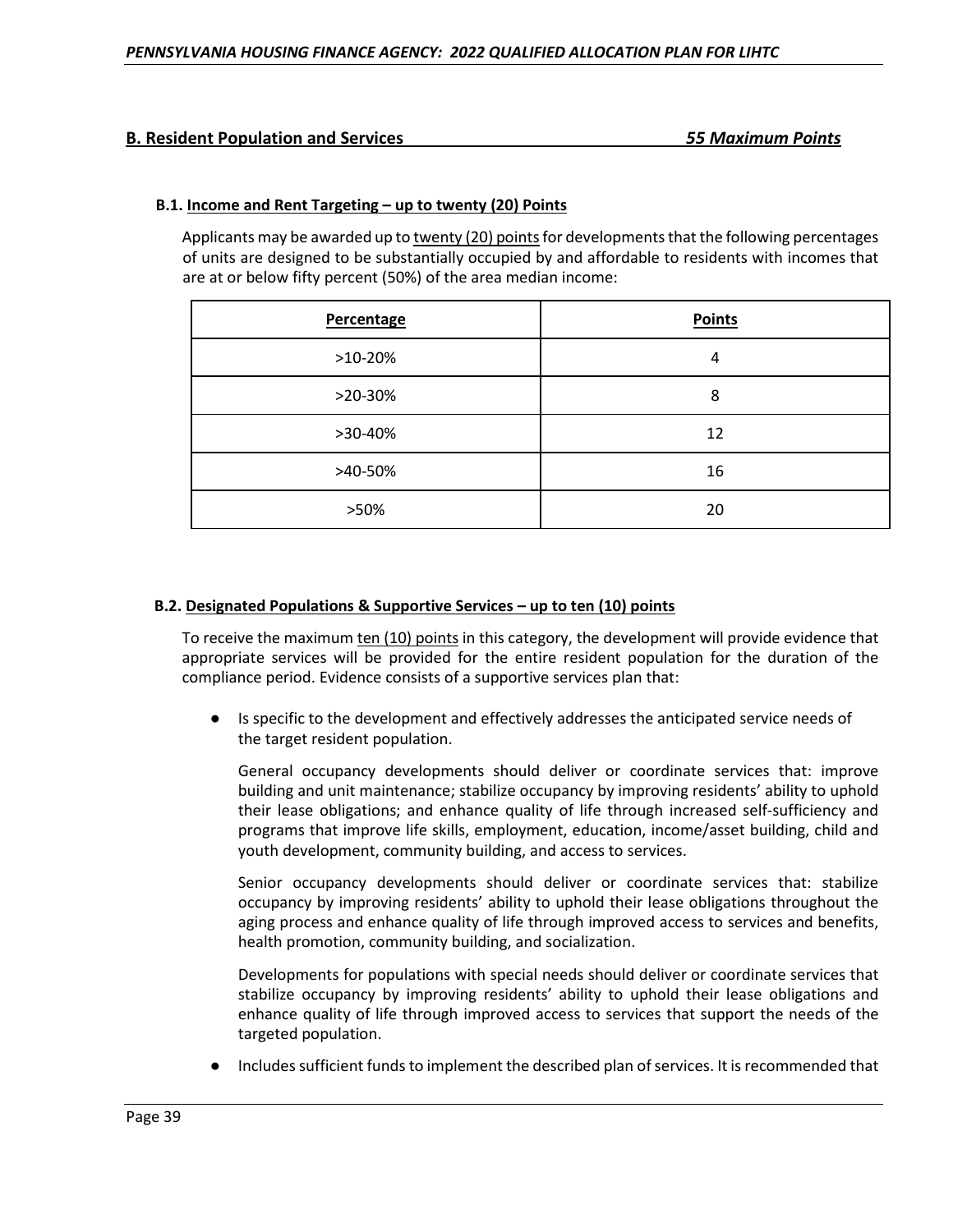# **B. Resident Population and Services** *55 Maximum Points*

## **B.1. Income and Rent Targeting – up to twenty (20) Points**

Applicants may be awarded up to twenty (20) points for developments that the following percentages of units are designed to be substantially occupied by and affordable to residents with incomes that are at or below fifty percent (50%) of the area median income:

| Percentage | <b>Points</b> |
|------------|---------------|
| $>10-20%$  | 4             |
| >20-30%    | 8             |
| >30-40%    | 12            |
| >40-50%    | 16            |
| >50%       | 20            |

#### **B.2. Designated Populations & Supportive Services – up to ten (10) points**

To receive the maximum ten (10) points in this category, the development will provide evidence that appropriate services will be provided for the entire resident population for the duration of the compliance period. Evidence consists of a supportive services plan that:

Is specific to the development and effectively addresses the anticipated service needs of the target resident population.

General occupancy developments should deliver or coordinate services that: improve building and unit maintenance; stabilize occupancy by improving residents' ability to uphold their lease obligations; and enhance quality of life through increased self-sufficiency and programs that improve life skills, employment, education, income/asset building, child and youth development, community building, and access to services.

Senior occupancy developments should deliver or coordinate services that: stabilize occupancy by improving residents' ability to uphold their lease obligations throughout the aging process and enhance quality of life through improved access to services and benefits, health promotion, community building, and socialization.

Developments for populations with special needs should deliver or coordinate services that stabilize occupancy by improving residents' ability to uphold their lease obligations and enhance quality of life through improved access to services that support the needs of the targeted population.

Includes sufficient funds to implement the described plan of services. It is recommended that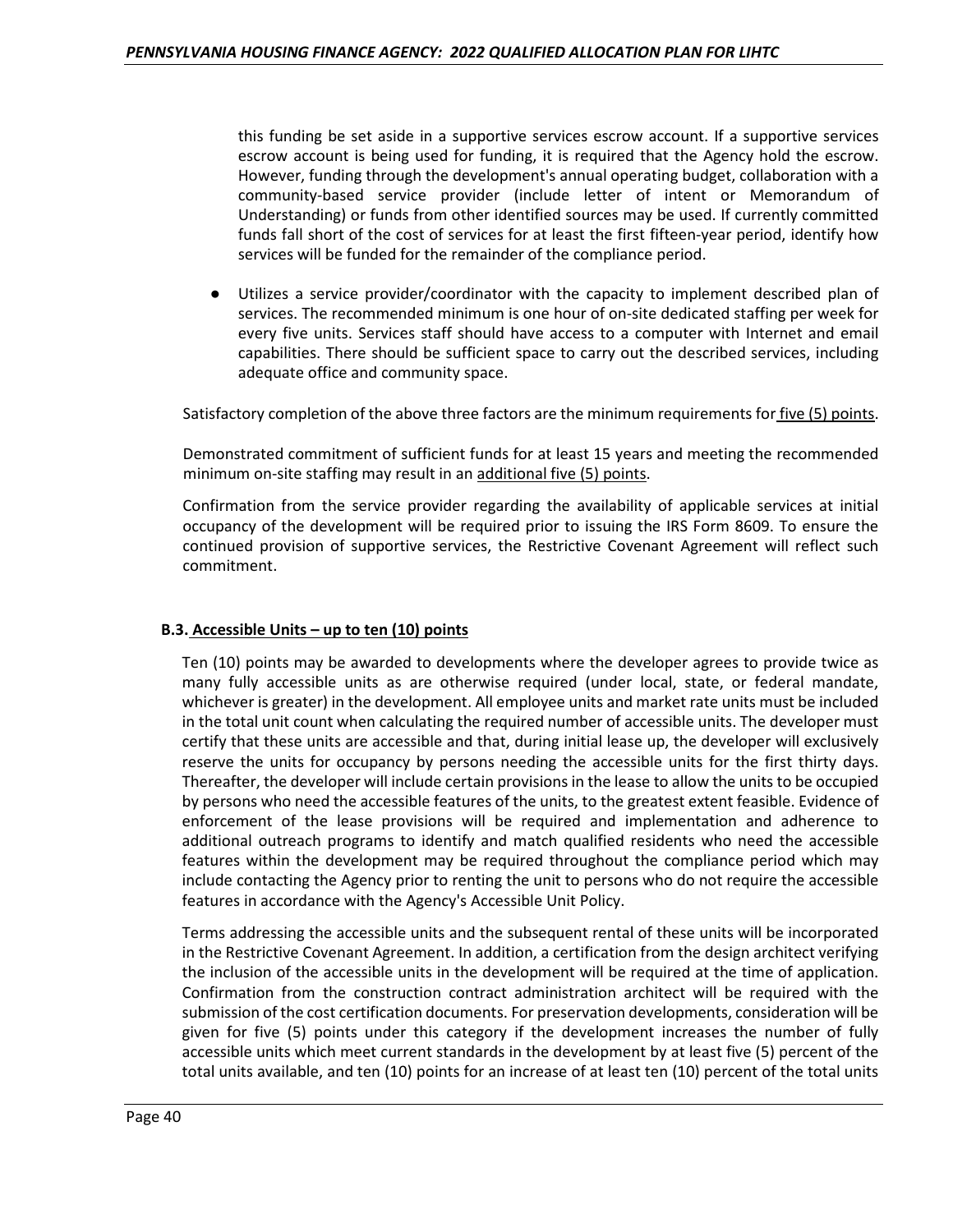this funding be set aside in a supportive services escrow account. If a supportive services escrow account is being used for funding, it is required that the Agency hold the escrow. However, funding through the development's annual operating budget, collaboration with a community-based service provider (include letter of intent or Memorandum of Understanding) or funds from other identified sources may be used. If currently committed funds fall short of the cost of services for at least the first fifteen-year period, identify how services will be funded for the remainder of the compliance period.

Utilizes a service provider/coordinator with the capacity to implement described plan of services. The recommended minimum is one hour of on-site dedicated staffing per week for every five units. Services staff should have access to a computer with Internet and email capabilities. There should be sufficient space to carry out the described services, including adequate office and community space.

Satisfactory completion of the above three factors are the minimum requirements for five (5) points.

Demonstrated commitment of sufficient funds for at least 15 years and meeting the recommended minimum on-site staffing may result in an additional five (5) points.

Confirmation from the service provider regarding the availability of applicable services at initial occupancy of the development will be required prior to issuing the IRS Form 8609. To ensure the continued provision of supportive services, the Restrictive Covenant Agreement will reflect such commitment.

#### **B.3. Accessible Units – up to ten (10) points**

Ten (10) points may be awarded to developments where the developer agrees to provide twice as many fully accessible units as are otherwise required (under local, state, or federal mandate, whichever is greater) in the development. All employee units and market rate units must be included in the total unit count when calculating the required number of accessible units. The developer must certify that these units are accessible and that, during initial lease up, the developer will exclusively reserve the units for occupancy by persons needing the accessible units for the first thirty days. Thereafter, the developer will include certain provisions in the lease to allow the units to be occupied by persons who need the accessible features of the units, to the greatest extent feasible. Evidence of enforcement of the lease provisions will be required and implementation and adherence to additional outreach programs to identify and match qualified residents who need the accessible features within the development may be required throughout the compliance period which may include contacting the Agency prior to renting the unit to persons who do not require the accessible features in accordance with the Agency's Accessible Unit Policy.

Terms addressing the accessible units and the subsequent rental of these units will be incorporated in the Restrictive Covenant Agreement. In addition, a certification from the design architect verifying the inclusion of the accessible units in the development will be required at the time of application. Confirmation from the construction contract administration architect will be required with the submission of the cost certification documents. For preservation developments, consideration will be given for five (5) points under this category if the development increases the number of fully accessible units which meet current standards in the development by at least five (5) percent of the total units available, and ten (10) points for an increase of at least ten (10) percent of the total units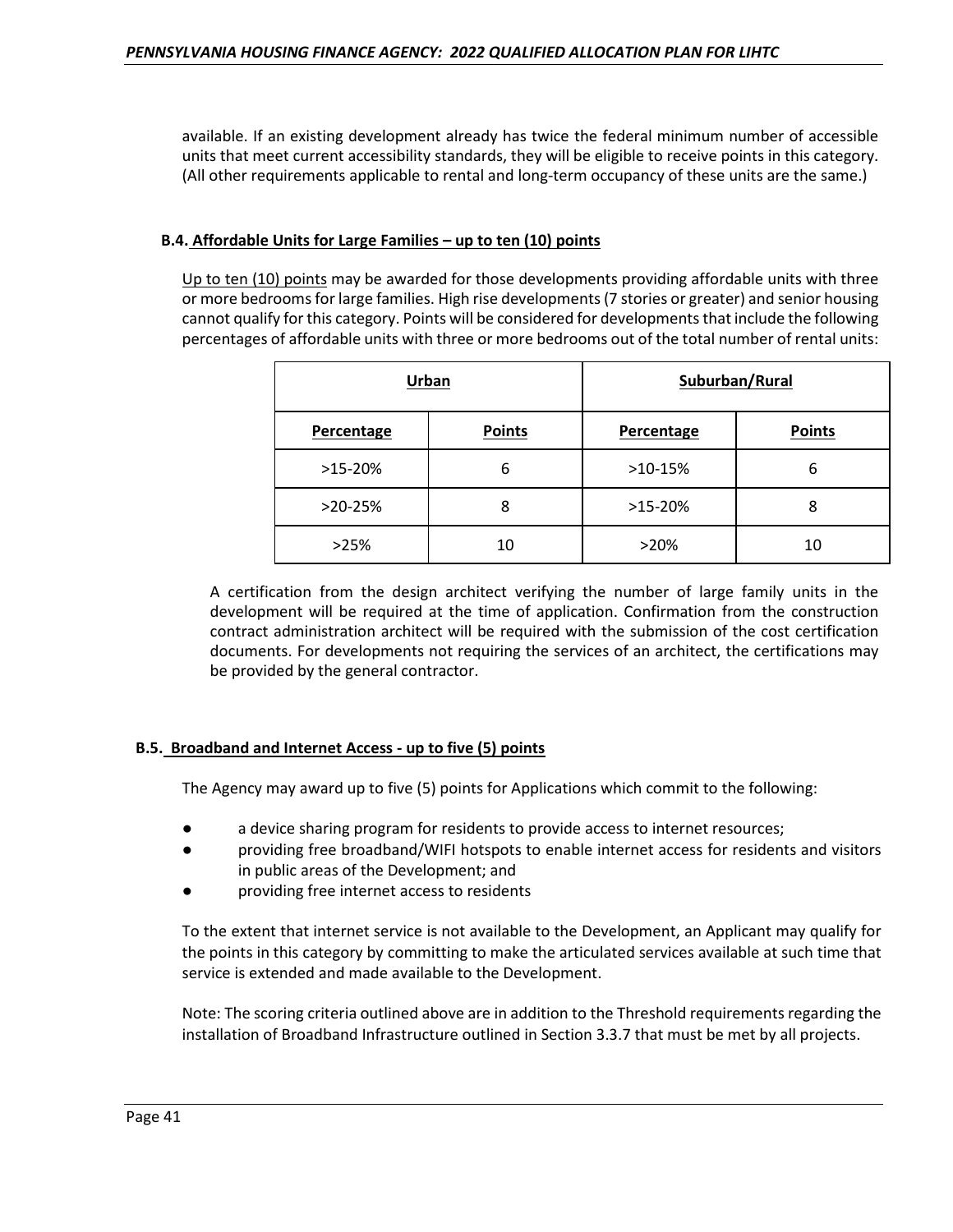available. If an existing development already has twice the federal minimum number of accessible units that meet current accessibility standards, they will be eligible to receive points in this category. (All other requirements applicable to rental and long-term occupancy of these units are the same.)

## **B.4. Affordable Units for Large Families – up to ten (10) points**

Up to ten (10) points may be awarded for those developments providing affordable units with three or more bedrooms for large families. High rise developments (7 stories or greater) and senior housing cannot qualify for this category. Points will be considered for developments that include the following percentages of affordable units with three or more bedrooms out of the total number of rental units:

|            | Urban         | Suburban/Rural |               |
|------------|---------------|----------------|---------------|
| Percentage | <b>Points</b> | Percentage     | <b>Points</b> |
| $>15-20%$  | 6             | $>10-15%$      | 6             |
| $>20-25%$  | 8             | $>15-20%$      | 8             |
| >25%       | 10            | >20%           | 10            |

A certification from the design architect verifying the number of large family units in the development will be required at the time of application. Confirmation from the construction contract administration architect will be required with the submission of the cost certification documents. For developments not requiring the services of an architect, the certifications may be provided by the general contractor.

# **B.5. Broadband and Internet Access - up to five (5) points**

The Agency may award up to five (5) points for Applications which commit to the following:

- a device sharing program for residents to provide access to internet resources;
- providing free broadband/WIFI hotspots to enable internet access for residents and visitors in public areas of the Development; and
- providing free internet access to residents

To the extent that internet service is not available to the Development, an Applicant may qualify for the points in this category by committing to make the articulated services available at such time that service is extended and made available to the Development.

Note: The scoring criteria outlined above are in addition to the Threshold requirements regarding the installation of Broadband Infrastructure outlined in Section 3.3.7 that must be met by all projects.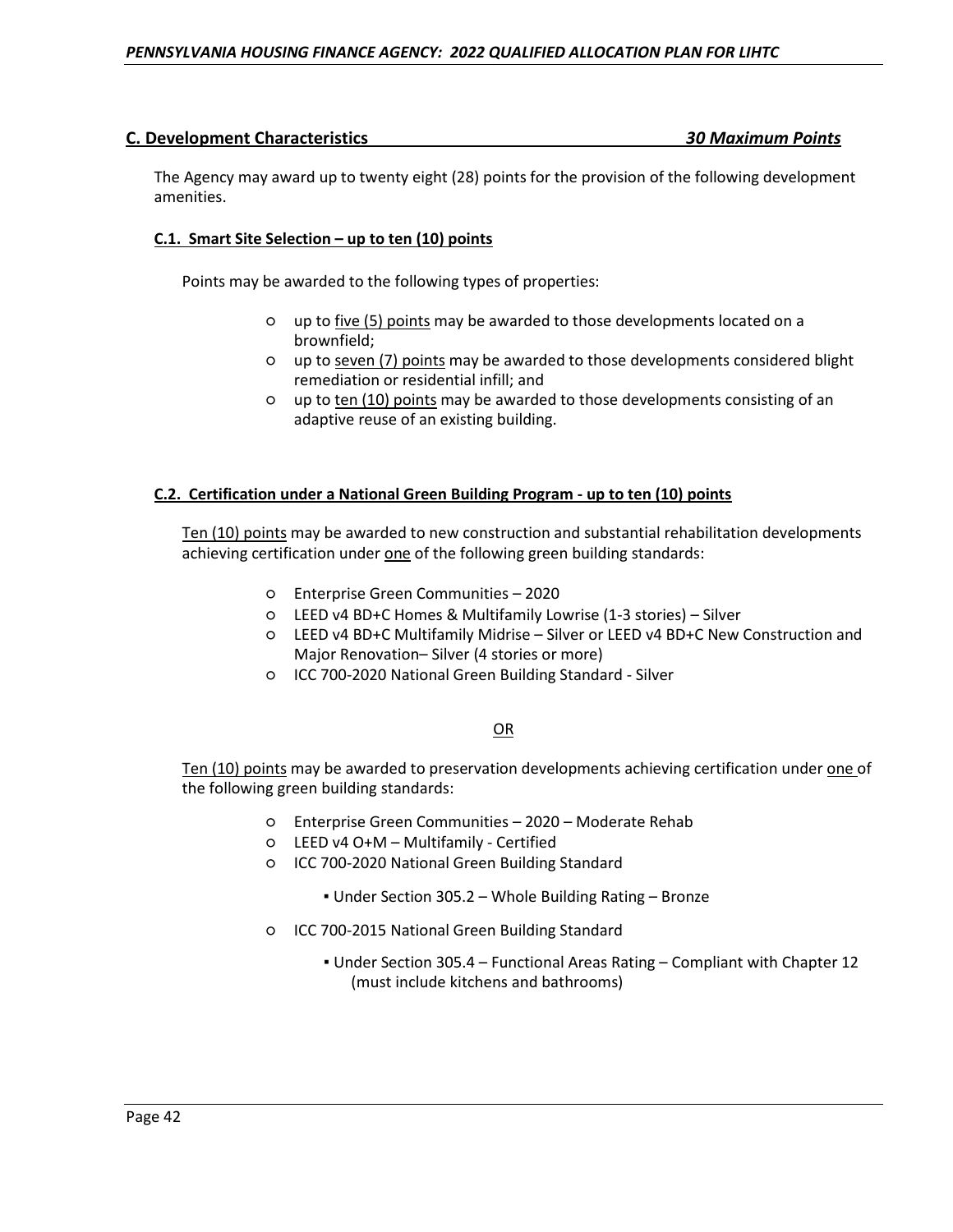# **C. Development Characteristics** *30 Maximum Points*

The Agency may award up to twenty eight (28) points for the provision of the following development amenities.

# **C.1. Smart Site Selection – up to ten (10) points**

Points may be awarded to the following types of properties:

- up to five (5) points may be awarded to those developments located on a brownfield;
- up to seven (7) points may be awarded to those developments considered blight remediation or residential infill; and
- up to ten (10) points may be awarded to those developments consisting of an adaptive reuse of an existing building.

#### **C.2. Certification under a National Green Building Program - up to ten (10) points**

Ten (10) points may be awarded to new construction and substantial rehabilitation developments achieving certification under one of the following green building standards:

- Enterprise Green Communities 2020
- LEED v4 BD+C Homes & Multifamily Lowrise (1-3 stories) Silver
- LEED v4 BD+C Multifamily Midrise Silver or LEED v4 BD+C New Construction and Major Renovation– Silver (4 stories or more)
- ICC 700-2020 National Green Building Standard Silver

#### OR

Ten (10) points may be awarded to preservation developments achieving certification under one of the following green building standards:

- Enterprise Green Communities 2020 Moderate Rehab
- LEED v4 O+M Multifamily Certified
- ICC 700-2020 National Green Building Standard
	- Under Section 305.2 Whole Building Rating Bronze
- ICC 700-2015 National Green Building Standard
	- Under Section 305.4 Functional Areas Rating Compliant with Chapter 12 (must include kitchens and bathrooms)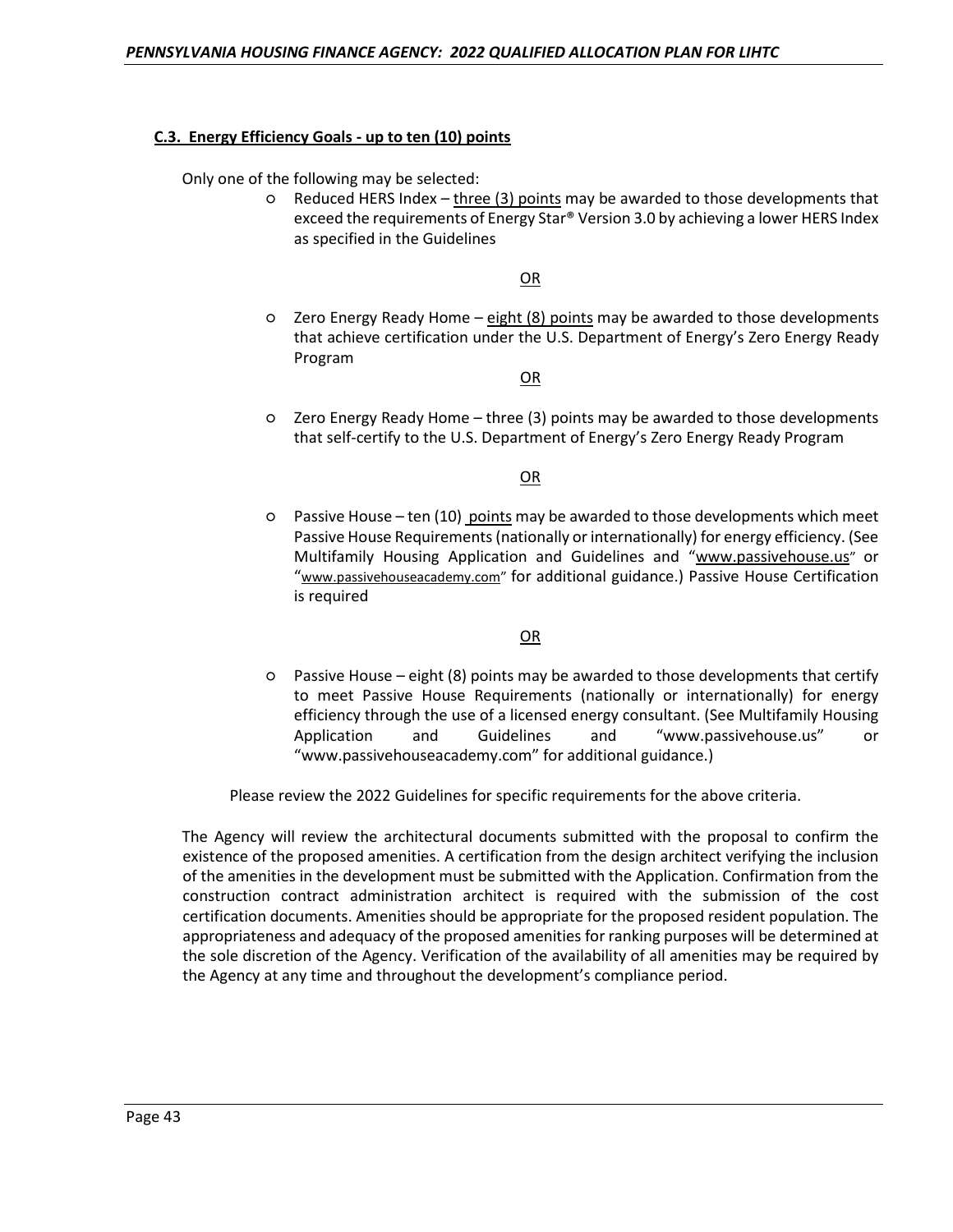#### **C.3. Energy Efficiency Goals - up to ten (10) points**

Only one of the following may be selected:

○ Reduced HERS Index – three (3) points may be awarded to those developments that exceed the requirements of Energy Star® Version 3.0 by achieving a lower HERS Index as specified in the Guidelines

OR

○ Zero Energy Ready Home – eight (8) points may be awarded to those developments that achieve certification under the U.S. Department of Energy's Zero Energy Ready Program

OR

○ Zero Energy Ready Home – three (3) points may be awarded to those developments that self-certify to the U.S. Department of Energy's Zero Energy Ready Program

OR

○ Passive House – ten (10) points may be awarded to those developments which meet Passive House Requirements (nationally or internationally) for energy efficiency. (See Multifamily Housing Application and Guidelines and "www.passivehouse.us" or "www.passivehouseacademy.com" for additional guidance.) Passive House Certification is required

#### OR

○ Passive House – eight (8) points may be awarded to those developments that certify to meet Passive House Requirements (nationally or internationally) for energy efficiency through the use of a licensed energy consultant. (See Multifamily Housing Application and Guidelines and "www.passivehouse.us" or "www.passivehouseacademy.com" for additional guidance.)

Please review the 2022 Guidelines for specific requirements for the above criteria.

The Agency will review the architectural documents submitted with the proposal to confirm the existence of the proposed amenities. A certification from the design architect verifying the inclusion of the amenities in the development must be submitted with the Application. Confirmation from the construction contract administration architect is required with the submission of the cost certification documents. Amenities should be appropriate for the proposed resident population. The appropriateness and adequacy of the proposed amenities for ranking purposes will be determined at the sole discretion of the Agency. Verification of the availability of all amenities may be required by the Agency at any time and throughout the development's compliance period.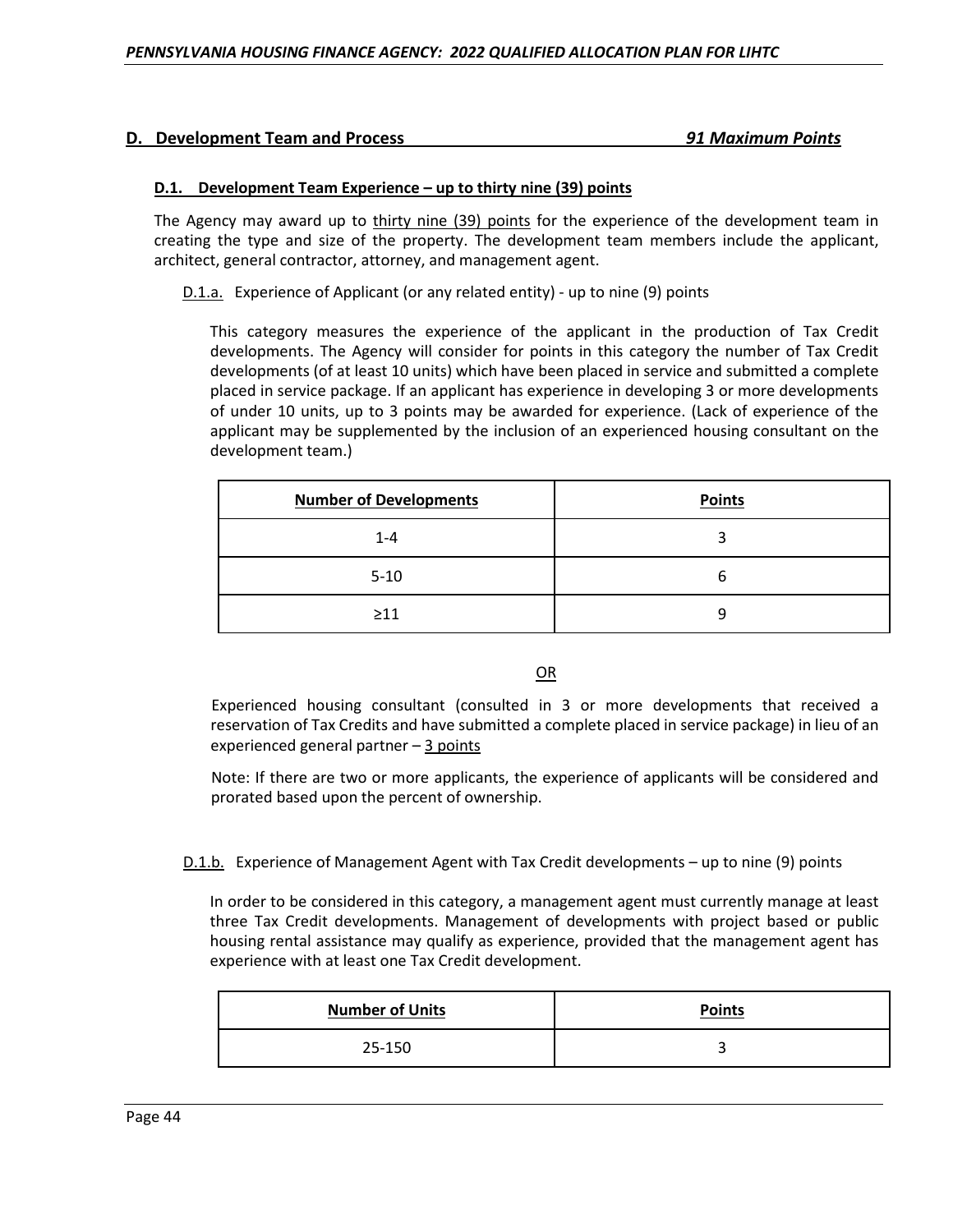#### **D.1. Development Team Experience – up to thirty nine (39) points**

The Agency may award up to thirty nine (39) points for the experience of the development team in creating the type and size of the property. The development team members include the applicant, architect, general contractor, attorney, and management agent.

D.1.a. Experience of Applicant (or any related entity) - up to nine (9) points

This category measures the experience of the applicant in the production of Tax Credit developments. The Agency will consider for points in this category the number of Tax Credit developments (of at least 10 units) which have been placed in service and submitted a complete placed in service package. If an applicant has experience in developing 3 or more developments of under 10 units, up to 3 points may be awarded for experience. (Lack of experience of the applicant may be supplemented by the inclusion of an experienced housing consultant on the development team.)

| <b>Number of Developments</b> | <b>Points</b> |
|-------------------------------|---------------|
| $1 - 4$                       |               |
| $5 - 10$                      | h             |
| $\geq$ 11                     | q             |

OR

Experienced housing consultant (consulted in 3 or more developments that received a reservation of Tax Credits and have submitted a complete placed in service package) in lieu of an experienced general partner – 3 points

Note: If there are two or more applicants, the experience of applicants will be considered and prorated based upon the percent of ownership.

D.1.b. Experience of Management Agent with Tax Credit developments – up to nine (9) points

In order to be considered in this category, a management agent must currently manage at least three Tax Credit developments. Management of developments with project based or public housing rental assistance may qualify as experience, provided that the management agent has experience with at least one Tax Credit development.

| <b>Number of Units</b> | <b>Points</b> |
|------------------------|---------------|
| 25-150                 |               |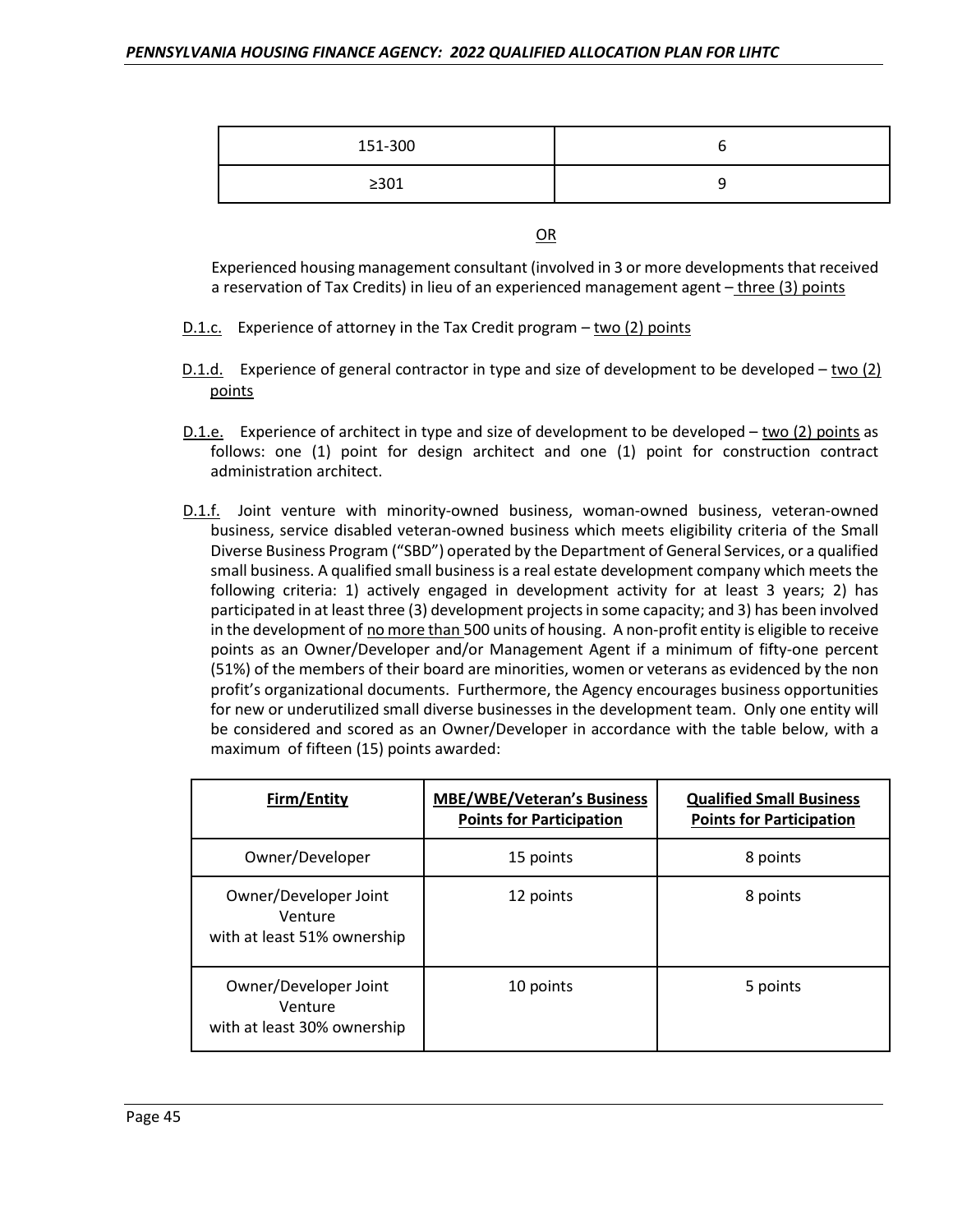| 151-300    |  |
|------------|--|
| $\geq$ 301 |  |

OR

Experienced housing management consultant (involved in 3 or more developments that received a reservation of Tax Credits) in lieu of an experienced management agent – three (3) points

- D.1.c. Experience of attorney in the Tax Credit program two (2) points
- D.1.d. Experience of general contractor in type and size of development to be developed two (2) points
- D.1.e. Experience of architect in type and size of development to be developed two (2) points as follows: one (1) point for design architect and one (1) point for construction contract administration architect.
- D.1.f. Joint venture with minority-owned business, woman-owned business, veteran-owned business, service disabled veteran-owned business which meets eligibility criteria of the Small Diverse Business Program ("SBD") operated by the Department of General Services, or a qualified small business. A qualified small business is a real estate development company which meets the following criteria: 1) actively engaged in development activity for at least 3 years; 2) has participated in at least three (3) development projects in some capacity; and 3) has been involved in the development of no more than 500 units of housing. A non-profit entity is eligible to receive points as an Owner/Developer and/or Management Agent if a minimum of fifty-one percent (51%) of the members of their board are minorities, women or veterans as evidenced by the non profit's organizational documents. Furthermore, the Agency encourages business opportunities for new or underutilized small diverse businesses in the development team. Only one entity will be considered and scored as an Owner/Developer in accordance with the table below, with a maximum of fifteen (15) points awarded:

| Firm/Entity                                                     | <b>MBE/WBE/Veteran's Business</b><br><b>Points for Participation</b> | <b>Qualified Small Business</b><br><b>Points for Participation</b> |
|-----------------------------------------------------------------|----------------------------------------------------------------------|--------------------------------------------------------------------|
| Owner/Developer                                                 | 15 points                                                            | 8 points                                                           |
| Owner/Developer Joint<br>Venture<br>with at least 51% ownership | 12 points                                                            | 8 points                                                           |
| Owner/Developer Joint<br>Venture<br>with at least 30% ownership | 10 points                                                            | 5 points                                                           |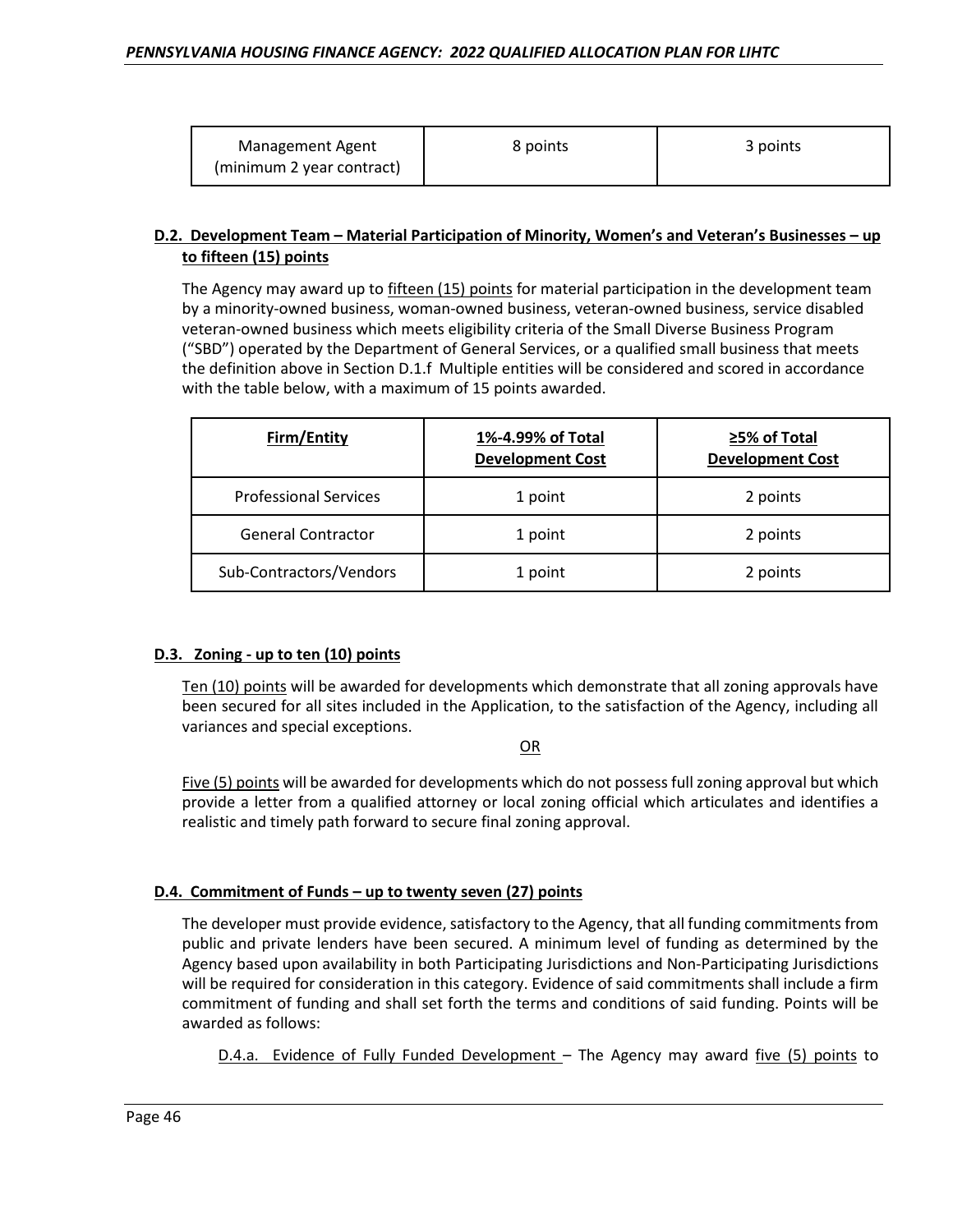| <b>Management Agent</b>   | 8 points | 3 points |
|---------------------------|----------|----------|
| (minimum 2 year contract) |          |          |

# **D.2. Development Team – Material Participation of Minority, Women's and Veteran's Businesses – up to fifteen (15) points**

The Agency may award up to fifteen (15) points for material participation in the development team by a minority-owned business, woman-owned business, veteran-owned business, service disabled veteran-owned business which meets eligibility criteria of the Small Diverse Business Program ("SBD") operated by the Department of General Services, or a qualified small business that meets the definition above in Section D.1.f Multiple entities will be considered and scored in accordance with the table below, with a maximum of 15 points awarded.

| <b>Firm/Entity</b>           | 1%-4.99% of Total<br><b>Development Cost</b> | ≥5% of Total<br><b>Development Cost</b> |
|------------------------------|----------------------------------------------|-----------------------------------------|
| <b>Professional Services</b> | 1 point                                      | 2 points                                |
| <b>General Contractor</b>    | 1 point                                      | 2 points                                |
| Sub-Contractors/Vendors      | 1 point                                      | 2 points                                |

# **D.3. Zoning - up to ten (10) points**

Ten (10) points will be awarded for developments which demonstrate that all zoning approvals have been secured for all sites included in the Application, to the satisfaction of the Agency, including all variances and special exceptions.

#### OR

Five (5) points will be awarded for developments which do not possess full zoning approval but which provide a letter from a qualified attorney or local zoning official which articulates and identifies a realistic and timely path forward to secure final zoning approval.

#### **D.4. Commitment of Funds – up to twenty seven (27) points**

The developer must provide evidence, satisfactory to the Agency, that all funding commitments from public and private lenders have been secured. A minimum level of funding as determined by the Agency based upon availability in both Participating Jurisdictions and Non-Participating Jurisdictions will be required for consideration in this category. Evidence of said commitments shall include a firm commitment of funding and shall set forth the terms and conditions of said funding. Points will be awarded as follows:

D.4.a. Evidence of Fully Funded Development – The Agency may award five (5) points to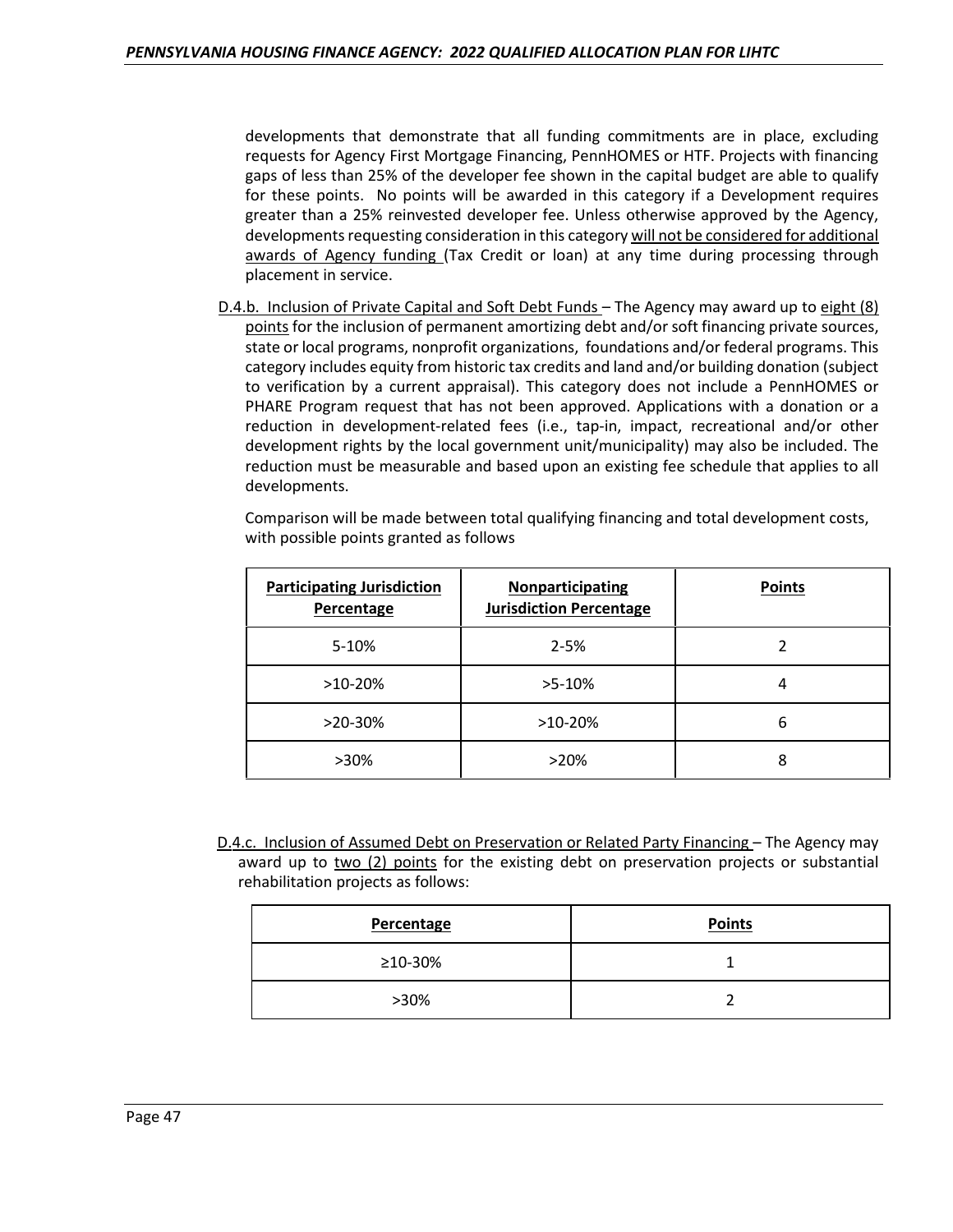developments that demonstrate that all funding commitments are in place, excluding requests for Agency First Mortgage Financing, PennHOMES or HTF. Projects with financing gaps of less than 25% of the developer fee shown in the capital budget are able to qualify for these points. No points will be awarded in this category if a Development requires greater than a 25% reinvested developer fee. Unless otherwise approved by the Agency, developments requesting consideration in this category will not be considered for additional awards of Agency funding (Tax Credit or loan) at any time during processing through placement in service.

D.4.b. Inclusion of Private Capital and Soft Debt Funds – The Agency may award up to eight (8) points for the inclusion of permanent amortizing debt and/or soft financing private sources, state or local programs, nonprofit organizations, foundations and/or federal programs. This category includes equity from historic tax credits and land and/or building donation (subject to verification by a current appraisal). This category does not include a PennHOMES or PHARE Program request that has not been approved. Applications with a donation or a reduction in development-related fees (i.e., tap-in, impact, recreational and/or other development rights by the local government unit/municipality) may also be included. The reduction must be measurable and based upon an existing fee schedule that applies to all developments.

Comparison will be made between total qualifying financing and total development costs, with possible points granted as follows

| <b>Participating Jurisdiction</b><br>Percentage | <b>Nonparticipating</b><br><b>Jurisdiction Percentage</b> | <b>Points</b> |
|-------------------------------------------------|-----------------------------------------------------------|---------------|
| 5-10%                                           | $2 - 5%$                                                  | 2             |
| $>10-20\%$                                      | $>5-10\%$                                                 | 4             |
| $>20-30\%$                                      | $>10-20%$                                                 | 6             |
| >30%                                            | $>20\%$                                                   | 8             |

D.4.c. Inclusion of Assumed Debt on Preservation or Related Party Financing – The Agency may award up to two (2) points for the existing debt on preservation projects or substantial rehabilitation projects as follows:

| Percentage | <b>Points</b> |
|------------|---------------|
| ≥10-30%    |               |
| $>30\%$    |               |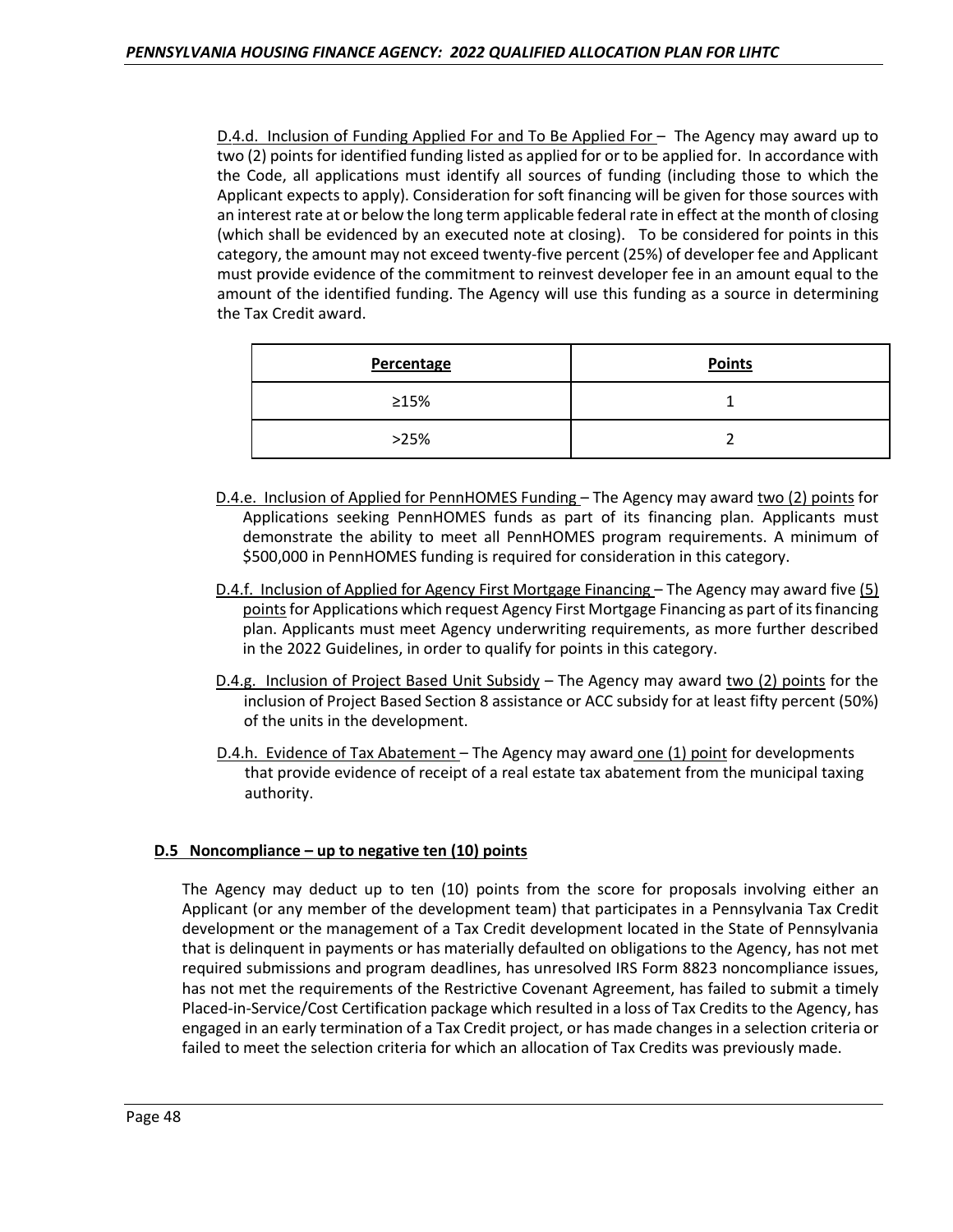D.4.d. Inclusion of Funding Applied For and To Be Applied For - The Agency may award up to two (2) points for identified funding listed as applied for or to be applied for. In accordance with the Code, all applications must identify all sources of funding (including those to which the Applicant expects to apply). Consideration for soft financing will be given for those sources with an interest rate at or below the long term applicable federal rate in effect at the month of closing (which shall be evidenced by an executed note at closing). To be considered for points in this category, the amount may not exceed twenty-five percent (25%) of developer fee and Applicant must provide evidence of the commitment to reinvest developer fee in an amount equal to the amount of the identified funding. The Agency will use this funding as a source in determining the Tax Credit award.

| Percentage  | <b>Points</b> |
|-------------|---------------|
| $\geq 15\%$ |               |
| >25%        |               |

- D.4.e. Inclusion of Applied for PennHOMES Funding The Agency may award two (2) points for Applications seeking PennHOMES funds as part of its financing plan. Applicants must demonstrate the ability to meet all PennHOMES program requirements. A minimum of \$500,000 in PennHOMES funding is required for consideration in this category.
- D.4.f. Inclusion of Applied for Agency First Mortgage Financing The Agency may award five (5) points for Applications which request Agency First Mortgage Financing as part of its financing plan. Applicants must meet Agency underwriting requirements, as more further described in the 2022 Guidelines, in order to qualify for points in this category.
- D.4.g. Inclusion of Project Based Unit Subsidy The Agency may award two (2) points for the inclusion of Project Based Section 8 assistance or ACC subsidy for at least fifty percent (50%) of the units in the development.
- D.4.h. Evidence of Tax Abatement The Agency may award one (1) point for developments that provide evidence of receipt of a real estate tax abatement from the municipal taxing authority.

# **D.5 Noncompliance – up to negative ten (10) points**

The Agency may deduct up to ten (10) points from the score for proposals involving either an Applicant (or any member of the development team) that participates in a Pennsylvania Tax Credit development or the management of a Tax Credit development located in the State of Pennsylvania that is delinquent in payments or has materially defaulted on obligations to the Agency, has not met required submissions and program deadlines, has unresolved IRS Form 8823 noncompliance issues, has not met the requirements of the Restrictive Covenant Agreement, has failed to submit a timely Placed-in-Service/Cost Certification package which resulted in a loss of Tax Credits to the Agency, has engaged in an early termination of a Tax Credit project, or has made changes in a selection criteria or failed to meet the selection criteria for which an allocation of Tax Credits was previously made.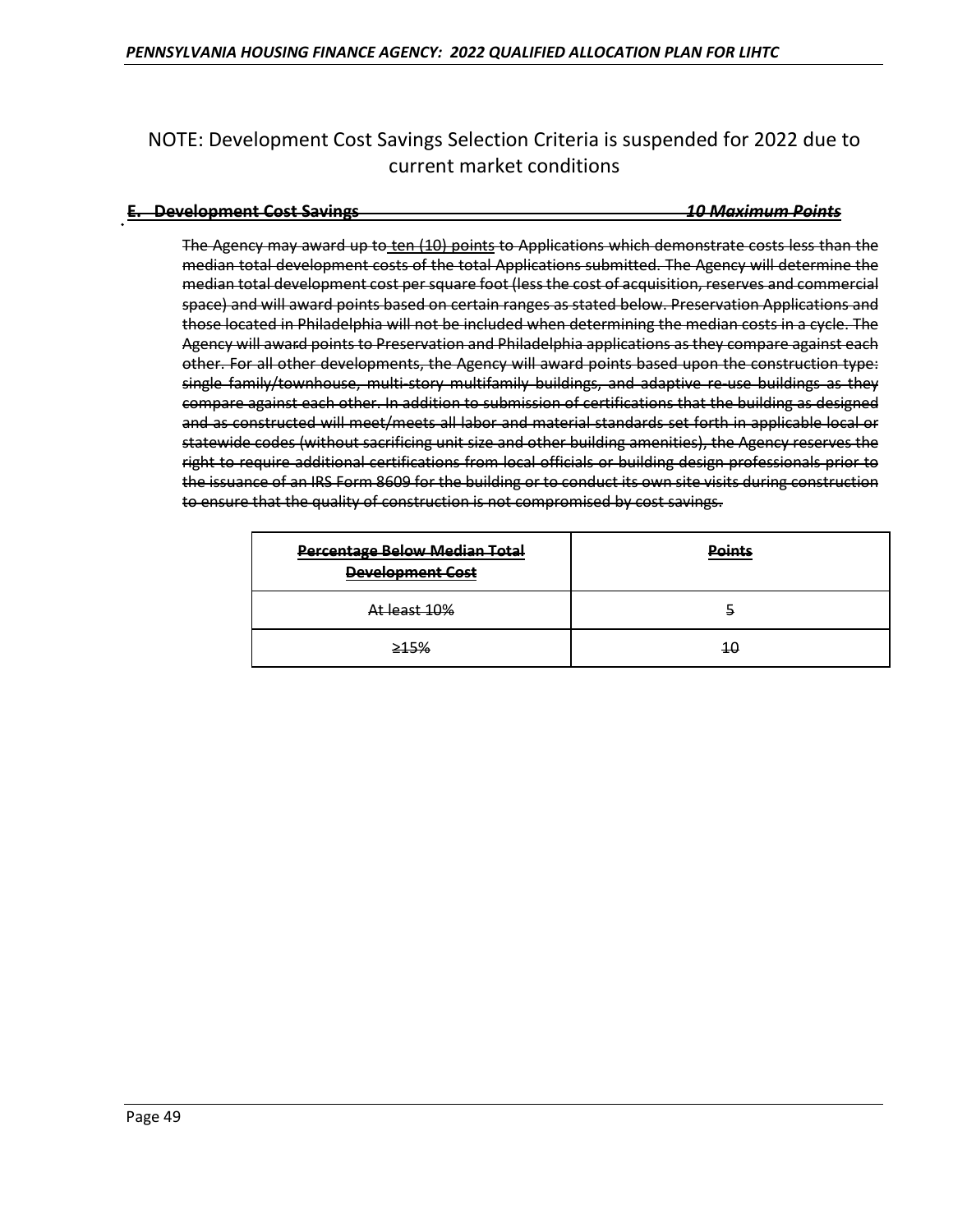# NOTE: Development Cost Savings Selection Criteria is suspended for 2022 due to current market conditions

#### **E. Development Cost Savings** *10 Maximum Points*

The Agency may award up to ten (10) points to Applications which demonstrate costs less than the median total development costs of the total Applications submitted. The Agency will determine the median total development cost per square foot (less the cost of acquisition, reserves and commercial space) and will award points based on certain ranges as stated below. Preservation Applications and those located in Philadelphia will not be included when determining the median costs in a cycle. The Agency will award points to Preservation and Philadelphia applications as they compare against each other. For all other developments, the Agency will award points based upon the construction type: single family/townhouse, multi-story multifamily buildings, and adaptive re-use buildings as they compare against each other. In addition to submission of certifications that the building as designed and as constructed will meet/meets all labor and material standards set forth in applicable local or statewide codes (without sacrificing unit size and other building amenities), the Agency reserves the right to require additional certifications from local officials or building design professionals prior to the issuance of an IRS Form 8609 for the building or to conduct its own site visits during construction to ensure that the quality of construction is not compromised by cost savings.

| <b>Percentage Below Median Total</b><br><b>Development Cost</b> | <b>Points</b> |
|-----------------------------------------------------------------|---------------|
| At least 10%                                                    | ÷,            |
| 245%                                                            | 10            |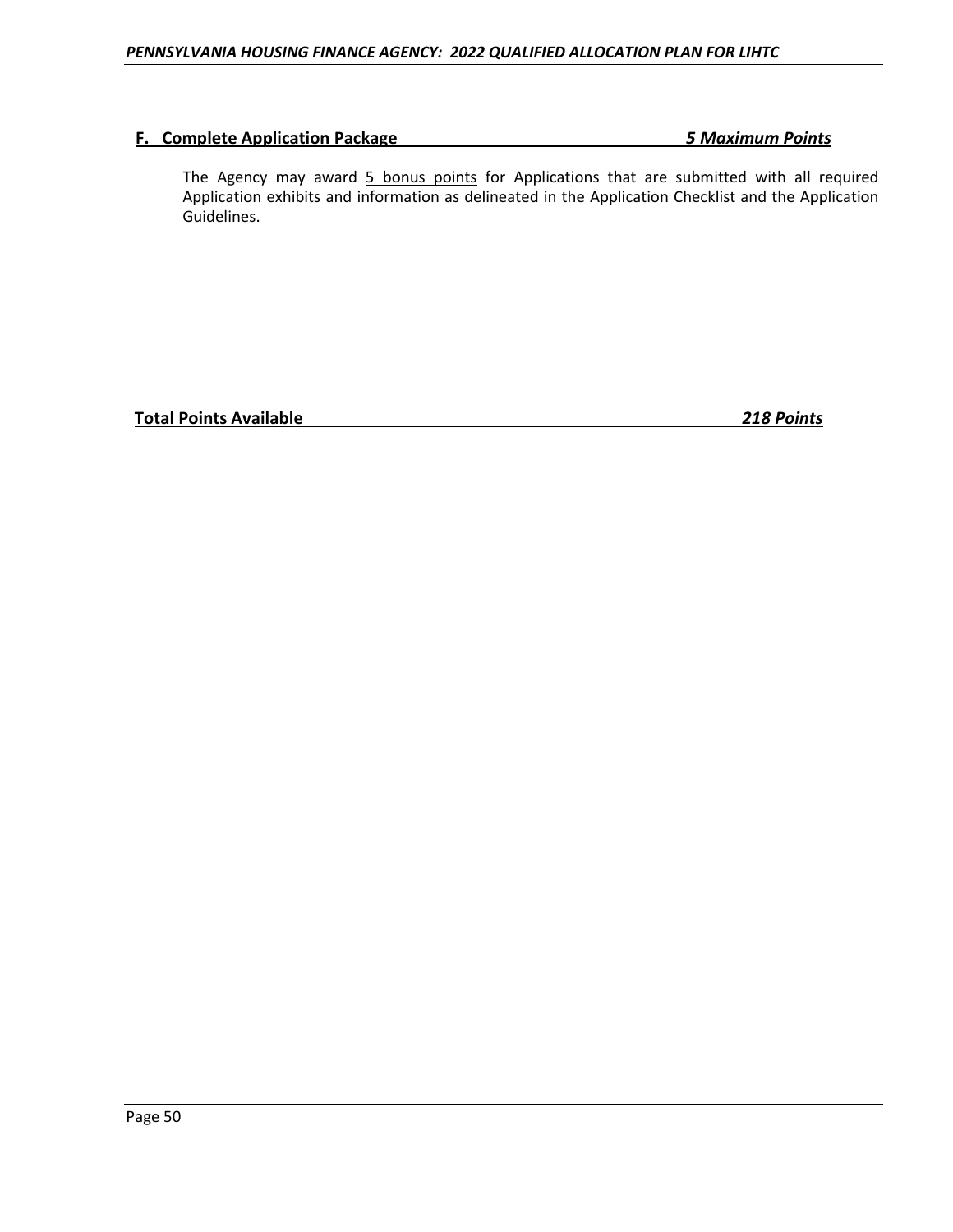# **F. Complete Application Package** *5 Maximum Points*

The Agency may award 5 bonus points for Applications that are submitted with all required Application exhibits and information as delineated in the Application Checklist and the Application Guidelines.

**Total Points Available** *218 Points*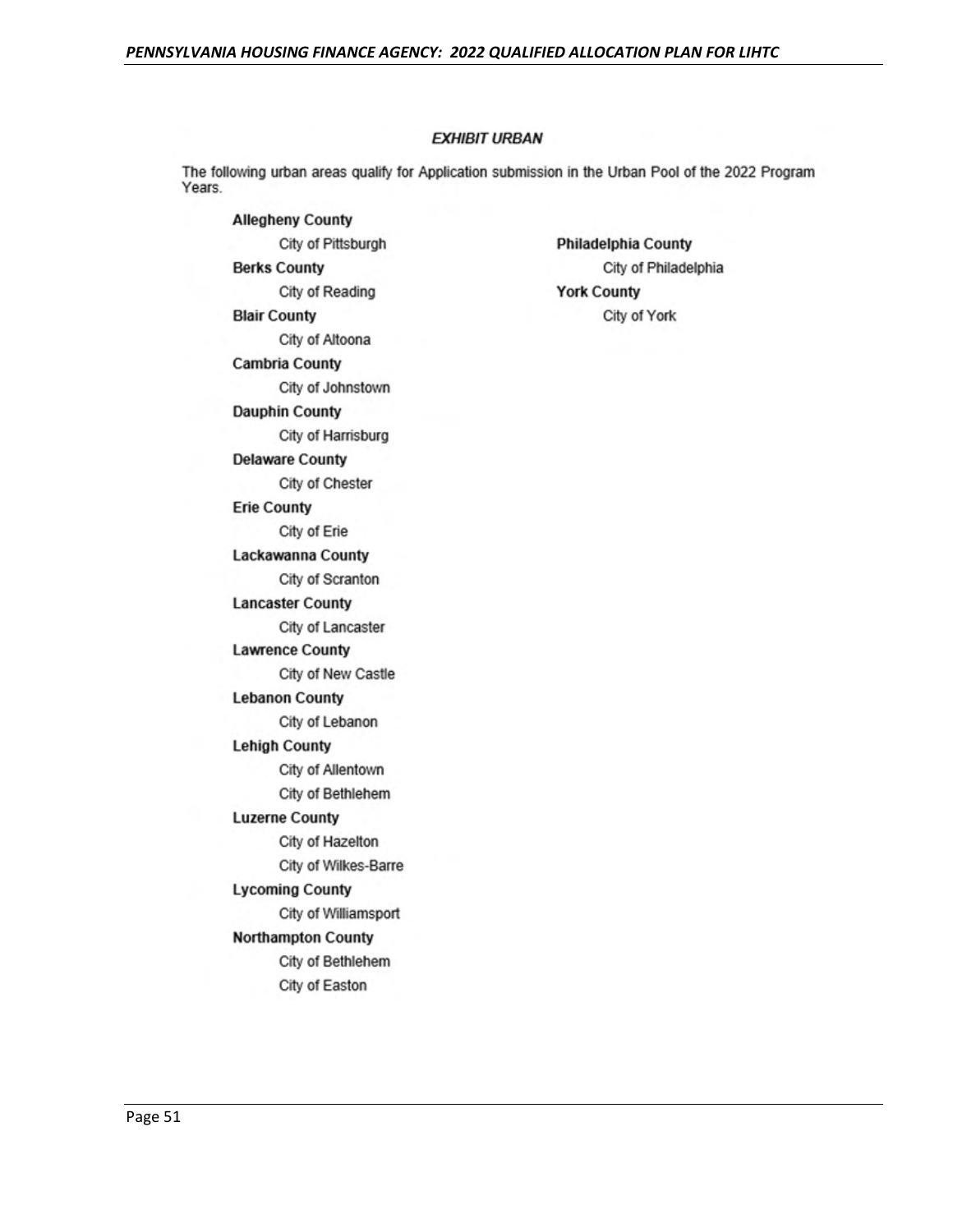# **EXHIBIT URBAN**

The following urban areas qualify for Application submission in the Urban Pool of the 2022 Program Years.

**Allegheny County** City of Pittsburgh **Berks County** City of Reading **Blair County** City of Altoona **Cambria County** City of Johnstown **Dauphin County** City of Harrisburg **Delaware County** City of Chester **Erie County** City of Erie Lackawanna County City of Scranton **Lancaster County** City of Lancaster **Lawrence County** City of New Castle **Lebanon County** City of Lebanon **Lehigh County** City of Allentown City of Bethlehem **Luzerne County** City of Hazelton City of Wilkes-Barre **Lycoming County** City of Williamsport **Northampton County** City of Bethlehem City of Easton

**Philadelphia County** City of Philadelphia **York County** City of York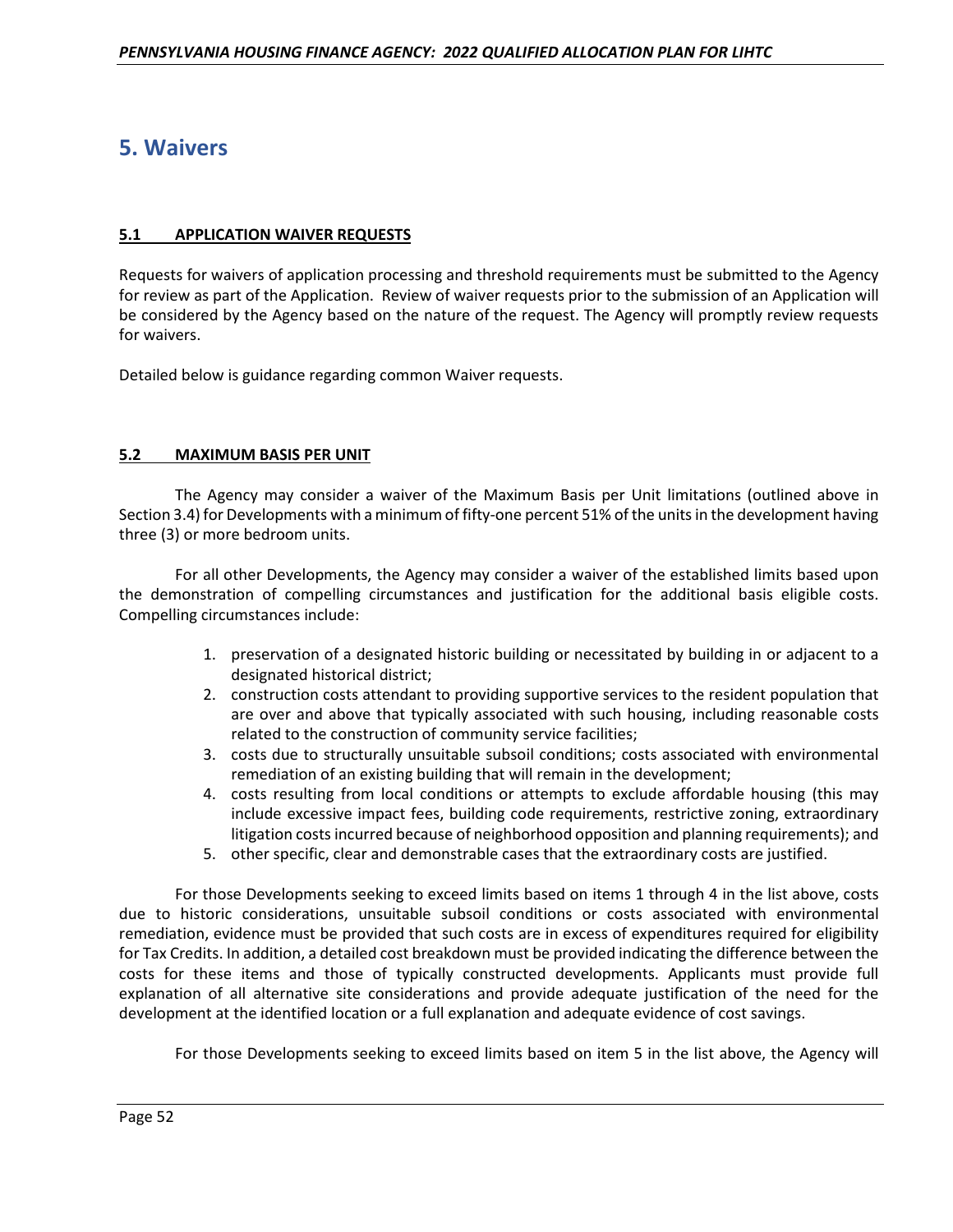# **5. Waivers**

# **5.1 APPLICATION WAIVER REQUESTS**

Requests for waivers of application processing and threshold requirements must be submitted to the Agency for review as part of the Application. Review of waiver requests prior to the submission of an Application will be considered by the Agency based on the nature of the request. The Agency will promptly review requests for waivers.

Detailed below is guidance regarding common Waiver requests.

# **5.2 MAXIMUM BASIS PER UNIT**

The Agency may consider a waiver of the Maximum Basis per Unit limitations (outlined above in Section 3.4) for Developments with a minimum of fifty-one percent 51% of the units in the development having three (3) or more bedroom units.

For all other Developments, the Agency may consider a waiver of the established limits based upon the demonstration of compelling circumstances and justification for the additional basis eligible costs. Compelling circumstances include:

- 1. preservation of a designated historic building or necessitated by building in or adjacent to a designated historical district;
- 2. construction costs attendant to providing supportive services to the resident population that are over and above that typically associated with such housing, including reasonable costs related to the construction of community service facilities;
- 3. costs due to structurally unsuitable subsoil conditions; costs associated with environmental remediation of an existing building that will remain in the development;
- 4. costs resulting from local conditions or attempts to exclude affordable housing (this may include excessive impact fees, building code requirements, restrictive zoning, extraordinary litigation costs incurred because of neighborhood opposition and planning requirements); and
- 5. other specific, clear and demonstrable cases that the extraordinary costs are justified.

For those Developments seeking to exceed limits based on items 1 through 4 in the list above, costs due to historic considerations, unsuitable subsoil conditions or costs associated with environmental remediation, evidence must be provided that such costs are in excess of expenditures required for eligibility for Tax Credits. In addition, a detailed cost breakdown must be provided indicating the difference between the costs for these items and those of typically constructed developments. Applicants must provide full explanation of all alternative site considerations and provide adequate justification of the need for the development at the identified location or a full explanation and adequate evidence of cost savings.

For those Developments seeking to exceed limits based on item 5 in the list above, the Agency will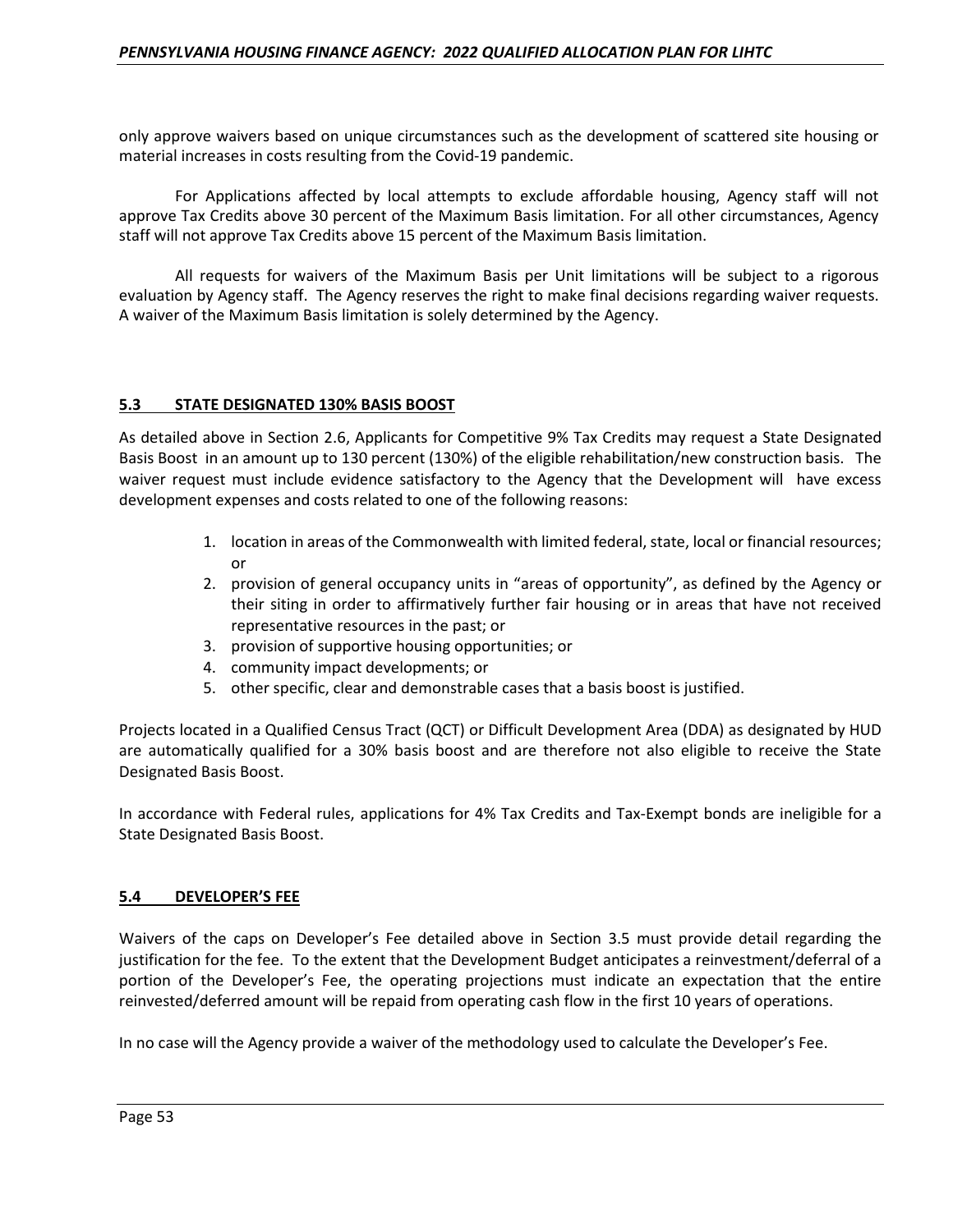only approve waivers based on unique circumstances such as the development of scattered site housing or material increases in costs resulting from the Covid-19 pandemic.

For Applications affected by local attempts to exclude affordable housing, Agency staff will not approve Tax Credits above 30 percent of the Maximum Basis limitation. For all other circumstances, Agency staff will not approve Tax Credits above 15 percent of the Maximum Basis limitation.

All requests for waivers of the Maximum Basis per Unit limitations will be subject to a rigorous evaluation by Agency staff. The Agency reserves the right to make final decisions regarding waiver requests. A waiver of the Maximum Basis limitation is solely determined by the Agency.

#### **5.3 STATE DESIGNATED 130% BASIS BOOST**

As detailed above in Section 2.6, Applicants for Competitive 9% Tax Credits may request a State Designated Basis Boost in an amount up to 130 percent (130%) of the eligible rehabilitation/new construction basis. The waiver request must include evidence satisfactory to the Agency that the Development will have excess development expenses and costs related to one of the following reasons:

- 1. location in areas of the Commonwealth with limited federal, state, local or financial resources; or
- 2. provision of general occupancy units in "areas of opportunity", as defined by the Agency or their siting in order to affirmatively further fair housing or in areas that have not received representative resources in the past; or
- 3. provision of supportive housing opportunities; or
- 4. community impact developments; or
- 5. other specific, clear and demonstrable cases that a basis boost is justified.

Projects located in a Qualified Census Tract (QCT) or Difficult Development Area (DDA) as designated by HUD are automatically qualified for a 30% basis boost and are therefore not also eligible to receive the State Designated Basis Boost.

In accordance with Federal rules, applications for 4% Tax Credits and Tax-Exempt bonds are ineligible for a State Designated Basis Boost.

#### **5.4 DEVELOPER'S FEE**

Waivers of the caps on Developer's Fee detailed above in Section 3.5 must provide detail regarding the justification for the fee. To the extent that the Development Budget anticipates a reinvestment/deferral of a portion of the Developer's Fee, the operating projections must indicate an expectation that the entire reinvested/deferred amount will be repaid from operating cash flow in the first 10 years of operations.

In no case will the Agency provide a waiver of the methodology used to calculate the Developer's Fee.